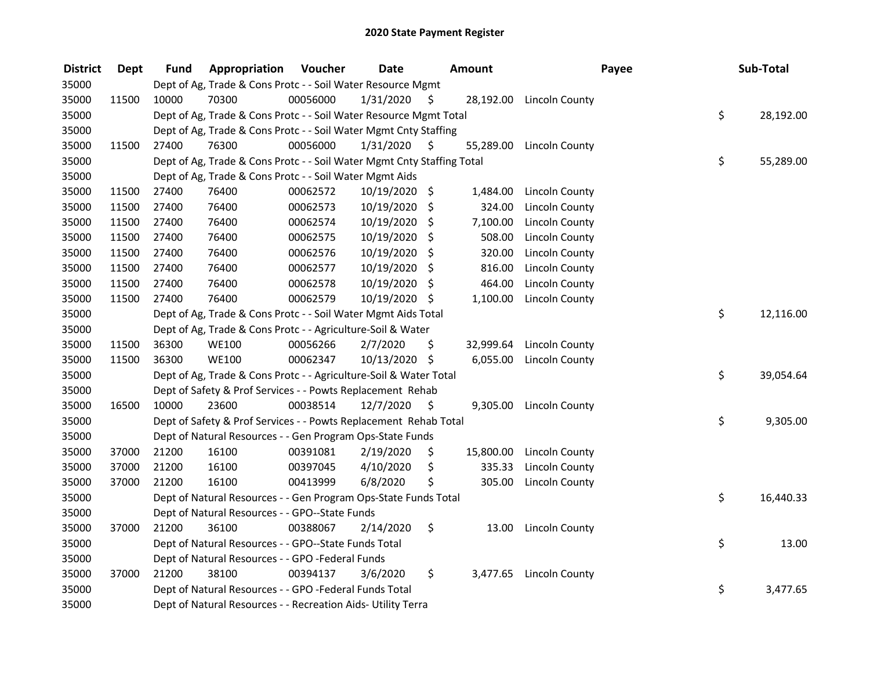| <b>District</b> | <b>Dept</b> | Fund  | <b>Appropriation Voucher</b>                                           |          | <b>Date</b>   |     | <b>Amount</b> |                          | Payee | Sub-Total |
|-----------------|-------------|-------|------------------------------------------------------------------------|----------|---------------|-----|---------------|--------------------------|-------|-----------|
| 35000           |             |       | Dept of Ag, Trade & Cons Protc - - Soil Water Resource Mgmt            |          |               |     |               |                          |       |           |
| 35000           | 11500       | 10000 | 70300                                                                  | 00056000 | 1/31/2020     | \$. |               | 28,192.00 Lincoln County |       |           |
| 35000           |             |       | Dept of Ag, Trade & Cons Protc - - Soil Water Resource Mgmt Total      |          |               |     |               |                          | \$    | 28,192.00 |
| 35000           |             |       | Dept of Ag, Trade & Cons Protc - - Soil Water Mgmt Cnty Staffing       |          |               |     |               |                          |       |           |
| 35000           | 11500       | 27400 | 76300                                                                  | 00056000 | 1/31/2020     | S   | 55,289.00     | <b>Lincoln County</b>    |       |           |
| 35000           |             |       | Dept of Ag, Trade & Cons Protc - - Soil Water Mgmt Cnty Staffing Total |          |               |     |               |                          | \$    | 55,289.00 |
| 35000           |             |       | Dept of Ag, Trade & Cons Protc - - Soil Water Mgmt Aids                |          |               |     |               |                          |       |           |
| 35000           | 11500       | 27400 | 76400                                                                  | 00062572 | 10/19/2020 \$ |     | 1,484.00      | <b>Lincoln County</b>    |       |           |
| 35000           | 11500       | 27400 | 76400                                                                  | 00062573 | 10/19/2020    | \$  | 324.00        | Lincoln County           |       |           |
| 35000           | 11500       | 27400 | 76400                                                                  | 00062574 | 10/19/2020    | -\$ | 7,100.00      | Lincoln County           |       |           |
| 35000           | 11500       | 27400 | 76400                                                                  | 00062575 | 10/19/2020    | \$  | 508.00        | <b>Lincoln County</b>    |       |           |
| 35000           | 11500       | 27400 | 76400                                                                  | 00062576 | 10/19/2020    | \$  | 320.00        | <b>Lincoln County</b>    |       |           |
| 35000           | 11500       | 27400 | 76400                                                                  | 00062577 | 10/19/2020    | \$. | 816.00        | <b>Lincoln County</b>    |       |           |
| 35000           | 11500       | 27400 | 76400                                                                  | 00062578 | 10/19/2020    | \$. | 464.00        | <b>Lincoln County</b>    |       |           |
| 35000           | 11500       | 27400 | 76400                                                                  | 00062579 | 10/19/2020 \$ |     | 1,100.00      | Lincoln County           |       |           |
| 35000           |             |       | Dept of Ag, Trade & Cons Protc - - Soil Water Mgmt Aids Total          |          |               |     |               |                          | \$    | 12,116.00 |
| 35000           |             |       | Dept of Ag, Trade & Cons Protc - - Agriculture-Soil & Water            |          |               |     |               |                          |       |           |
| 35000           | 11500       | 36300 | <b>WE100</b>                                                           | 00056266 | 2/7/2020      | \$  | 32,999.64     | Lincoln County           |       |           |
| 35000           | 11500       | 36300 | <b>WE100</b>                                                           | 00062347 | 10/13/2020 \$ |     | 6,055.00      | Lincoln County           |       |           |
| 35000           |             |       | Dept of Ag, Trade & Cons Protc - - Agriculture-Soil & Water Total      |          |               |     |               |                          | \$    | 39,054.64 |
| 35000           |             |       | Dept of Safety & Prof Services - - Powts Replacement Rehab             |          |               |     |               |                          |       |           |
| 35000           | 16500       | 10000 | 23600                                                                  | 00038514 | 12/7/2020     | \$  |               | 9,305.00 Lincoln County  |       |           |
| 35000           |             |       | Dept of Safety & Prof Services - - Powts Replacement Rehab Total       |          |               |     |               |                          | \$    | 9,305.00  |
| 35000           |             |       | Dept of Natural Resources - - Gen Program Ops-State Funds              |          |               |     |               |                          |       |           |
| 35000           | 37000       | 21200 | 16100                                                                  | 00391081 | 2/19/2020     | \$. | 15,800.00     | <b>Lincoln County</b>    |       |           |
| 35000           | 37000       | 21200 | 16100                                                                  | 00397045 | 4/10/2020     | \$  | 335.33        | Lincoln County           |       |           |
| 35000           | 37000       | 21200 | 16100                                                                  | 00413999 | 6/8/2020      | \$  | 305.00        | <b>Lincoln County</b>    |       |           |
| 35000           |             |       | Dept of Natural Resources - - Gen Program Ops-State Funds Total        |          |               |     |               |                          | \$    | 16,440.33 |
| 35000           |             |       | Dept of Natural Resources - - GPO--State Funds                         |          |               |     |               |                          |       |           |
| 35000           | 37000       | 21200 | 36100                                                                  | 00388067 | 2/14/2020     | \$  | 13.00         | <b>Lincoln County</b>    |       |           |
| 35000           |             |       | Dept of Natural Resources - - GPO--State Funds Total                   |          |               |     |               |                          | \$    | 13.00     |
| 35000           |             |       | Dept of Natural Resources - - GPO -Federal Funds                       |          |               |     |               |                          |       |           |
| 35000           | 37000       | 21200 | 38100                                                                  | 00394137 | 3/6/2020      | \$  | 3,477.65      | Lincoln County           |       |           |
| 35000           |             |       | Dept of Natural Resources - - GPO -Federal Funds Total                 |          |               |     |               |                          | \$    | 3,477.65  |
| 35000           |             |       | Dept of Natural Resources - - Recreation Aids- Utility Terra           |          |               |     |               |                          |       |           |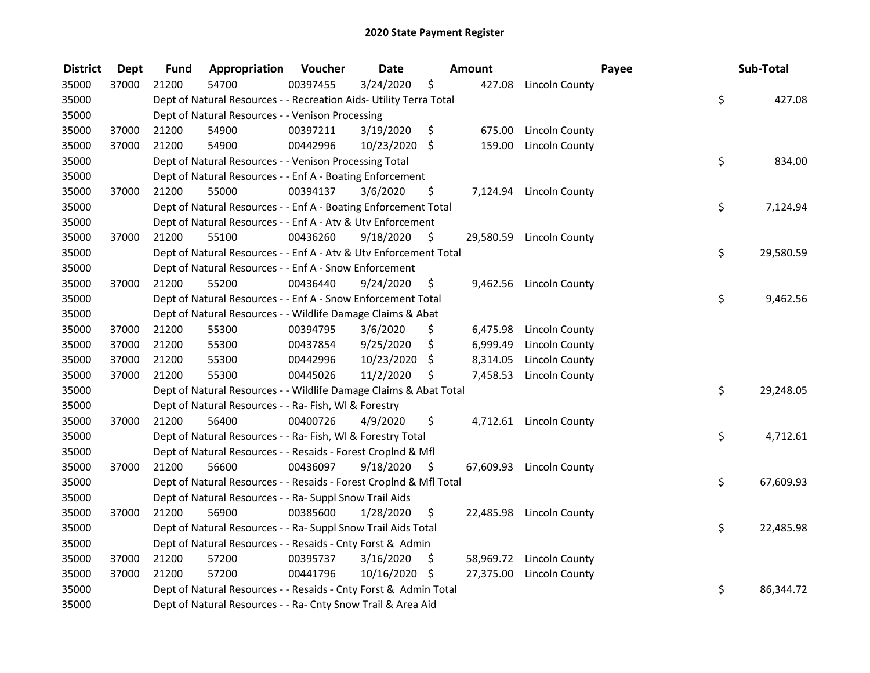| <b>District</b> | <b>Dept</b> | Fund  | Appropriation                                                      | Voucher  | <b>Date</b>   |     | Amount   |                          | Payee | Sub-Total |
|-----------------|-------------|-------|--------------------------------------------------------------------|----------|---------------|-----|----------|--------------------------|-------|-----------|
| 35000           | 37000       | 21200 | 54700                                                              | 00397455 | 3/24/2020     | \$  |          | 427.08 Lincoln County    |       |           |
| 35000           |             |       | Dept of Natural Resources - - Recreation Aids- Utility Terra Total |          |               |     |          |                          | \$    | 427.08    |
| 35000           |             |       | Dept of Natural Resources - - Venison Processing                   |          |               |     |          |                          |       |           |
| 35000           | 37000       | 21200 | 54900                                                              | 00397211 | 3/19/2020     | \$  | 675.00   | Lincoln County           |       |           |
| 35000           | 37000       | 21200 | 54900                                                              | 00442996 | 10/23/2020 \$ |     | 159.00   | <b>Lincoln County</b>    |       |           |
| 35000           |             |       | Dept of Natural Resources - - Venison Processing Total             |          |               |     |          |                          | \$    | 834.00    |
| 35000           |             |       | Dept of Natural Resources - - Enf A - Boating Enforcement          |          |               |     |          |                          |       |           |
| 35000           | 37000       | 21200 | 55000                                                              | 00394137 | 3/6/2020      | \$  |          | 7,124.94 Lincoln County  |       |           |
| 35000           |             |       | Dept of Natural Resources - - Enf A - Boating Enforcement Total    |          |               |     |          |                          | \$    | 7,124.94  |
| 35000           |             |       | Dept of Natural Resources - - Enf A - Atv & Utv Enforcement        |          |               |     |          |                          |       |           |
| 35000           | 37000       | 21200 | 55100                                                              | 00436260 | 9/18/2020     | \$  |          | 29,580.59 Lincoln County |       |           |
| 35000           |             |       | Dept of Natural Resources - - Enf A - Atv & Utv Enforcement Total  |          |               |     |          |                          | \$    | 29,580.59 |
| 35000           |             |       | Dept of Natural Resources - - Enf A - Snow Enforcement             |          |               |     |          |                          |       |           |
| 35000           | 37000       | 21200 | 55200                                                              | 00436440 | 9/24/2020     | \$. | 9,462.56 | Lincoln County           |       |           |
| 35000           |             |       | Dept of Natural Resources - - Enf A - Snow Enforcement Total       |          |               |     |          |                          | \$    | 9,462.56  |
| 35000           |             |       | Dept of Natural Resources - - Wildlife Damage Claims & Abat        |          |               |     |          |                          |       |           |
| 35000           | 37000       | 21200 | 55300                                                              | 00394795 | 3/6/2020      | \$  | 6,475.98 | Lincoln County           |       |           |
| 35000           | 37000       | 21200 | 55300                                                              | 00437854 | 9/25/2020     | \$  | 6,999.49 | Lincoln County           |       |           |
| 35000           | 37000       | 21200 | 55300                                                              | 00442996 | 10/23/2020    | \$  | 8,314.05 | Lincoln County           |       |           |
| 35000           | 37000       | 21200 | 55300                                                              | 00445026 | 11/2/2020     | \$. | 7,458.53 | <b>Lincoln County</b>    |       |           |
| 35000           |             |       | Dept of Natural Resources - - Wildlife Damage Claims & Abat Total  |          |               |     |          |                          | \$    | 29,248.05 |
| 35000           |             |       | Dept of Natural Resources - - Ra- Fish, WI & Forestry              |          |               |     |          |                          |       |           |
| 35000           | 37000       | 21200 | 56400                                                              | 00400726 | 4/9/2020      | \$  |          | 4,712.61 Lincoln County  |       |           |
| 35000           |             |       | Dept of Natural Resources - - Ra- Fish, WI & Forestry Total        |          |               |     |          |                          | \$    | 4,712.61  |
| 35000           |             |       | Dept of Natural Resources - - Resaids - Forest Croplnd & Mfl       |          |               |     |          |                          |       |           |
| 35000           | 37000       | 21200 | 56600                                                              | 00436097 | 9/18/2020     | \$  |          | 67,609.93 Lincoln County |       |           |
| 35000           |             |       | Dept of Natural Resources - - Resaids - Forest CropInd & Mfl Total |          |               |     |          |                          | \$    | 67,609.93 |
| 35000           |             |       | Dept of Natural Resources - - Ra- Suppl Snow Trail Aids            |          |               |     |          |                          |       |           |
| 35000           | 37000       | 21200 | 56900                                                              | 00385600 | 1/28/2020     | \$  |          | 22,485.98 Lincoln County |       |           |
| 35000           |             |       | Dept of Natural Resources - - Ra- Suppl Snow Trail Aids Total      |          |               |     |          |                          | \$    | 22,485.98 |
| 35000           |             |       | Dept of Natural Resources - - Resaids - Cnty Forst & Admin         |          |               |     |          |                          |       |           |
| 35000           | 37000       | 21200 | 57200                                                              | 00395737 | 3/16/2020     | \$  |          | 58,969.72 Lincoln County |       |           |
| 35000           | 37000       | 21200 | 57200                                                              | 00441796 | 10/16/2020 \$ |     |          | 27,375.00 Lincoln County |       |           |
| 35000           |             |       | Dept of Natural Resources - - Resaids - Cnty Forst & Admin Total   |          |               |     |          |                          | \$    | 86,344.72 |
| 35000           |             |       | Dept of Natural Resources - - Ra- Cnty Snow Trail & Area Aid       |          |               |     |          |                          |       |           |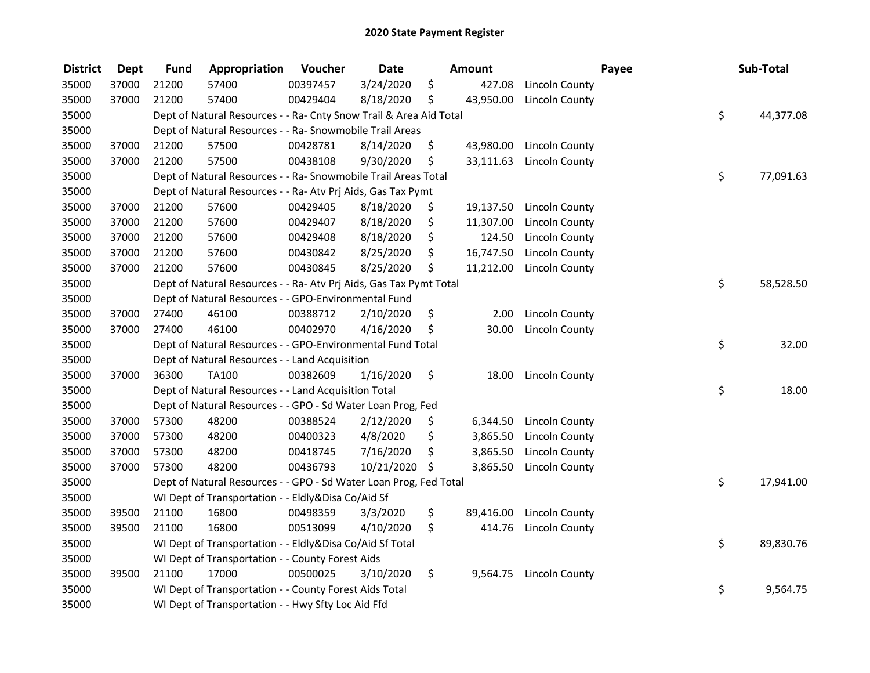| <b>District</b> | <b>Dept</b> | <b>Fund</b> | Appropriation                                                      | Voucher  | <b>Date</b> | Amount          |                       | Payee | Sub-Total       |
|-----------------|-------------|-------------|--------------------------------------------------------------------|----------|-------------|-----------------|-----------------------|-------|-----------------|
| 35000           | 37000       | 21200       | 57400                                                              | 00397457 | 3/24/2020   | \$<br>427.08    | Lincoln County        |       |                 |
| 35000           | 37000       | 21200       | 57400                                                              | 00429404 | 8/18/2020   | \$<br>43,950.00 | <b>Lincoln County</b> |       |                 |
| 35000           |             |             | Dept of Natural Resources - - Ra- Cnty Snow Trail & Area Aid Total |          |             |                 |                       |       | \$<br>44,377.08 |
| 35000           |             |             | Dept of Natural Resources - - Ra- Snowmobile Trail Areas           |          |             |                 |                       |       |                 |
| 35000           | 37000       | 21200       | 57500                                                              | 00428781 | 8/14/2020   | \$<br>43,980.00 | <b>Lincoln County</b> |       |                 |
| 35000           | 37000       | 21200       | 57500                                                              | 00438108 | 9/30/2020   | \$<br>33,111.63 | <b>Lincoln County</b> |       |                 |
| 35000           |             |             | Dept of Natural Resources - - Ra- Snowmobile Trail Areas Total     |          |             |                 |                       |       | \$<br>77,091.63 |
| 35000           |             |             | Dept of Natural Resources - - Ra- Atv Prj Aids, Gas Tax Pymt       |          |             |                 |                       |       |                 |
| 35000           | 37000       | 21200       | 57600                                                              | 00429405 | 8/18/2020   | \$<br>19,137.50 | Lincoln County        |       |                 |
| 35000           | 37000       | 21200       | 57600                                                              | 00429407 | 8/18/2020   | \$<br>11,307.00 | Lincoln County        |       |                 |
| 35000           | 37000       | 21200       | 57600                                                              | 00429408 | 8/18/2020   | \$<br>124.50    | Lincoln County        |       |                 |
| 35000           | 37000       | 21200       | 57600                                                              | 00430842 | 8/25/2020   | \$<br>16,747.50 | Lincoln County        |       |                 |
| 35000           | 37000       | 21200       | 57600                                                              | 00430845 | 8/25/2020   | \$<br>11,212.00 | Lincoln County        |       |                 |
| 35000           |             |             | Dept of Natural Resources - - Ra- Atv Prj Aids, Gas Tax Pymt Total |          |             |                 |                       |       | \$<br>58,528.50 |
| 35000           |             |             | Dept of Natural Resources - - GPO-Environmental Fund               |          |             |                 |                       |       |                 |
| 35000           | 37000       | 27400       | 46100                                                              | 00388712 | 2/10/2020   | \$<br>2.00      | Lincoln County        |       |                 |
| 35000           | 37000       | 27400       | 46100                                                              | 00402970 | 4/16/2020   | \$<br>30.00     | Lincoln County        |       |                 |
| 35000           |             |             | Dept of Natural Resources - - GPO-Environmental Fund Total         |          |             |                 |                       |       | \$<br>32.00     |
| 35000           |             |             | Dept of Natural Resources - - Land Acquisition                     |          |             |                 |                       |       |                 |
| 35000           | 37000       | 36300       | TA100                                                              | 00382609 | 1/16/2020   | \$<br>18.00     | <b>Lincoln County</b> |       |                 |
| 35000           |             |             | Dept of Natural Resources - - Land Acquisition Total               |          |             |                 |                       |       | \$<br>18.00     |
| 35000           |             |             | Dept of Natural Resources - - GPO - Sd Water Loan Prog, Fed        |          |             |                 |                       |       |                 |
| 35000           | 37000       | 57300       | 48200                                                              | 00388524 | 2/12/2020   | \$<br>6,344.50  | Lincoln County        |       |                 |
| 35000           | 37000       | 57300       | 48200                                                              | 00400323 | 4/8/2020    | \$<br>3,865.50  | <b>Lincoln County</b> |       |                 |
| 35000           | 37000       | 57300       | 48200                                                              | 00418745 | 7/16/2020   | \$<br>3,865.50  | <b>Lincoln County</b> |       |                 |
| 35000           | 37000       | 57300       | 48200                                                              | 00436793 | 10/21/2020  | \$<br>3,865.50  | Lincoln County        |       |                 |
| 35000           |             |             | Dept of Natural Resources - - GPO - Sd Water Loan Prog, Fed Total  |          |             |                 |                       |       | \$<br>17,941.00 |
| 35000           |             |             | WI Dept of Transportation - - Eldly&Disa Co/Aid Sf                 |          |             |                 |                       |       |                 |
| 35000           | 39500       | 21100       | 16800                                                              | 00498359 | 3/3/2020    | \$<br>89,416.00 | <b>Lincoln County</b> |       |                 |
| 35000           | 39500       | 21100       | 16800                                                              | 00513099 | 4/10/2020   | \$<br>414.76    | <b>Lincoln County</b> |       |                 |
| 35000           |             |             | WI Dept of Transportation - - Eldly&Disa Co/Aid Sf Total           |          |             |                 |                       |       | \$<br>89,830.76 |
| 35000           |             |             | WI Dept of Transportation - - County Forest Aids                   |          |             |                 |                       |       |                 |
| 35000           | 39500       | 21100       | 17000                                                              | 00500025 | 3/10/2020   | \$<br>9,564.75  | <b>Lincoln County</b> |       |                 |
| 35000           |             |             | WI Dept of Transportation - - County Forest Aids Total             |          |             |                 |                       |       | \$<br>9,564.75  |
| 35000           |             |             | WI Dept of Transportation - - Hwy Sfty Loc Aid Ffd                 |          |             |                 |                       |       |                 |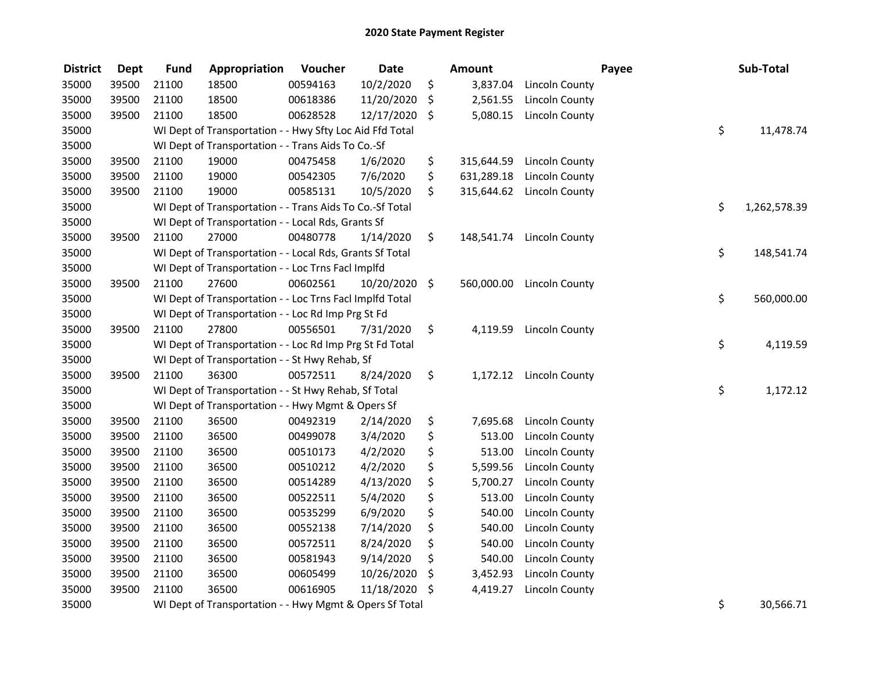| <b>District</b> | <b>Dept</b> | <b>Fund</b> | Appropriation                                            | Voucher  | <b>Date</b> |     | Amount     |                       | Payee | Sub-Total          |
|-----------------|-------------|-------------|----------------------------------------------------------|----------|-------------|-----|------------|-----------------------|-------|--------------------|
| 35000           | 39500       | 21100       | 18500                                                    | 00594163 | 10/2/2020   | \$  | 3,837.04   | Lincoln County        |       |                    |
| 35000           | 39500       | 21100       | 18500                                                    | 00618386 | 11/20/2020  | \$  | 2,561.55   | Lincoln County        |       |                    |
| 35000           | 39500       | 21100       | 18500                                                    | 00628528 | 12/17/2020  | \$  | 5,080.15   | <b>Lincoln County</b> |       |                    |
| 35000           |             |             | WI Dept of Transportation - - Hwy Sfty Loc Aid Ffd Total |          |             |     |            |                       |       | \$<br>11,478.74    |
| 35000           |             |             | WI Dept of Transportation - - Trans Aids To Co.-Sf       |          |             |     |            |                       |       |                    |
| 35000           | 39500       | 21100       | 19000                                                    | 00475458 | 1/6/2020    | \$  | 315,644.59 | <b>Lincoln County</b> |       |                    |
| 35000           | 39500       | 21100       | 19000                                                    | 00542305 | 7/6/2020    | \$  | 631,289.18 | Lincoln County        |       |                    |
| 35000           | 39500       | 21100       | 19000                                                    | 00585131 | 10/5/2020   | \$  | 315,644.62 | Lincoln County        |       |                    |
| 35000           |             |             | WI Dept of Transportation - - Trans Aids To Co.-Sf Total |          |             |     |            |                       |       | \$<br>1,262,578.39 |
| 35000           |             |             | WI Dept of Transportation - - Local Rds, Grants Sf       |          |             |     |            |                       |       |                    |
| 35000           | 39500       | 21100       | 27000                                                    | 00480778 | 1/14/2020   | \$. | 148,541.74 | <b>Lincoln County</b> |       |                    |
| 35000           |             |             | WI Dept of Transportation - - Local Rds, Grants Sf Total |          |             |     |            |                       |       | \$<br>148,541.74   |
| 35000           |             |             | WI Dept of Transportation - - Loc Trns FacI Implfd       |          |             |     |            |                       |       |                    |
| 35000           | 39500       | 21100       | 27600                                                    | 00602561 | 10/20/2020  | \$  | 560,000.00 | Lincoln County        |       |                    |
| 35000           |             |             | WI Dept of Transportation - - Loc Trns Facl Implfd Total |          |             |     |            |                       |       | \$<br>560,000.00   |
| 35000           |             |             | WI Dept of Transportation - - Loc Rd Imp Prg St Fd       |          |             |     |            |                       |       |                    |
| 35000           | 39500       | 21100       | 27800                                                    | 00556501 | 7/31/2020   | \$  | 4,119.59   | Lincoln County        |       |                    |
| 35000           |             |             | WI Dept of Transportation - - Loc Rd Imp Prg St Fd Total |          |             |     |            |                       |       | \$<br>4,119.59     |
| 35000           |             |             | WI Dept of Transportation - - St Hwy Rehab, Sf           |          |             |     |            |                       |       |                    |
| 35000           | 39500       | 21100       | 36300                                                    | 00572511 | 8/24/2020   | \$  | 1,172.12   | Lincoln County        |       |                    |
| 35000           |             |             | WI Dept of Transportation - - St Hwy Rehab, Sf Total     |          |             |     |            |                       |       | \$<br>1,172.12     |
| 35000           |             |             | WI Dept of Transportation - - Hwy Mgmt & Opers Sf        |          |             |     |            |                       |       |                    |
| 35000           | 39500       | 21100       | 36500                                                    | 00492319 | 2/14/2020   | \$  | 7,695.68   | Lincoln County        |       |                    |
| 35000           | 39500       | 21100       | 36500                                                    | 00499078 | 3/4/2020    | \$  | 513.00     | <b>Lincoln County</b> |       |                    |
| 35000           | 39500       | 21100       | 36500                                                    | 00510173 | 4/2/2020    | \$  | 513.00     | <b>Lincoln County</b> |       |                    |
| 35000           | 39500       | 21100       | 36500                                                    | 00510212 | 4/2/2020    | \$  | 5,599.56   | <b>Lincoln County</b> |       |                    |
| 35000           | 39500       | 21100       | 36500                                                    | 00514289 | 4/13/2020   | \$  | 5,700.27   | <b>Lincoln County</b> |       |                    |
| 35000           | 39500       | 21100       | 36500                                                    | 00522511 | 5/4/2020    | \$  | 513.00     | <b>Lincoln County</b> |       |                    |
| 35000           | 39500       | 21100       | 36500                                                    | 00535299 | 6/9/2020    | \$  | 540.00     | <b>Lincoln County</b> |       |                    |
| 35000           | 39500       | 21100       | 36500                                                    | 00552138 | 7/14/2020   | \$  | 540.00     | <b>Lincoln County</b> |       |                    |
| 35000           | 39500       | 21100       | 36500                                                    | 00572511 | 8/24/2020   | \$  | 540.00     | <b>Lincoln County</b> |       |                    |
| 35000           | 39500       | 21100       | 36500                                                    | 00581943 | 9/14/2020   | \$  | 540.00     | <b>Lincoln County</b> |       |                    |
| 35000           | 39500       | 21100       | 36500                                                    | 00605499 | 10/26/2020  | \$  | 3,452.93   | <b>Lincoln County</b> |       |                    |
| 35000           | 39500       | 21100       | 36500                                                    | 00616905 | 11/18/2020  | \$  | 4,419.27   | <b>Lincoln County</b> |       |                    |
| 35000           |             |             | WI Dept of Transportation - - Hwy Mgmt & Opers Sf Total  |          |             |     |            |                       |       | \$<br>30,566.71    |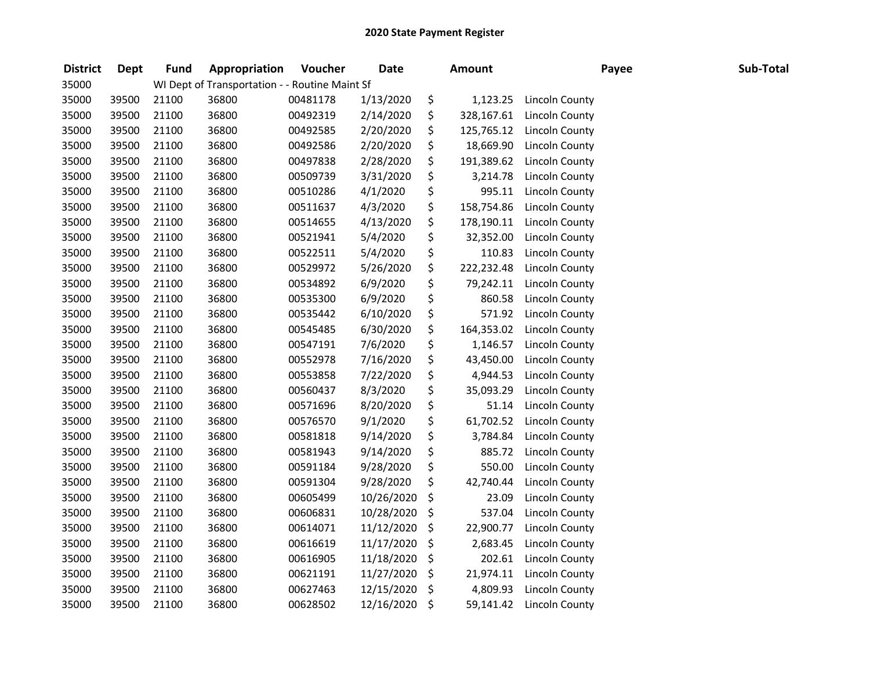| <b>District</b> | <b>Dept</b> | <b>Fund</b> | Appropriation                                  | Voucher  | <b>Date</b> | <b>Amount</b>    |                       | Payee | Sub-Total |
|-----------------|-------------|-------------|------------------------------------------------|----------|-------------|------------------|-----------------------|-------|-----------|
| 35000           |             |             | WI Dept of Transportation - - Routine Maint Sf |          |             |                  |                       |       |           |
| 35000           | 39500       | 21100       | 36800                                          | 00481178 | 1/13/2020   | \$<br>1,123.25   | Lincoln County        |       |           |
| 35000           | 39500       | 21100       | 36800                                          | 00492319 | 2/14/2020   | \$<br>328,167.61 | <b>Lincoln County</b> |       |           |
| 35000           | 39500       | 21100       | 36800                                          | 00492585 | 2/20/2020   | \$<br>125,765.12 | Lincoln County        |       |           |
| 35000           | 39500       | 21100       | 36800                                          | 00492586 | 2/20/2020   | \$<br>18,669.90  | <b>Lincoln County</b> |       |           |
| 35000           | 39500       | 21100       | 36800                                          | 00497838 | 2/28/2020   | \$<br>191,389.62 | <b>Lincoln County</b> |       |           |
| 35000           | 39500       | 21100       | 36800                                          | 00509739 | 3/31/2020   | \$<br>3,214.78   | Lincoln County        |       |           |
| 35000           | 39500       | 21100       | 36800                                          | 00510286 | 4/1/2020    | \$<br>995.11     | Lincoln County        |       |           |
| 35000           | 39500       | 21100       | 36800                                          | 00511637 | 4/3/2020    | \$<br>158,754.86 | Lincoln County        |       |           |
| 35000           | 39500       | 21100       | 36800                                          | 00514655 | 4/13/2020   | \$<br>178,190.11 | Lincoln County        |       |           |
| 35000           | 39500       | 21100       | 36800                                          | 00521941 | 5/4/2020    | \$<br>32,352.00  | Lincoln County        |       |           |
| 35000           | 39500       | 21100       | 36800                                          | 00522511 | 5/4/2020    | \$<br>110.83     | <b>Lincoln County</b> |       |           |
| 35000           | 39500       | 21100       | 36800                                          | 00529972 | 5/26/2020   | \$<br>222,232.48 | <b>Lincoln County</b> |       |           |
| 35000           | 39500       | 21100       | 36800                                          | 00534892 | 6/9/2020    | \$<br>79,242.11  | <b>Lincoln County</b> |       |           |
| 35000           | 39500       | 21100       | 36800                                          | 00535300 | 6/9/2020    | \$<br>860.58     | <b>Lincoln County</b> |       |           |
| 35000           | 39500       | 21100       | 36800                                          | 00535442 | 6/10/2020   | \$<br>571.92     | <b>Lincoln County</b> |       |           |
| 35000           | 39500       | 21100       | 36800                                          | 00545485 | 6/30/2020   | \$<br>164,353.02 | Lincoln County        |       |           |
| 35000           | 39500       | 21100       | 36800                                          | 00547191 | 7/6/2020    | \$<br>1,146.57   | <b>Lincoln County</b> |       |           |
| 35000           | 39500       | 21100       | 36800                                          | 00552978 | 7/16/2020   | \$<br>43,450.00  | Lincoln County        |       |           |
| 35000           | 39500       | 21100       | 36800                                          | 00553858 | 7/22/2020   | \$<br>4,944.53   | <b>Lincoln County</b> |       |           |
| 35000           | 39500       | 21100       | 36800                                          | 00560437 | 8/3/2020    | \$<br>35,093.29  | <b>Lincoln County</b> |       |           |
| 35000           | 39500       | 21100       | 36800                                          | 00571696 | 8/20/2020   | \$<br>51.14      | Lincoln County        |       |           |
| 35000           | 39500       | 21100       | 36800                                          | 00576570 | 9/1/2020    | \$<br>61,702.52  | Lincoln County        |       |           |
| 35000           | 39500       | 21100       | 36800                                          | 00581818 | 9/14/2020   | \$<br>3,784.84   | Lincoln County        |       |           |
| 35000           | 39500       | 21100       | 36800                                          | 00581943 | 9/14/2020   | \$<br>885.72     | <b>Lincoln County</b> |       |           |
| 35000           | 39500       | 21100       | 36800                                          | 00591184 | 9/28/2020   | \$<br>550.00     | Lincoln County        |       |           |
| 35000           | 39500       | 21100       | 36800                                          | 00591304 | 9/28/2020   | \$<br>42,740.44  | Lincoln County        |       |           |
| 35000           | 39500       | 21100       | 36800                                          | 00605499 | 10/26/2020  | \$<br>23.09      | Lincoln County        |       |           |
| 35000           | 39500       | 21100       | 36800                                          | 00606831 | 10/28/2020  | \$<br>537.04     | <b>Lincoln County</b> |       |           |
| 35000           | 39500       | 21100       | 36800                                          | 00614071 | 11/12/2020  | \$<br>22,900.77  | <b>Lincoln County</b> |       |           |
| 35000           | 39500       | 21100       | 36800                                          | 00616619 | 11/17/2020  | \$<br>2,683.45   | <b>Lincoln County</b> |       |           |
| 35000           | 39500       | 21100       | 36800                                          | 00616905 | 11/18/2020  | \$<br>202.61     | <b>Lincoln County</b> |       |           |
| 35000           | 39500       | 21100       | 36800                                          | 00621191 | 11/27/2020  | \$<br>21,974.11  | Lincoln County        |       |           |
| 35000           | 39500       | 21100       | 36800                                          | 00627463 | 12/15/2020  | \$<br>4,809.93   | Lincoln County        |       |           |
| 35000           | 39500       | 21100       | 36800                                          | 00628502 | 12/16/2020  | \$<br>59,141.42  | Lincoln County        |       |           |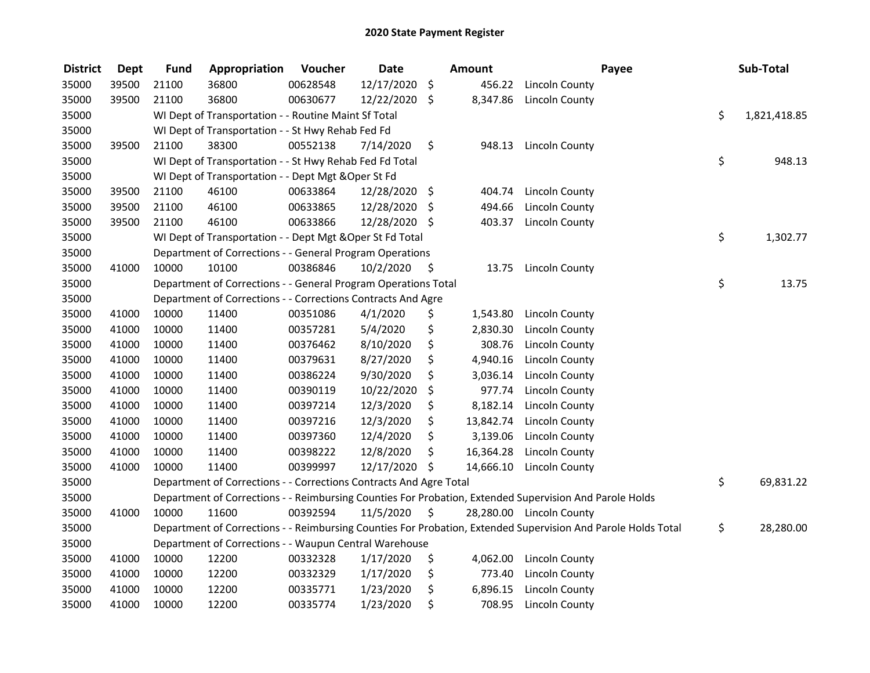| <b>District</b> | <b>Dept</b> | <b>Fund</b> | Appropriation                                                                                           | Voucher  | <b>Date</b>   |     | <b>Amount</b> |                          | Payee                                                                                                         | Sub-Total          |
|-----------------|-------------|-------------|---------------------------------------------------------------------------------------------------------|----------|---------------|-----|---------------|--------------------------|---------------------------------------------------------------------------------------------------------------|--------------------|
| 35000           | 39500       | 21100       | 36800                                                                                                   | 00628548 | 12/17/2020    | \$  | 456.22        | Lincoln County           |                                                                                                               |                    |
| 35000           | 39500       | 21100       | 36800                                                                                                   | 00630677 | 12/22/2020    | \$  | 8,347.86      | Lincoln County           |                                                                                                               |                    |
| 35000           |             |             | WI Dept of Transportation - - Routine Maint Sf Total                                                    |          |               |     |               |                          |                                                                                                               | \$<br>1,821,418.85 |
| 35000           |             |             | WI Dept of Transportation - - St Hwy Rehab Fed Fd                                                       |          |               |     |               |                          |                                                                                                               |                    |
| 35000           | 39500       | 21100       | 38300                                                                                                   | 00552138 | 7/14/2020     | \$  | 948.13        | Lincoln County           |                                                                                                               |                    |
| 35000           |             |             | WI Dept of Transportation - - St Hwy Rehab Fed Fd Total                                                 |          |               |     |               |                          |                                                                                                               | \$<br>948.13       |
| 35000           |             |             | WI Dept of Transportation - - Dept Mgt & Oper St Fd                                                     |          |               |     |               |                          |                                                                                                               |                    |
| 35000           | 39500       | 21100       | 46100                                                                                                   | 00633864 | 12/28/2020    | \$  | 404.74        | Lincoln County           |                                                                                                               |                    |
| 35000           | 39500       | 21100       | 46100                                                                                                   | 00633865 | 12/28/2020    | -\$ | 494.66        | <b>Lincoln County</b>    |                                                                                                               |                    |
| 35000           | 39500       | 21100       | 46100                                                                                                   | 00633866 | 12/28/2020 \$ |     | 403.37        | <b>Lincoln County</b>    |                                                                                                               |                    |
| 35000           |             |             | WI Dept of Transportation - - Dept Mgt & Oper St Fd Total                                               |          |               |     |               |                          |                                                                                                               | \$<br>1,302.77     |
| 35000           |             |             | Department of Corrections - - General Program Operations                                                |          |               |     |               |                          |                                                                                                               |                    |
| 35000           | 41000       | 10000       | 10100                                                                                                   | 00386846 | 10/2/2020     | \$  | 13.75         | Lincoln County           |                                                                                                               |                    |
| 35000           |             |             | Department of Corrections - - General Program Operations Total                                          |          |               |     |               |                          |                                                                                                               | \$<br>13.75        |
| 35000           |             |             | Department of Corrections - - Corrections Contracts And Agre                                            |          |               |     |               |                          |                                                                                                               |                    |
| 35000           | 41000       | 10000       | 11400                                                                                                   | 00351086 | 4/1/2020      | \$  | 1,543.80      | Lincoln County           |                                                                                                               |                    |
| 35000           | 41000       | 10000       | 11400                                                                                                   | 00357281 | 5/4/2020      | \$  | 2,830.30      | <b>Lincoln County</b>    |                                                                                                               |                    |
| 35000           | 41000       | 10000       | 11400                                                                                                   | 00376462 | 8/10/2020     | \$  | 308.76        | Lincoln County           |                                                                                                               |                    |
| 35000           | 41000       | 10000       | 11400                                                                                                   | 00379631 | 8/27/2020     | \$  | 4,940.16      | <b>Lincoln County</b>    |                                                                                                               |                    |
| 35000           | 41000       | 10000       | 11400                                                                                                   | 00386224 | 9/30/2020     | \$  | 3,036.14      | <b>Lincoln County</b>    |                                                                                                               |                    |
| 35000           | 41000       | 10000       | 11400                                                                                                   | 00390119 | 10/22/2020    | \$  | 977.74        | Lincoln County           |                                                                                                               |                    |
| 35000           | 41000       | 10000       | 11400                                                                                                   | 00397214 | 12/3/2020     | \$  | 8,182.14      | Lincoln County           |                                                                                                               |                    |
| 35000           | 41000       | 10000       | 11400                                                                                                   | 00397216 | 12/3/2020     | \$  | 13,842.74     | Lincoln County           |                                                                                                               |                    |
| 35000           | 41000       | 10000       | 11400                                                                                                   | 00397360 | 12/4/2020     | \$  | 3,139.06      | <b>Lincoln County</b>    |                                                                                                               |                    |
| 35000           | 41000       | 10000       | 11400                                                                                                   | 00398222 | 12/8/2020     | \$  | 16,364.28     | <b>Lincoln County</b>    |                                                                                                               |                    |
| 35000           | 41000       | 10000       | 11400                                                                                                   | 00399997 | 12/17/2020    | \$  | 14,666.10     | <b>Lincoln County</b>    |                                                                                                               |                    |
| 35000           |             |             | Department of Corrections - - Corrections Contracts And Agre Total                                      |          |               |     |               |                          |                                                                                                               | \$<br>69,831.22    |
| 35000           |             |             | Department of Corrections - - Reimbursing Counties For Probation, Extended Supervision And Parole Holds |          |               |     |               |                          |                                                                                                               |                    |
| 35000           | 41000       | 10000       | 11600                                                                                                   | 00392594 | 11/5/2020     | \$  |               | 28,280.00 Lincoln County |                                                                                                               |                    |
| 35000           |             |             |                                                                                                         |          |               |     |               |                          | Department of Corrections - - Reimbursing Counties For Probation, Extended Supervision And Parole Holds Total | \$<br>28,280.00    |
| 35000           |             |             | Department of Corrections - - Waupun Central Warehouse                                                  |          |               |     |               |                          |                                                                                                               |                    |
| 35000           | 41000       | 10000       | 12200                                                                                                   | 00332328 | 1/17/2020     | \$  | 4,062.00      | Lincoln County           |                                                                                                               |                    |
| 35000           | 41000       | 10000       | 12200                                                                                                   | 00332329 | 1/17/2020     | \$  | 773.40        | Lincoln County           |                                                                                                               |                    |
| 35000           | 41000       | 10000       | 12200                                                                                                   | 00335771 | 1/23/2020     | \$  | 6,896.15      | Lincoln County           |                                                                                                               |                    |
| 35000           | 41000       | 10000       | 12200                                                                                                   | 00335774 | 1/23/2020     | \$  | 708.95        | Lincoln County           |                                                                                                               |                    |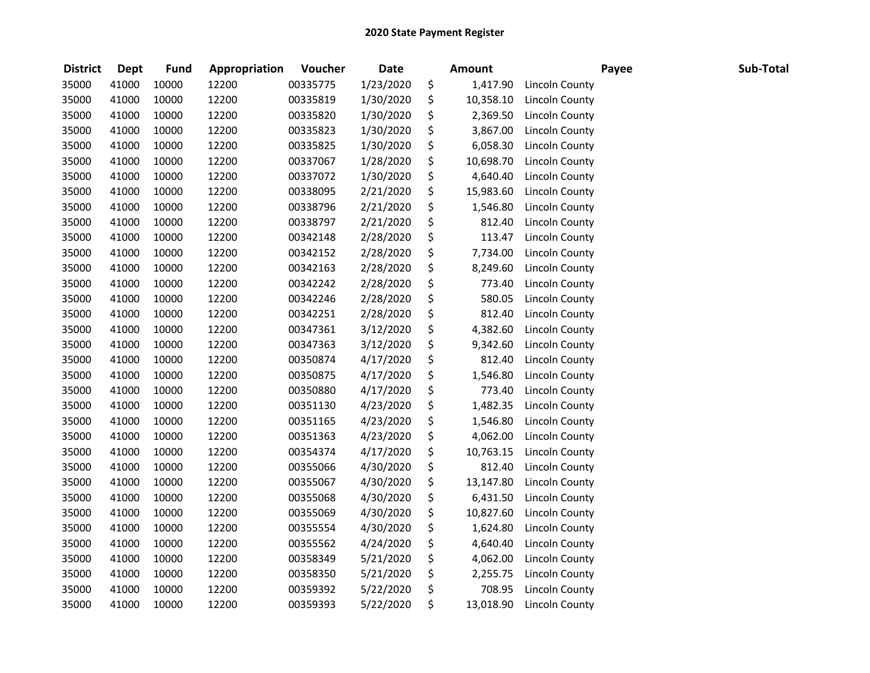| <b>District</b> | <b>Dept</b> | <b>Fund</b> | Appropriation | Voucher  | <b>Date</b> | <b>Amount</b>   |                       | Payee | Sub-Total |
|-----------------|-------------|-------------|---------------|----------|-------------|-----------------|-----------------------|-------|-----------|
| 35000           | 41000       | 10000       | 12200         | 00335775 | 1/23/2020   | \$<br>1,417.90  | Lincoln County        |       |           |
| 35000           | 41000       | 10000       | 12200         | 00335819 | 1/30/2020   | \$<br>10,358.10 | Lincoln County        |       |           |
| 35000           | 41000       | 10000       | 12200         | 00335820 | 1/30/2020   | \$<br>2,369.50  | <b>Lincoln County</b> |       |           |
| 35000           | 41000       | 10000       | 12200         | 00335823 | 1/30/2020   | \$<br>3,867.00  | Lincoln County        |       |           |
| 35000           | 41000       | 10000       | 12200         | 00335825 | 1/30/2020   | \$<br>6,058.30  | <b>Lincoln County</b> |       |           |
| 35000           | 41000       | 10000       | 12200         | 00337067 | 1/28/2020   | \$<br>10,698.70 | <b>Lincoln County</b> |       |           |
| 35000           | 41000       | 10000       | 12200         | 00337072 | 1/30/2020   | \$<br>4,640.40  | Lincoln County        |       |           |
| 35000           | 41000       | 10000       | 12200         | 00338095 | 2/21/2020   | \$<br>15,983.60 | Lincoln County        |       |           |
| 35000           | 41000       | 10000       | 12200         | 00338796 | 2/21/2020   | \$<br>1,546.80  | Lincoln County        |       |           |
| 35000           | 41000       | 10000       | 12200         | 00338797 | 2/21/2020   | \$<br>812.40    | Lincoln County        |       |           |
| 35000           | 41000       | 10000       | 12200         | 00342148 | 2/28/2020   | \$<br>113.47    | Lincoln County        |       |           |
| 35000           | 41000       | 10000       | 12200         | 00342152 | 2/28/2020   | \$<br>7,734.00  | <b>Lincoln County</b> |       |           |
| 35000           | 41000       | 10000       | 12200         | 00342163 | 2/28/2020   | \$<br>8,249.60  | Lincoln County        |       |           |
| 35000           | 41000       | 10000       | 12200         | 00342242 | 2/28/2020   | \$<br>773.40    | <b>Lincoln County</b> |       |           |
| 35000           | 41000       | 10000       | 12200         | 00342246 | 2/28/2020   | \$<br>580.05    | <b>Lincoln County</b> |       |           |
| 35000           | 41000       | 10000       | 12200         | 00342251 | 2/28/2020   | \$<br>812.40    | <b>Lincoln County</b> |       |           |
| 35000           | 41000       | 10000       | 12200         | 00347361 | 3/12/2020   | \$<br>4,382.60  | Lincoln County        |       |           |
| 35000           | 41000       | 10000       | 12200         | 00347363 | 3/12/2020   | \$<br>9,342.60  | <b>Lincoln County</b> |       |           |
| 35000           | 41000       | 10000       | 12200         | 00350874 | 4/17/2020   | \$<br>812.40    | Lincoln County        |       |           |
| 35000           | 41000       | 10000       | 12200         | 00350875 | 4/17/2020   | \$<br>1,546.80  | Lincoln County        |       |           |
| 35000           | 41000       | 10000       | 12200         | 00350880 | 4/17/2020   | \$<br>773.40    | <b>Lincoln County</b> |       |           |
| 35000           | 41000       | 10000       | 12200         | 00351130 | 4/23/2020   | \$<br>1,482.35  | Lincoln County        |       |           |
| 35000           | 41000       | 10000       | 12200         | 00351165 | 4/23/2020   | \$<br>1,546.80  | Lincoln County        |       |           |
| 35000           | 41000       | 10000       | 12200         | 00351363 | 4/23/2020   | \$<br>4,062.00  | Lincoln County        |       |           |
| 35000           | 41000       | 10000       | 12200         | 00354374 | 4/17/2020   | \$<br>10,763.15 | Lincoln County        |       |           |
| 35000           | 41000       | 10000       | 12200         | 00355066 | 4/30/2020   | \$<br>812.40    | Lincoln County        |       |           |
| 35000           | 41000       | 10000       | 12200         | 00355067 | 4/30/2020   | \$<br>13,147.80 | Lincoln County        |       |           |
| 35000           | 41000       | 10000       | 12200         | 00355068 | 4/30/2020   | \$<br>6,431.50  | <b>Lincoln County</b> |       |           |
| 35000           | 41000       | 10000       | 12200         | 00355069 | 4/30/2020   | \$<br>10,827.60 | Lincoln County        |       |           |
| 35000           | 41000       | 10000       | 12200         | 00355554 | 4/30/2020   | \$<br>1,624.80  | Lincoln County        |       |           |
| 35000           | 41000       | 10000       | 12200         | 00355562 | 4/24/2020   | \$<br>4,640.40  | <b>Lincoln County</b> |       |           |
| 35000           | 41000       | 10000       | 12200         | 00358349 | 5/21/2020   | \$<br>4,062.00  | <b>Lincoln County</b> |       |           |
| 35000           | 41000       | 10000       | 12200         | 00358350 | 5/21/2020   | \$<br>2,255.75  | Lincoln County        |       |           |
| 35000           | 41000       | 10000       | 12200         | 00359392 | 5/22/2020   | \$<br>708.95    | Lincoln County        |       |           |
| 35000           | 41000       | 10000       | 12200         | 00359393 | 5/22/2020   | \$<br>13,018.90 | Lincoln County        |       |           |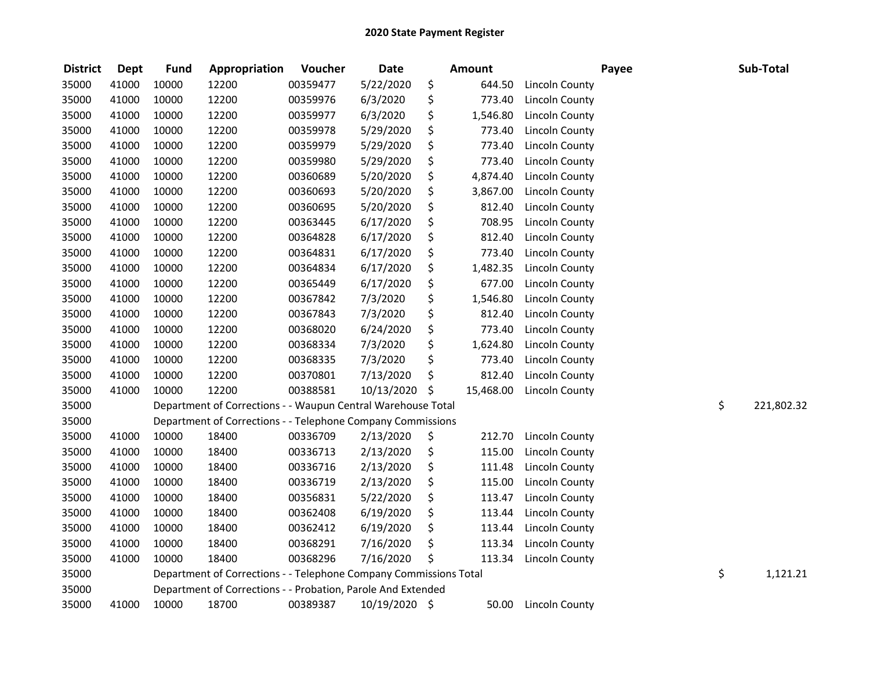| <b>District</b> | <b>Dept</b> | <b>Fund</b> | Appropriation                                                     | Voucher  | <b>Date</b>   | <b>Amount</b>   |                       | Payee | Sub-Total        |
|-----------------|-------------|-------------|-------------------------------------------------------------------|----------|---------------|-----------------|-----------------------|-------|------------------|
| 35000           | 41000       | 10000       | 12200                                                             | 00359477 | 5/22/2020     | \$<br>644.50    | Lincoln County        |       |                  |
| 35000           | 41000       | 10000       | 12200                                                             | 00359976 | 6/3/2020      | \$<br>773.40    | <b>Lincoln County</b> |       |                  |
| 35000           | 41000       | 10000       | 12200                                                             | 00359977 | 6/3/2020      | \$<br>1,546.80  | <b>Lincoln County</b> |       |                  |
| 35000           | 41000       | 10000       | 12200                                                             | 00359978 | 5/29/2020     | \$<br>773.40    | <b>Lincoln County</b> |       |                  |
| 35000           | 41000       | 10000       | 12200                                                             | 00359979 | 5/29/2020     | \$<br>773.40    | Lincoln County        |       |                  |
| 35000           | 41000       | 10000       | 12200                                                             | 00359980 | 5/29/2020     | \$<br>773.40    | Lincoln County        |       |                  |
| 35000           | 41000       | 10000       | 12200                                                             | 00360689 | 5/20/2020     | \$<br>4,874.40  | Lincoln County        |       |                  |
| 35000           | 41000       | 10000       | 12200                                                             | 00360693 | 5/20/2020     | \$<br>3,867.00  | Lincoln County        |       |                  |
| 35000           | 41000       | 10000       | 12200                                                             | 00360695 | 5/20/2020     | \$<br>812.40    | Lincoln County        |       |                  |
| 35000           | 41000       | 10000       | 12200                                                             | 00363445 | 6/17/2020     | \$<br>708.95    | Lincoln County        |       |                  |
| 35000           | 41000       | 10000       | 12200                                                             | 00364828 | 6/17/2020     | \$<br>812.40    | <b>Lincoln County</b> |       |                  |
| 35000           | 41000       | 10000       | 12200                                                             | 00364831 | 6/17/2020     | \$<br>773.40    | Lincoln County        |       |                  |
| 35000           | 41000       | 10000       | 12200                                                             | 00364834 | 6/17/2020     | \$<br>1,482.35  | <b>Lincoln County</b> |       |                  |
| 35000           | 41000       | 10000       | 12200                                                             | 00365449 | 6/17/2020     | \$<br>677.00    | Lincoln County        |       |                  |
| 35000           | 41000       | 10000       | 12200                                                             | 00367842 | 7/3/2020      | \$<br>1,546.80  | <b>Lincoln County</b> |       |                  |
| 35000           | 41000       | 10000       | 12200                                                             | 00367843 | 7/3/2020      | \$<br>812.40    | <b>Lincoln County</b> |       |                  |
| 35000           | 41000       | 10000       | 12200                                                             | 00368020 | 6/24/2020     | \$<br>773.40    | <b>Lincoln County</b> |       |                  |
| 35000           | 41000       | 10000       | 12200                                                             | 00368334 | 7/3/2020      | \$<br>1,624.80  | Lincoln County        |       |                  |
| 35000           | 41000       | 10000       | 12200                                                             | 00368335 | 7/3/2020      | \$<br>773.40    | <b>Lincoln County</b> |       |                  |
| 35000           | 41000       | 10000       | 12200                                                             | 00370801 | 7/13/2020     | \$<br>812.40    | <b>Lincoln County</b> |       |                  |
| 35000           | 41000       | 10000       | 12200                                                             | 00388581 | 10/13/2020    | \$<br>15,468.00 | Lincoln County        |       |                  |
| 35000           |             |             | Department of Corrections - - Waupun Central Warehouse Total      |          |               |                 |                       |       | \$<br>221,802.32 |
| 35000           |             |             | Department of Corrections - - Telephone Company Commissions       |          |               |                 |                       |       |                  |
| 35000           | 41000       | 10000       | 18400                                                             | 00336709 | 2/13/2020     | \$<br>212.70    | Lincoln County        |       |                  |
| 35000           | 41000       | 10000       | 18400                                                             | 00336713 | 2/13/2020     | \$<br>115.00    | Lincoln County        |       |                  |
| 35000           | 41000       | 10000       | 18400                                                             | 00336716 | 2/13/2020     | \$<br>111.48    | Lincoln County        |       |                  |
| 35000           | 41000       | 10000       | 18400                                                             | 00336719 | 2/13/2020     | \$<br>115.00    | <b>Lincoln County</b> |       |                  |
| 35000           | 41000       | 10000       | 18400                                                             | 00356831 | 5/22/2020     | \$<br>113.47    | <b>Lincoln County</b> |       |                  |
| 35000           | 41000       | 10000       | 18400                                                             | 00362408 | 6/19/2020     | \$<br>113.44    | <b>Lincoln County</b> |       |                  |
| 35000           | 41000       | 10000       | 18400                                                             | 00362412 | 6/19/2020     | \$<br>113.44    | Lincoln County        |       |                  |
| 35000           | 41000       | 10000       | 18400                                                             | 00368291 | 7/16/2020     | \$<br>113.34    | <b>Lincoln County</b> |       |                  |
| 35000           | 41000       | 10000       | 18400                                                             | 00368296 | 7/16/2020     | \$<br>113.34    | Lincoln County        |       |                  |
| 35000           |             |             | Department of Corrections - - Telephone Company Commissions Total |          |               |                 |                       |       | \$<br>1,121.21   |
| 35000           |             |             | Department of Corrections - - Probation, Parole And Extended      |          |               |                 |                       |       |                  |
| 35000           | 41000       | 10000       | 18700                                                             | 00389387 | 10/19/2020 \$ | 50.00           | Lincoln County        |       |                  |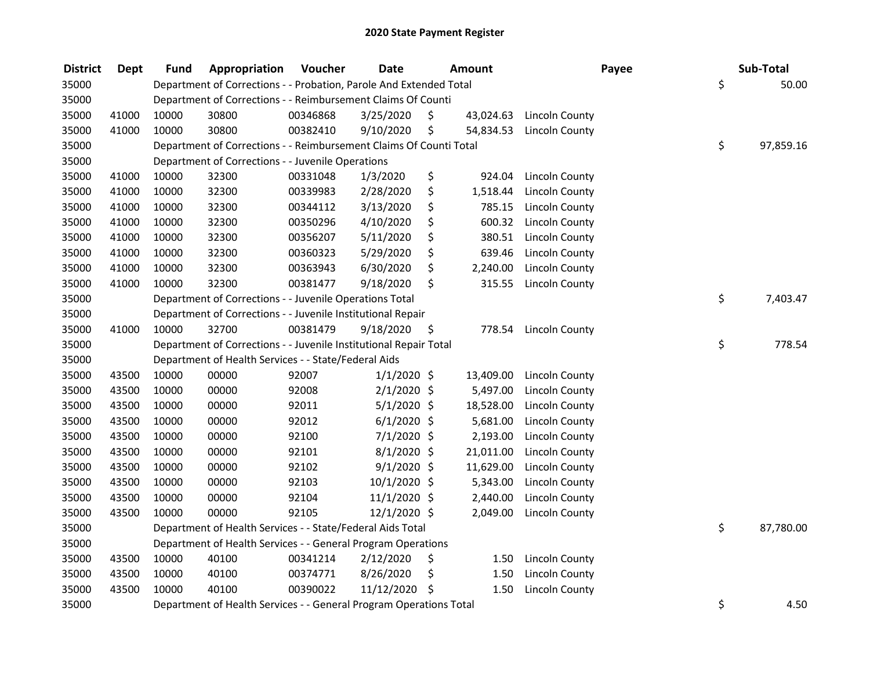| <b>District</b> | <b>Dept</b> | <b>Fund</b> | Appropriation                                                      | Voucher  | <b>Date</b>   | <b>Amount</b>   |                       | Payee | Sub-Total       |
|-----------------|-------------|-------------|--------------------------------------------------------------------|----------|---------------|-----------------|-----------------------|-------|-----------------|
| 35000           |             |             | Department of Corrections - - Probation, Parole And Extended Total |          |               |                 |                       |       | \$<br>50.00     |
| 35000           |             |             | Department of Corrections - - Reimbursement Claims Of Counti       |          |               |                 |                       |       |                 |
| 35000           | 41000       | 10000       | 30800                                                              | 00346868 | 3/25/2020     | \$<br>43,024.63 | Lincoln County        |       |                 |
| 35000           | 41000       | 10000       | 30800                                                              | 00382410 | 9/10/2020     | \$<br>54,834.53 | Lincoln County        |       |                 |
| 35000           |             |             | Department of Corrections - - Reimbursement Claims Of Counti Total |          |               |                 |                       |       | \$<br>97,859.16 |
| 35000           |             |             | Department of Corrections - - Juvenile Operations                  |          |               |                 |                       |       |                 |
| 35000           | 41000       | 10000       | 32300                                                              | 00331048 | 1/3/2020      | \$<br>924.04    | Lincoln County        |       |                 |
| 35000           | 41000       | 10000       | 32300                                                              | 00339983 | 2/28/2020     | \$<br>1,518.44  | <b>Lincoln County</b> |       |                 |
| 35000           | 41000       | 10000       | 32300                                                              | 00344112 | 3/13/2020     | \$<br>785.15    | Lincoln County        |       |                 |
| 35000           | 41000       | 10000       | 32300                                                              | 00350296 | 4/10/2020     | \$<br>600.32    | Lincoln County        |       |                 |
| 35000           | 41000       | 10000       | 32300                                                              | 00356207 | 5/11/2020     | \$<br>380.51    | <b>Lincoln County</b> |       |                 |
| 35000           | 41000       | 10000       | 32300                                                              | 00360323 | 5/29/2020     | \$<br>639.46    | Lincoln County        |       |                 |
| 35000           | 41000       | 10000       | 32300                                                              | 00363943 | 6/30/2020     | \$<br>2,240.00  | <b>Lincoln County</b> |       |                 |
| 35000           | 41000       | 10000       | 32300                                                              | 00381477 | 9/18/2020     | \$<br>315.55    | <b>Lincoln County</b> |       |                 |
| 35000           |             |             | Department of Corrections - - Juvenile Operations Total            |          |               |                 |                       |       | \$<br>7,403.47  |
| 35000           |             |             | Department of Corrections - - Juvenile Institutional Repair        |          |               |                 |                       |       |                 |
| 35000           | 41000       | 10000       | 32700                                                              | 00381479 | 9/18/2020     | \$<br>778.54    | <b>Lincoln County</b> |       |                 |
| 35000           |             |             | Department of Corrections - - Juvenile Institutional Repair Total  |          |               |                 |                       |       | \$<br>778.54    |
| 35000           |             |             | Department of Health Services - - State/Federal Aids               |          |               |                 |                       |       |                 |
| 35000           | 43500       | 10000       | 00000                                                              | 92007    | $1/1/2020$ \$ | 13,409.00       | Lincoln County        |       |                 |
| 35000           | 43500       | 10000       | 00000                                                              | 92008    | $2/1/2020$ \$ | 5,497.00        | Lincoln County        |       |                 |
| 35000           | 43500       | 10000       | 00000                                                              | 92011    | $5/1/2020$ \$ | 18,528.00       | Lincoln County        |       |                 |
| 35000           | 43500       | 10000       | 00000                                                              | 92012    | $6/1/2020$ \$ | 5,681.00        | Lincoln County        |       |                 |
| 35000           | 43500       | 10000       | 00000                                                              | 92100    | $7/1/2020$ \$ | 2,193.00        | Lincoln County        |       |                 |
| 35000           | 43500       | 10000       | 00000                                                              | 92101    | 8/1/2020 \$   | 21,011.00       | Lincoln County        |       |                 |
| 35000           | 43500       | 10000       | 00000                                                              | 92102    | $9/1/2020$ \$ | 11,629.00       | <b>Lincoln County</b> |       |                 |
| 35000           | 43500       | 10000       | 00000                                                              | 92103    | 10/1/2020 \$  | 5,343.00        | <b>Lincoln County</b> |       |                 |
| 35000           | 43500       | 10000       | 00000                                                              | 92104    | 11/1/2020 \$  | 2,440.00        | <b>Lincoln County</b> |       |                 |
| 35000           | 43500       | 10000       | 00000                                                              | 92105    | 12/1/2020 \$  | 2,049.00        | <b>Lincoln County</b> |       |                 |
| 35000           |             |             | Department of Health Services - - State/Federal Aids Total         |          |               |                 |                       |       | \$<br>87,780.00 |
| 35000           |             |             | Department of Health Services - - General Program Operations       |          |               |                 |                       |       |                 |
| 35000           | 43500       | 10000       | 40100                                                              | 00341214 | 2/12/2020     | \$<br>1.50      | Lincoln County        |       |                 |
| 35000           | 43500       | 10000       | 40100                                                              | 00374771 | 8/26/2020     | \$<br>1.50      | <b>Lincoln County</b> |       |                 |
| 35000           | 43500       | 10000       | 40100                                                              | 00390022 | 11/12/2020    | \$<br>1.50      | <b>Lincoln County</b> |       |                 |
| 35000           |             |             | Department of Health Services - - General Program Operations Total |          |               |                 |                       |       | \$<br>4.50      |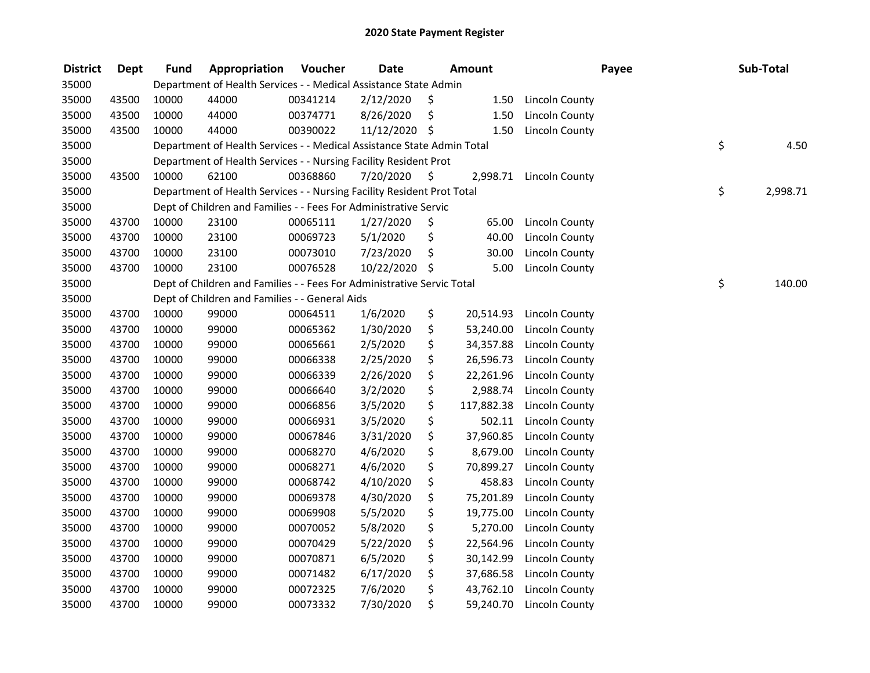| <b>District</b> | <b>Dept</b> | <b>Fund</b> | Appropriation                                                          | Voucher  | <b>Date</b>   |      | Amount     |                       | Payee | Sub-Total      |
|-----------------|-------------|-------------|------------------------------------------------------------------------|----------|---------------|------|------------|-----------------------|-------|----------------|
| 35000           |             |             | Department of Health Services - - Medical Assistance State Admin       |          |               |      |            |                       |       |                |
| 35000           | 43500       | 10000       | 44000                                                                  | 00341214 | 2/12/2020     | \$   | 1.50       | Lincoln County        |       |                |
| 35000           | 43500       | 10000       | 44000                                                                  | 00374771 | 8/26/2020     | \$   | 1.50       | Lincoln County        |       |                |
| 35000           | 43500       | 10000       | 44000                                                                  | 00390022 | 11/12/2020 \$ |      | 1.50       | <b>Lincoln County</b> |       |                |
| 35000           |             |             | Department of Health Services - - Medical Assistance State Admin Total |          |               |      |            |                       |       | \$<br>4.50     |
| 35000           |             |             | Department of Health Services - - Nursing Facility Resident Prot       |          |               |      |            |                       |       |                |
| 35000           | 43500       | 10000       | 62100                                                                  | 00368860 | 7/20/2020     | - \$ | 2,998.71   | Lincoln County        |       |                |
| 35000           |             |             | Department of Health Services - - Nursing Facility Resident Prot Total |          |               |      |            |                       |       | \$<br>2,998.71 |
| 35000           |             |             | Dept of Children and Families - - Fees For Administrative Servic       |          |               |      |            |                       |       |                |
| 35000           | 43700       | 10000       | 23100                                                                  | 00065111 | 1/27/2020     | \$   | 65.00      | Lincoln County        |       |                |
| 35000           | 43700       | 10000       | 23100                                                                  | 00069723 | 5/1/2020      | \$   | 40.00      | <b>Lincoln County</b> |       |                |
| 35000           | 43700       | 10000       | 23100                                                                  | 00073010 | 7/23/2020     | \$   | 30.00      | <b>Lincoln County</b> |       |                |
| 35000           | 43700       | 10000       | 23100                                                                  | 00076528 | 10/22/2020    | \$   | 5.00       | Lincoln County        |       |                |
| 35000           |             |             | Dept of Children and Families - - Fees For Administrative Servic Total |          |               |      |            |                       |       | \$<br>140.00   |
| 35000           |             |             | Dept of Children and Families - - General Aids                         |          |               |      |            |                       |       |                |
| 35000           | 43700       | 10000       | 99000                                                                  | 00064511 | 1/6/2020      | \$   | 20,514.93  | Lincoln County        |       |                |
| 35000           | 43700       | 10000       | 99000                                                                  | 00065362 | 1/30/2020     | \$   | 53,240.00  | <b>Lincoln County</b> |       |                |
| 35000           | 43700       | 10000       | 99000                                                                  | 00065661 | 2/5/2020      | \$   | 34,357.88  | <b>Lincoln County</b> |       |                |
| 35000           | 43700       | 10000       | 99000                                                                  | 00066338 | 2/25/2020     | \$   | 26,596.73  | Lincoln County        |       |                |
| 35000           | 43700       | 10000       | 99000                                                                  | 00066339 | 2/26/2020     | \$   | 22,261.96  | Lincoln County        |       |                |
| 35000           | 43700       | 10000       | 99000                                                                  | 00066640 | 3/2/2020      | \$   | 2,988.74   | Lincoln County        |       |                |
| 35000           | 43700       | 10000       | 99000                                                                  | 00066856 | 3/5/2020      | \$   | 117,882.38 | Lincoln County        |       |                |
| 35000           | 43700       | 10000       | 99000                                                                  | 00066931 | 3/5/2020      | \$   | 502.11     | Lincoln County        |       |                |
| 35000           | 43700       | 10000       | 99000                                                                  | 00067846 | 3/31/2020     | \$   | 37,960.85  | <b>Lincoln County</b> |       |                |
| 35000           | 43700       | 10000       | 99000                                                                  | 00068270 | 4/6/2020      | \$   | 8,679.00   | <b>Lincoln County</b> |       |                |
| 35000           | 43700       | 10000       | 99000                                                                  | 00068271 | 4/6/2020      | \$   | 70,899.27  | <b>Lincoln County</b> |       |                |
| 35000           | 43700       | 10000       | 99000                                                                  | 00068742 | 4/10/2020     | \$   | 458.83     | <b>Lincoln County</b> |       |                |
| 35000           | 43700       | 10000       | 99000                                                                  | 00069378 | 4/30/2020     | \$   | 75,201.89  | <b>Lincoln County</b> |       |                |
| 35000           | 43700       | 10000       | 99000                                                                  | 00069908 | 5/5/2020      | \$   | 19,775.00  | <b>Lincoln County</b> |       |                |
| 35000           | 43700       | 10000       | 99000                                                                  | 00070052 | 5/8/2020      | \$   | 5,270.00   | Lincoln County        |       |                |
| 35000           | 43700       | 10000       | 99000                                                                  | 00070429 | 5/22/2020     | \$   | 22,564.96  | <b>Lincoln County</b> |       |                |
| 35000           | 43700       | 10000       | 99000                                                                  | 00070871 | 6/5/2020      | \$   | 30,142.99  | Lincoln County        |       |                |
| 35000           | 43700       | 10000       | 99000                                                                  | 00071482 | 6/17/2020     | \$   | 37,686.58  | Lincoln County        |       |                |
| 35000           | 43700       | 10000       | 99000                                                                  | 00072325 | 7/6/2020      | \$   | 43,762.10  | <b>Lincoln County</b> |       |                |
| 35000           | 43700       | 10000       | 99000                                                                  | 00073332 | 7/30/2020     | \$   | 59,240.70  | Lincoln County        |       |                |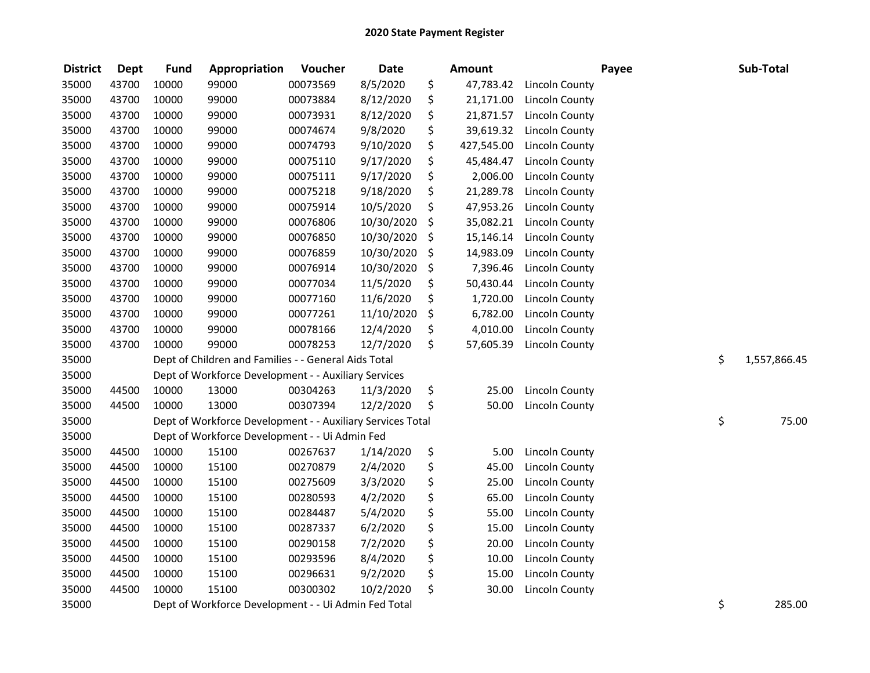| <b>District</b> | <b>Dept</b> | <b>Fund</b> | Appropriation                                              | Voucher  | <b>Date</b> | Amount           |                       | Payee | Sub-Total          |
|-----------------|-------------|-------------|------------------------------------------------------------|----------|-------------|------------------|-----------------------|-------|--------------------|
| 35000           | 43700       | 10000       | 99000                                                      | 00073569 | 8/5/2020    | \$<br>47,783.42  | Lincoln County        |       |                    |
| 35000           | 43700       | 10000       | 99000                                                      | 00073884 | 8/12/2020   | \$<br>21,171.00  | Lincoln County        |       |                    |
| 35000           | 43700       | 10000       | 99000                                                      | 00073931 | 8/12/2020   | \$<br>21,871.57  | <b>Lincoln County</b> |       |                    |
| 35000           | 43700       | 10000       | 99000                                                      | 00074674 | 9/8/2020    | \$<br>39,619.32  | <b>Lincoln County</b> |       |                    |
| 35000           | 43700       | 10000       | 99000                                                      | 00074793 | 9/10/2020   | \$<br>427,545.00 | Lincoln County        |       |                    |
| 35000           | 43700       | 10000       | 99000                                                      | 00075110 | 9/17/2020   | \$<br>45,484.47  | Lincoln County        |       |                    |
| 35000           | 43700       | 10000       | 99000                                                      | 00075111 | 9/17/2020   | \$<br>2,006.00   | <b>Lincoln County</b> |       |                    |
| 35000           | 43700       | 10000       | 99000                                                      | 00075218 | 9/18/2020   | \$<br>21,289.78  | <b>Lincoln County</b> |       |                    |
| 35000           | 43700       | 10000       | 99000                                                      | 00075914 | 10/5/2020   | \$<br>47,953.26  | Lincoln County        |       |                    |
| 35000           | 43700       | 10000       | 99000                                                      | 00076806 | 10/30/2020  | \$<br>35,082.21  | Lincoln County        |       |                    |
| 35000           | 43700       | 10000       | 99000                                                      | 00076850 | 10/30/2020  | \$<br>15,146.14  | <b>Lincoln County</b> |       |                    |
| 35000           | 43700       | 10000       | 99000                                                      | 00076859 | 10/30/2020  | \$<br>14,983.09  | <b>Lincoln County</b> |       |                    |
| 35000           | 43700       | 10000       | 99000                                                      | 00076914 | 10/30/2020  | \$<br>7,396.46   | <b>Lincoln County</b> |       |                    |
| 35000           | 43700       | 10000       | 99000                                                      | 00077034 | 11/5/2020   | \$<br>50,430.44  | <b>Lincoln County</b> |       |                    |
| 35000           | 43700       | 10000       | 99000                                                      | 00077160 | 11/6/2020   | \$<br>1,720.00   | <b>Lincoln County</b> |       |                    |
| 35000           | 43700       | 10000       | 99000                                                      | 00077261 | 11/10/2020  | \$<br>6,782.00   | <b>Lincoln County</b> |       |                    |
| 35000           | 43700       | 10000       | 99000                                                      | 00078166 | 12/4/2020   | \$<br>4,010.00   | <b>Lincoln County</b> |       |                    |
| 35000           | 43700       | 10000       | 99000                                                      | 00078253 | 12/7/2020   | \$<br>57,605.39  | <b>Lincoln County</b> |       |                    |
| 35000           |             |             | Dept of Children and Families - - General Aids Total       |          |             |                  |                       |       | \$<br>1,557,866.45 |
| 35000           |             |             | Dept of Workforce Development - - Auxiliary Services       |          |             |                  |                       |       |                    |
| 35000           | 44500       | 10000       | 13000                                                      | 00304263 | 11/3/2020   | \$<br>25.00      | <b>Lincoln County</b> |       |                    |
| 35000           | 44500       | 10000       | 13000                                                      | 00307394 | 12/2/2020   | \$<br>50.00      | Lincoln County        |       |                    |
| 35000           |             |             | Dept of Workforce Development - - Auxiliary Services Total |          |             |                  |                       |       | \$<br>75.00        |
| 35000           |             |             | Dept of Workforce Development - - Ui Admin Fed             |          |             |                  |                       |       |                    |
| 35000           | 44500       | 10000       | 15100                                                      | 00267637 | 1/14/2020   | \$<br>5.00       | <b>Lincoln County</b> |       |                    |
| 35000           | 44500       | 10000       | 15100                                                      | 00270879 | 2/4/2020    | \$<br>45.00      | <b>Lincoln County</b> |       |                    |
| 35000           | 44500       | 10000       | 15100                                                      | 00275609 | 3/3/2020    | \$<br>25.00      | <b>Lincoln County</b> |       |                    |
| 35000           | 44500       | 10000       | 15100                                                      | 00280593 | 4/2/2020    | \$<br>65.00      | <b>Lincoln County</b> |       |                    |
| 35000           | 44500       | 10000       | 15100                                                      | 00284487 | 5/4/2020    | \$<br>55.00      | <b>Lincoln County</b> |       |                    |
| 35000           | 44500       | 10000       | 15100                                                      | 00287337 | 6/2/2020    | \$<br>15.00      | <b>Lincoln County</b> |       |                    |
| 35000           | 44500       | 10000       | 15100                                                      | 00290158 | 7/2/2020    | \$<br>20.00      | <b>Lincoln County</b> |       |                    |
| 35000           | 44500       | 10000       | 15100                                                      | 00293596 | 8/4/2020    | \$<br>10.00      | <b>Lincoln County</b> |       |                    |
| 35000           | 44500       | 10000       | 15100                                                      | 00296631 | 9/2/2020    | \$<br>15.00      | <b>Lincoln County</b> |       |                    |
| 35000           | 44500       | 10000       | 15100                                                      | 00300302 | 10/2/2020   | \$<br>30.00      | <b>Lincoln County</b> |       |                    |
| 35000           |             |             | Dept of Workforce Development - - Ui Admin Fed Total       |          |             |                  |                       |       | \$<br>285.00       |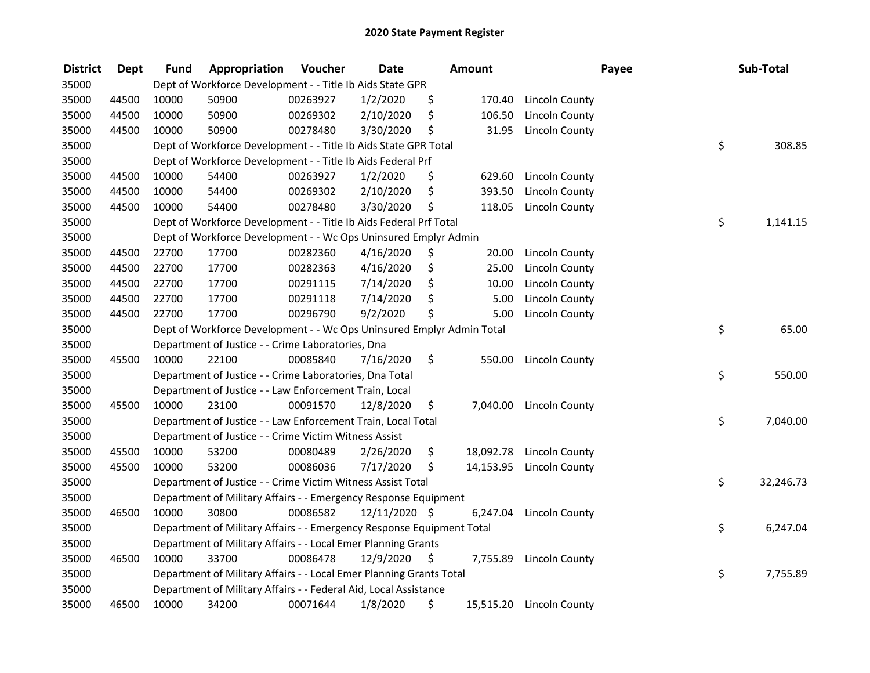| <b>District</b> | <b>Dept</b> | Fund  | Appropriation                                                         | Voucher  | <b>Date</b>   | <b>Amount</b>   |                       | Payee | Sub-Total |
|-----------------|-------------|-------|-----------------------------------------------------------------------|----------|---------------|-----------------|-----------------------|-------|-----------|
| 35000           |             |       | Dept of Workforce Development - - Title Ib Aids State GPR             |          |               |                 |                       |       |           |
| 35000           | 44500       | 10000 | 50900                                                                 | 00263927 | 1/2/2020      | \$<br>170.40    | Lincoln County        |       |           |
| 35000           | 44500       | 10000 | 50900                                                                 | 00269302 | 2/10/2020     | \$<br>106.50    | <b>Lincoln County</b> |       |           |
| 35000           | 44500       | 10000 | 50900                                                                 | 00278480 | 3/30/2020     | \$<br>31.95     | Lincoln County        |       |           |
| 35000           |             |       | Dept of Workforce Development - - Title Ib Aids State GPR Total       |          |               |                 |                       | \$    | 308.85    |
| 35000           |             |       | Dept of Workforce Development - - Title Ib Aids Federal Prf           |          |               |                 |                       |       |           |
| 35000           | 44500       | 10000 | 54400                                                                 | 00263927 | 1/2/2020      | \$<br>629.60    | Lincoln County        |       |           |
| 35000           | 44500       | 10000 | 54400                                                                 | 00269302 | 2/10/2020     | \$<br>393.50    | <b>Lincoln County</b> |       |           |
| 35000           | 44500       | 10000 | 54400                                                                 | 00278480 | 3/30/2020     | \$<br>118.05    | <b>Lincoln County</b> |       |           |
| 35000           |             |       | Dept of Workforce Development - - Title Ib Aids Federal Prf Total     |          |               |                 |                       | \$    | 1,141.15  |
| 35000           |             |       | Dept of Workforce Development - - Wc Ops Uninsured Emplyr Admin       |          |               |                 |                       |       |           |
| 35000           | 44500       | 22700 | 17700                                                                 | 00282360 | 4/16/2020     | \$<br>20.00     | <b>Lincoln County</b> |       |           |
| 35000           | 44500       | 22700 | 17700                                                                 | 00282363 | 4/16/2020     | \$<br>25.00     | <b>Lincoln County</b> |       |           |
| 35000           | 44500       | 22700 | 17700                                                                 | 00291115 | 7/14/2020     | \$<br>10.00     | Lincoln County        |       |           |
| 35000           | 44500       | 22700 | 17700                                                                 | 00291118 | 7/14/2020     | \$<br>5.00      | <b>Lincoln County</b> |       |           |
| 35000           | 44500       | 22700 | 17700                                                                 | 00296790 | 9/2/2020      | \$<br>5.00      | <b>Lincoln County</b> |       |           |
| 35000           |             |       | Dept of Workforce Development - - Wc Ops Uninsured Emplyr Admin Total |          |               |                 |                       | \$    | 65.00     |
| 35000           |             |       | Department of Justice - - Crime Laboratories, Dna                     |          |               |                 |                       |       |           |
| 35000           | 45500       | 10000 | 22100                                                                 | 00085840 | 7/16/2020     | \$<br>550.00    | Lincoln County        |       |           |
| 35000           |             |       | Department of Justice - - Crime Laboratories, Dna Total               |          |               |                 |                       | \$    | 550.00    |
| 35000           |             |       | Department of Justice - - Law Enforcement Train, Local                |          |               |                 |                       |       |           |
| 35000           | 45500       | 10000 | 23100                                                                 | 00091570 | 12/8/2020     | \$<br>7,040.00  | Lincoln County        |       |           |
| 35000           |             |       | Department of Justice - - Law Enforcement Train, Local Total          |          |               |                 |                       | \$    | 7,040.00  |
| 35000           |             |       | Department of Justice - - Crime Victim Witness Assist                 |          |               |                 |                       |       |           |
| 35000           | 45500       | 10000 | 53200                                                                 | 00080489 | 2/26/2020     | \$<br>18,092.78 | Lincoln County        |       |           |
| 35000           | 45500       | 10000 | 53200                                                                 | 00086036 | 7/17/2020     | \$<br>14,153.95 | Lincoln County        |       |           |
| 35000           |             |       | Department of Justice - - Crime Victim Witness Assist Total           |          |               |                 |                       | \$    | 32,246.73 |
| 35000           |             |       | Department of Military Affairs - - Emergency Response Equipment       |          |               |                 |                       |       |           |
| 35000           | 46500       | 10000 | 30800                                                                 | 00086582 | 12/11/2020 \$ | 6,247.04        | Lincoln County        |       |           |
| 35000           |             |       | Department of Military Affairs - - Emergency Response Equipment Total |          |               |                 |                       | \$    | 6,247.04  |
| 35000           |             |       | Department of Military Affairs - - Local Emer Planning Grants         |          |               |                 |                       |       |           |
| 35000           | 46500       | 10000 | 33700                                                                 | 00086478 | 12/9/2020     | \$<br>7,755.89  | Lincoln County        |       |           |
| 35000           |             |       | Department of Military Affairs - - Local Emer Planning Grants Total   |          |               |                 |                       | \$    | 7,755.89  |
| 35000           |             |       | Department of Military Affairs - - Federal Aid, Local Assistance      |          |               |                 |                       |       |           |
| 35000           | 46500       | 10000 | 34200                                                                 | 00071644 | 1/8/2020      | \$<br>15,515.20 | Lincoln County        |       |           |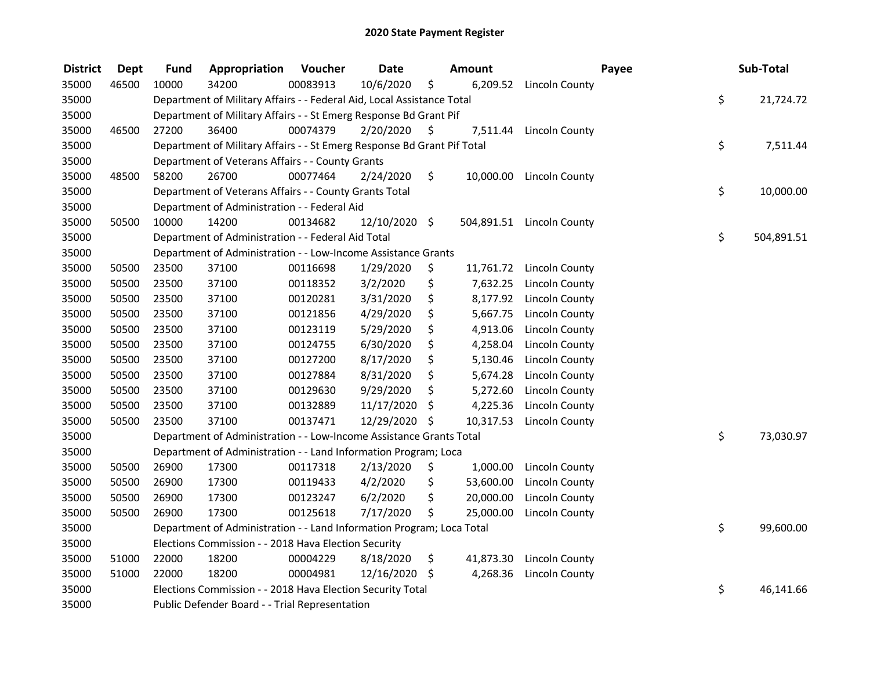| <b>District</b> | <b>Dept</b> | Fund  | Appropriation                                                           | Voucher  | <b>Date</b>     |     | <b>Amount</b> |                           | Payee | Sub-Total  |
|-----------------|-------------|-------|-------------------------------------------------------------------------|----------|-----------------|-----|---------------|---------------------------|-------|------------|
| 35000           | 46500       | 10000 | 34200                                                                   | 00083913 | 10/6/2020       | \$  |               | 6,209.52 Lincoln County   |       |            |
| 35000           |             |       | Department of Military Affairs - - Federal Aid, Local Assistance Total  |          |                 |     |               |                           | \$    | 21,724.72  |
| 35000           |             |       | Department of Military Affairs - - St Emerg Response Bd Grant Pif       |          |                 |     |               |                           |       |            |
| 35000           | 46500       | 27200 | 36400                                                                   | 00074379 | 2/20/2020       | \$  | 7,511.44      | <b>Lincoln County</b>     |       |            |
| 35000           |             |       | Department of Military Affairs - - St Emerg Response Bd Grant Pif Total |          |                 |     |               |                           | \$    | 7,511.44   |
| 35000           |             |       | Department of Veterans Affairs - - County Grants                        |          |                 |     |               |                           |       |            |
| 35000           | 48500       | 58200 | 26700                                                                   | 00077464 | 2/24/2020       | \$  |               | 10,000.00 Lincoln County  |       |            |
| 35000           |             |       | Department of Veterans Affairs - - County Grants Total                  |          |                 |     |               |                           | \$    | 10,000.00  |
| 35000           |             |       | Department of Administration - - Federal Aid                            |          |                 |     |               |                           |       |            |
| 35000           | 50500       | 10000 | 14200                                                                   | 00134682 | $12/10/2020$ \$ |     |               | 504,891.51 Lincoln County |       |            |
| 35000           |             |       | Department of Administration - - Federal Aid Total                      |          |                 |     |               |                           | \$    | 504,891.51 |
| 35000           |             |       | Department of Administration - - Low-Income Assistance Grants           |          |                 |     |               |                           |       |            |
| 35000           | 50500       | 23500 | 37100                                                                   | 00116698 | 1/29/2020       | \$  | 11,761.72     | Lincoln County            |       |            |
| 35000           | 50500       | 23500 | 37100                                                                   | 00118352 | 3/2/2020        | \$  | 7,632.25      | <b>Lincoln County</b>     |       |            |
| 35000           | 50500       | 23500 | 37100                                                                   | 00120281 | 3/31/2020       | \$  | 8,177.92      | Lincoln County            |       |            |
| 35000           | 50500       | 23500 | 37100                                                                   | 00121856 | 4/29/2020       | \$  | 5,667.75      | Lincoln County            |       |            |
| 35000           | 50500       | 23500 | 37100                                                                   | 00123119 | 5/29/2020       | \$  | 4,913.06      | Lincoln County            |       |            |
| 35000           | 50500       | 23500 | 37100                                                                   | 00124755 | 6/30/2020       | \$  | 4,258.04      | Lincoln County            |       |            |
| 35000           | 50500       | 23500 | 37100                                                                   | 00127200 | 8/17/2020       | \$  | 5,130.46      | Lincoln County            |       |            |
| 35000           | 50500       | 23500 | 37100                                                                   | 00127884 | 8/31/2020       | \$  | 5,674.28      | <b>Lincoln County</b>     |       |            |
| 35000           | 50500       | 23500 | 37100                                                                   | 00129630 | 9/29/2020       | \$  | 5,272.60      | <b>Lincoln County</b>     |       |            |
| 35000           | 50500       | 23500 | 37100                                                                   | 00132889 | 11/17/2020      | \$  | 4,225.36      | <b>Lincoln County</b>     |       |            |
| 35000           | 50500       | 23500 | 37100                                                                   | 00137471 | 12/29/2020      | \$  | 10,317.53     | <b>Lincoln County</b>     |       |            |
| 35000           |             |       | Department of Administration - - Low-Income Assistance Grants Total     |          |                 |     |               |                           | \$    | 73,030.97  |
| 35000           |             |       | Department of Administration - - Land Information Program; Loca         |          |                 |     |               |                           |       |            |
| 35000           | 50500       | 26900 | 17300                                                                   | 00117318 | 2/13/2020       | \$, | 1,000.00      | Lincoln County            |       |            |
| 35000           | 50500       | 26900 | 17300                                                                   | 00119433 | 4/2/2020        | \$  | 53,600.00     | <b>Lincoln County</b>     |       |            |
| 35000           | 50500       | 26900 | 17300                                                                   | 00123247 | 6/2/2020        | \$  | 20,000.00     | <b>Lincoln County</b>     |       |            |
| 35000           | 50500       | 26900 | 17300                                                                   | 00125618 | 7/17/2020       | \$  | 25,000.00     | Lincoln County            |       |            |
| 35000           |             |       | Department of Administration - - Land Information Program; Loca Total   |          |                 |     |               |                           | \$    | 99,600.00  |
| 35000           |             |       | Elections Commission - - 2018 Hava Election Security                    |          |                 |     |               |                           |       |            |
| 35000           | 51000       | 22000 | 18200                                                                   | 00004229 | 8/18/2020       | \$  | 41,873.30     | <b>Lincoln County</b>     |       |            |
| 35000           | 51000       | 22000 | 18200                                                                   | 00004981 | 12/16/2020 \$   |     | 4,268.36      | <b>Lincoln County</b>     |       |            |
| 35000           |             |       | Elections Commission - - 2018 Hava Election Security Total              |          |                 |     |               |                           | \$    | 46,141.66  |
| 35000           |             |       | Public Defender Board - - Trial Representation                          |          |                 |     |               |                           |       |            |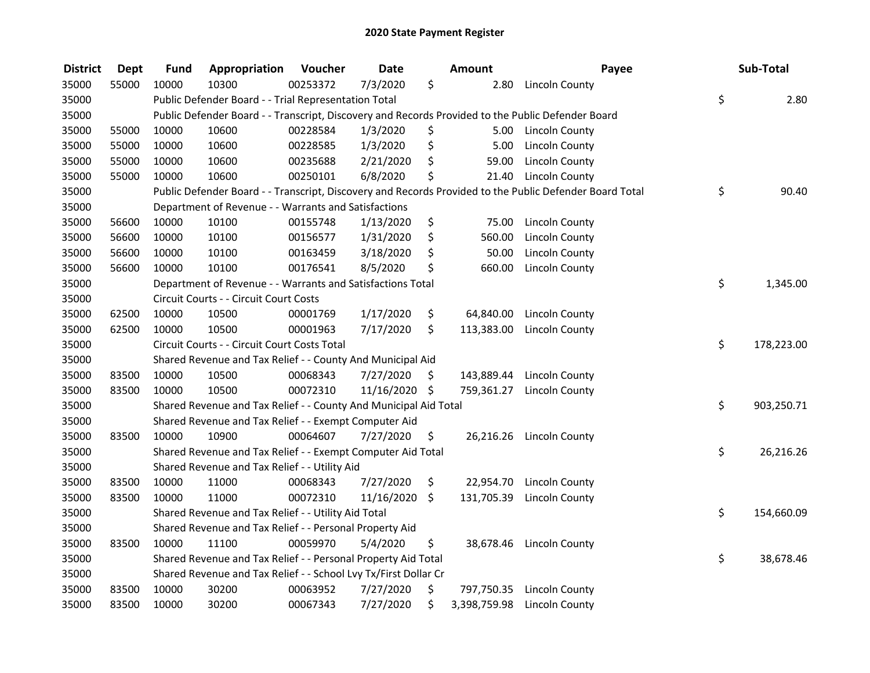| <b>District</b> | <b>Dept</b> | <b>Fund</b> | Appropriation                                                    | Voucher  | <b>Date</b>   |     | Amount       | Payee                                                                                                   | Sub-Total        |
|-----------------|-------------|-------------|------------------------------------------------------------------|----------|---------------|-----|--------------|---------------------------------------------------------------------------------------------------------|------------------|
| 35000           | 55000       | 10000       | 10300                                                            | 00253372 | 7/3/2020      | \$  | 2.80         | Lincoln County                                                                                          |                  |
| 35000           |             |             | Public Defender Board - - Trial Representation Total             |          |               |     |              |                                                                                                         | \$<br>2.80       |
| 35000           |             |             |                                                                  |          |               |     |              | Public Defender Board - - Transcript, Discovery and Records Provided to the Public Defender Board       |                  |
| 35000           | 55000       | 10000       | 10600                                                            | 00228584 | 1/3/2020      | \$  |              | 5.00 Lincoln County                                                                                     |                  |
| 35000           | 55000       | 10000       | 10600                                                            | 00228585 | 1/3/2020      | \$  | 5.00         | Lincoln County                                                                                          |                  |
| 35000           | 55000       | 10000       | 10600                                                            | 00235688 | 2/21/2020     | \$  | 59.00        | <b>Lincoln County</b>                                                                                   |                  |
| 35000           | 55000       | 10000       | 10600                                                            | 00250101 | 6/8/2020      | \$  | 21.40        | <b>Lincoln County</b>                                                                                   |                  |
| 35000           |             |             |                                                                  |          |               |     |              | Public Defender Board - - Transcript, Discovery and Records Provided to the Public Defender Board Total | \$<br>90.40      |
| 35000           |             |             | Department of Revenue - - Warrants and Satisfactions             |          |               |     |              |                                                                                                         |                  |
| 35000           | 56600       | 10000       | 10100                                                            | 00155748 | 1/13/2020     | \$  | 75.00        | <b>Lincoln County</b>                                                                                   |                  |
| 35000           | 56600       | 10000       | 10100                                                            | 00156577 | 1/31/2020     | \$  | 560.00       | <b>Lincoln County</b>                                                                                   |                  |
| 35000           | 56600       | 10000       | 10100                                                            | 00163459 | 3/18/2020     | \$  | 50.00        | <b>Lincoln County</b>                                                                                   |                  |
| 35000           | 56600       | 10000       | 10100                                                            | 00176541 | 8/5/2020      | \$  | 660.00       | <b>Lincoln County</b>                                                                                   |                  |
| 35000           |             |             | Department of Revenue - - Warrants and Satisfactions Total       |          |               |     |              |                                                                                                         | \$<br>1,345.00   |
| 35000           |             |             | Circuit Courts - - Circuit Court Costs                           |          |               |     |              |                                                                                                         |                  |
| 35000           | 62500       | 10000       | 10500                                                            | 00001769 | 1/17/2020     | \$  | 64,840.00    | Lincoln County                                                                                          |                  |
| 35000           | 62500       | 10000       | 10500                                                            | 00001963 | 7/17/2020     | \$  | 113,383.00   | Lincoln County                                                                                          |                  |
| 35000           |             |             | Circuit Courts - - Circuit Court Costs Total                     |          |               |     |              |                                                                                                         | \$<br>178,223.00 |
| 35000           |             |             | Shared Revenue and Tax Relief - - County And Municipal Aid       |          |               |     |              |                                                                                                         |                  |
| 35000           | 83500       | 10000       | 10500                                                            | 00068343 | 7/27/2020     | \$  | 143,889.44   | <b>Lincoln County</b>                                                                                   |                  |
| 35000           | 83500       | 10000       | 10500                                                            | 00072310 | 11/16/2020 \$ |     |              | 759,361.27 Lincoln County                                                                               |                  |
| 35000           |             |             | Shared Revenue and Tax Relief - - County And Municipal Aid Total |          |               |     |              |                                                                                                         | \$<br>903,250.71 |
| 35000           |             |             | Shared Revenue and Tax Relief - - Exempt Computer Aid            |          |               |     |              |                                                                                                         |                  |
| 35000           | 83500       | 10000       | 10900                                                            | 00064607 | 7/27/2020     | \$. |              | 26,216.26 Lincoln County                                                                                |                  |
| 35000           |             |             | Shared Revenue and Tax Relief - - Exempt Computer Aid Total      |          |               |     |              |                                                                                                         | \$<br>26,216.26  |
| 35000           |             |             | Shared Revenue and Tax Relief - - Utility Aid                    |          |               |     |              |                                                                                                         |                  |
| 35000           | 83500       | 10000       | 11000                                                            | 00068343 | 7/27/2020     | \$  | 22,954.70    | <b>Lincoln County</b>                                                                                   |                  |
| 35000           | 83500       | 10000       | 11000                                                            | 00072310 | 11/16/2020    | \$  | 131,705.39   | <b>Lincoln County</b>                                                                                   |                  |
| 35000           |             |             | Shared Revenue and Tax Relief - - Utility Aid Total              |          |               |     |              |                                                                                                         | \$<br>154,660.09 |
| 35000           |             |             | Shared Revenue and Tax Relief - - Personal Property Aid          |          |               |     |              |                                                                                                         |                  |
| 35000           | 83500       | 10000       | 11100                                                            | 00059970 | 5/4/2020      | \$  |              | 38,678.46 Lincoln County                                                                                |                  |
| 35000           |             |             | Shared Revenue and Tax Relief - - Personal Property Aid Total    |          |               |     |              |                                                                                                         | \$<br>38,678.46  |
| 35000           |             |             | Shared Revenue and Tax Relief - - School Lvy Tx/First Dollar Cr  |          |               |     |              |                                                                                                         |                  |
| 35000           | 83500       | 10000       | 30200                                                            | 00063952 | 7/27/2020     | \$  | 797,750.35   | Lincoln County                                                                                          |                  |
| 35000           | 83500       | 10000       | 30200                                                            | 00067343 | 7/27/2020     | \$  | 3,398,759.98 | Lincoln County                                                                                          |                  |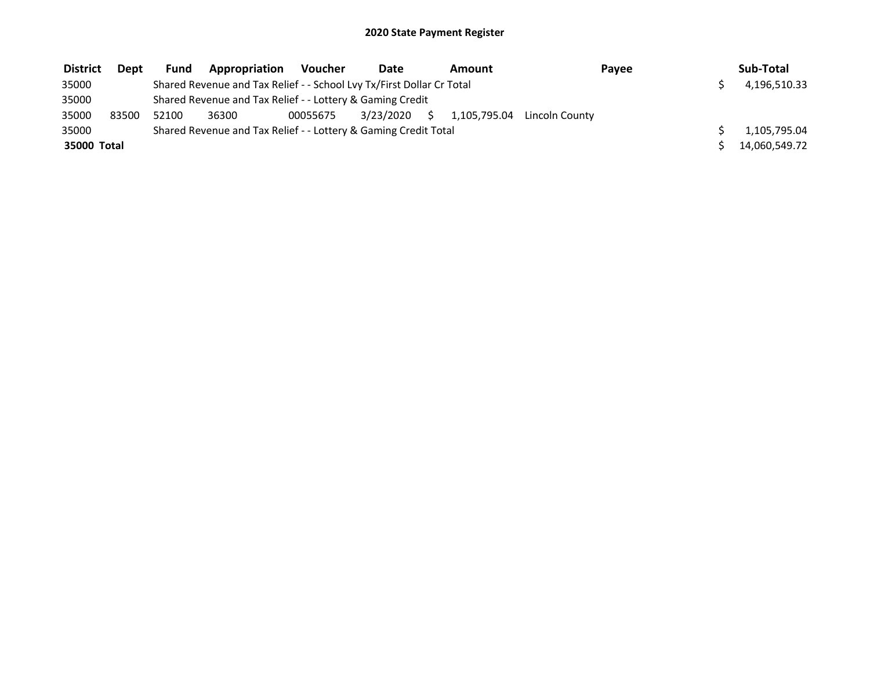| <b>District</b> | <b>Dept</b> | <b>Fund</b> | Appropriation                                                         | Voucher  | Date      |    | Amount |                             | Pavee | Sub-Total     |
|-----------------|-------------|-------------|-----------------------------------------------------------------------|----------|-----------|----|--------|-----------------------------|-------|---------------|
| 35000           |             |             | Shared Revenue and Tax Relief - - School Lvy Tx/First Dollar Cr Total |          |           |    |        |                             |       | 4,196,510.33  |
| 35000           |             |             | Shared Revenue and Tax Relief - - Lottery & Gaming Credit             |          |           |    |        |                             |       |               |
| 35000           | 83500       | 52100       | 36300                                                                 | 00055675 | 3/23/2020 | S. |        | 1.105.795.04 Lincoln County |       |               |
| 35000           |             |             | Shared Revenue and Tax Relief - - Lottery & Gaming Credit Total       |          |           |    |        |                             |       | 1,105,795.04  |
| 35000 Total     |             |             |                                                                       |          |           |    |        |                             |       | 14.060.549.72 |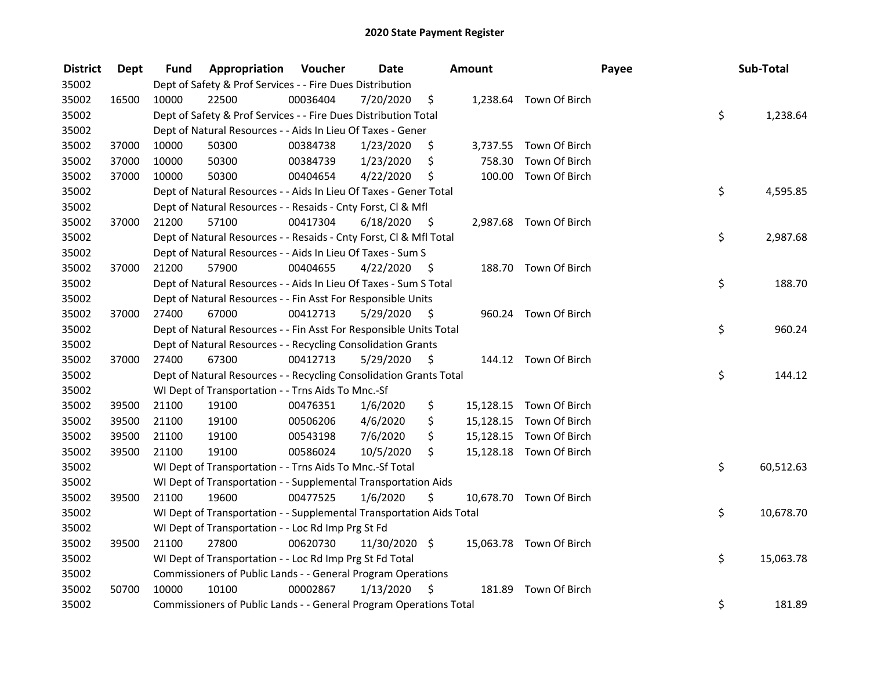| <b>District</b> | <b>Dept</b> | Fund  | Appropriation                                                        | Voucher  | <b>Date</b>   |      | Amount    |                         | Payee | Sub-Total       |
|-----------------|-------------|-------|----------------------------------------------------------------------|----------|---------------|------|-----------|-------------------------|-------|-----------------|
| 35002           |             |       | Dept of Safety & Prof Services - - Fire Dues Distribution            |          |               |      |           |                         |       |                 |
| 35002           | 16500       | 10000 | 22500                                                                | 00036404 | 7/20/2020     | \$   |           | 1,238.64 Town Of Birch  |       |                 |
| 35002           |             |       | Dept of Safety & Prof Services - - Fire Dues Distribution Total      |          |               |      |           |                         |       | \$<br>1,238.64  |
| 35002           |             |       | Dept of Natural Resources - - Aids In Lieu Of Taxes - Gener          |          |               |      |           |                         |       |                 |
| 35002           | 37000       | 10000 | 50300                                                                | 00384738 | 1/23/2020     | \$   |           | 3,737.55 Town Of Birch  |       |                 |
| 35002           | 37000       | 10000 | 50300                                                                | 00384739 | 1/23/2020     | \$   | 758.30    | Town Of Birch           |       |                 |
| 35002           | 37000       | 10000 | 50300                                                                | 00404654 | 4/22/2020     | \$   |           | 100.00 Town Of Birch    |       |                 |
| 35002           |             |       | Dept of Natural Resources - - Aids In Lieu Of Taxes - Gener Total    |          |               |      |           |                         |       | \$<br>4,595.85  |
| 35002           |             |       | Dept of Natural Resources - - Resaids - Cnty Forst, Cl & Mfl         |          |               |      |           |                         |       |                 |
| 35002           | 37000       | 21200 | 57100                                                                | 00417304 | 6/18/2020     | - \$ |           | 2,987.68 Town Of Birch  |       |                 |
| 35002           |             |       | Dept of Natural Resources - - Resaids - Cnty Forst, Cl & Mfl Total   |          |               |      |           |                         |       | \$<br>2,987.68  |
| 35002           |             |       | Dept of Natural Resources - - Aids In Lieu Of Taxes - Sum S          |          |               |      |           |                         |       |                 |
| 35002           | 37000       | 21200 | 57900                                                                | 00404655 | 4/22/2020     | - \$ |           | 188.70 Town Of Birch    |       |                 |
| 35002           |             |       | Dept of Natural Resources - - Aids In Lieu Of Taxes - Sum S Total    |          |               |      |           |                         |       | \$<br>188.70    |
| 35002           |             |       | Dept of Natural Resources - - Fin Asst For Responsible Units         |          |               |      |           |                         |       |                 |
| 35002           | 37000       | 27400 | 67000                                                                | 00412713 | 5/29/2020     | -S   |           | 960.24 Town Of Birch    |       |                 |
| 35002           |             |       | Dept of Natural Resources - - Fin Asst For Responsible Units Total   |          |               |      |           |                         |       | \$<br>960.24    |
| 35002           |             |       | Dept of Natural Resources - - Recycling Consolidation Grants         |          |               |      |           |                         |       |                 |
| 35002           | 37000       | 27400 | 67300                                                                | 00412713 | 5/29/2020     | \$   |           | 144.12 Town Of Birch    |       |                 |
| 35002           |             |       | Dept of Natural Resources - - Recycling Consolidation Grants Total   |          |               |      |           |                         |       | \$<br>144.12    |
| 35002           |             |       | WI Dept of Transportation - - Trns Aids To Mnc.-Sf                   |          |               |      |           |                         |       |                 |
| 35002           | 39500       | 21100 | 19100                                                                | 00476351 | 1/6/2020      | \$   |           | 15,128.15 Town Of Birch |       |                 |
| 35002           | 39500       | 21100 | 19100                                                                | 00506206 | 4/6/2020      | \$   |           | 15,128.15 Town Of Birch |       |                 |
| 35002           | 39500       | 21100 | 19100                                                                | 00543198 | 7/6/2020      | \$   | 15,128.15 | Town Of Birch           |       |                 |
| 35002           | 39500       | 21100 | 19100                                                                | 00586024 | 10/5/2020     | \$   |           | 15,128.18 Town Of Birch |       |                 |
| 35002           |             |       | WI Dept of Transportation - - Trns Aids To Mnc.-Sf Total             |          |               |      |           |                         |       | \$<br>60,512.63 |
| 35002           |             |       | WI Dept of Transportation - - Supplemental Transportation Aids       |          |               |      |           |                         |       |                 |
| 35002           | 39500       | 21100 | 19600                                                                | 00477525 | 1/6/2020      | \$   |           | 10,678.70 Town Of Birch |       |                 |
| 35002           |             |       | WI Dept of Transportation - - Supplemental Transportation Aids Total |          |               |      |           |                         |       | \$<br>10,678.70 |
| 35002           |             |       | WI Dept of Transportation - - Loc Rd Imp Prg St Fd                   |          |               |      |           |                         |       |                 |
| 35002           | 39500       | 21100 | 27800                                                                | 00620730 | 11/30/2020 \$ |      |           | 15,063.78 Town Of Birch |       |                 |
| 35002           |             |       | WI Dept of Transportation - - Loc Rd Imp Prg St Fd Total             |          |               |      |           |                         |       | \$<br>15,063.78 |
| 35002           |             |       | Commissioners of Public Lands - - General Program Operations         |          |               |      |           |                         |       |                 |
| 35002           | 50700       | 10000 | 10100                                                                | 00002867 | 1/13/2020     | \$   | 181.89    | Town Of Birch           |       |                 |
| 35002           |             |       | Commissioners of Public Lands - - General Program Operations Total   |          |               |      |           |                         |       | \$<br>181.89    |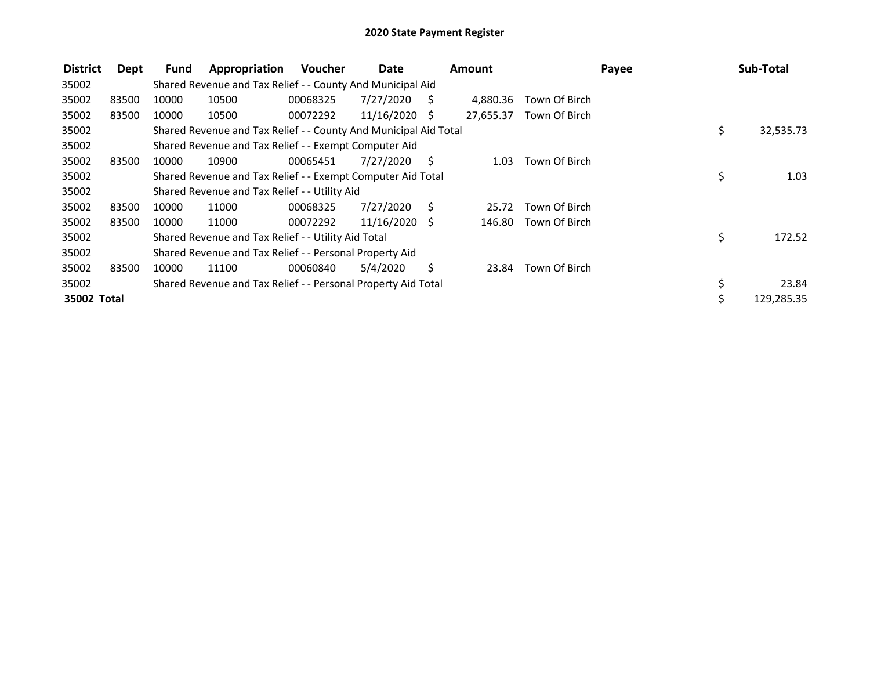| <b>District</b> | Dept  | Fund  | Appropriation                                                    | Voucher  | Date            |     | Amount    |               | Payee |     | Sub-Total  |
|-----------------|-------|-------|------------------------------------------------------------------|----------|-----------------|-----|-----------|---------------|-------|-----|------------|
| 35002           |       |       | Shared Revenue and Tax Relief - - County And Municipal Aid       |          |                 |     |           |               |       |     |            |
| 35002           | 83500 | 10000 | 10500                                                            | 00068325 | 7/27/2020       | - S | 4,880.36  | Town Of Birch |       |     |            |
| 35002           | 83500 | 10000 | 10500                                                            | 00072292 | $11/16/2020$ \$ |     | 27,655.37 | Town Of Birch |       |     |            |
| 35002           |       |       | Shared Revenue and Tax Relief - - County And Municipal Aid Total |          |                 |     |           |               |       | \$. | 32,535.73  |
| 35002           |       |       | Shared Revenue and Tax Relief - - Exempt Computer Aid            |          |                 |     |           |               |       |     |            |
| 35002           | 83500 | 10000 | 10900                                                            | 00065451 | 7/27/2020       | - S | 1.03      | Town Of Birch |       |     |            |
| 35002           |       |       | Shared Revenue and Tax Relief - - Exempt Computer Aid Total      |          |                 |     |           |               |       | \$  | 1.03       |
| 35002           |       |       | Shared Revenue and Tax Relief - - Utility Aid                    |          |                 |     |           |               |       |     |            |
| 35002           | 83500 | 10000 | 11000                                                            | 00068325 | 7/27/2020       | S   | 25.72     | Town Of Birch |       |     |            |
| 35002           | 83500 | 10000 | 11000                                                            | 00072292 | $11/16/2020$ \$ |     | 146.80    | Town Of Birch |       |     |            |
| 35002           |       |       | Shared Revenue and Tax Relief - - Utility Aid Total              |          |                 |     |           |               |       | \$  | 172.52     |
| 35002           |       |       | Shared Revenue and Tax Relief - - Personal Property Aid          |          |                 |     |           |               |       |     |            |
| 35002           | 83500 | 10000 | 11100                                                            | 00060840 | 5/4/2020        | \$  | 23.84     | Town Of Birch |       |     |            |
| 35002           |       |       | Shared Revenue and Tax Relief - - Personal Property Aid Total    |          |                 |     |           |               |       | \$  | 23.84      |
| 35002 Total     |       |       |                                                                  |          |                 |     |           |               |       | Ś   | 129,285.35 |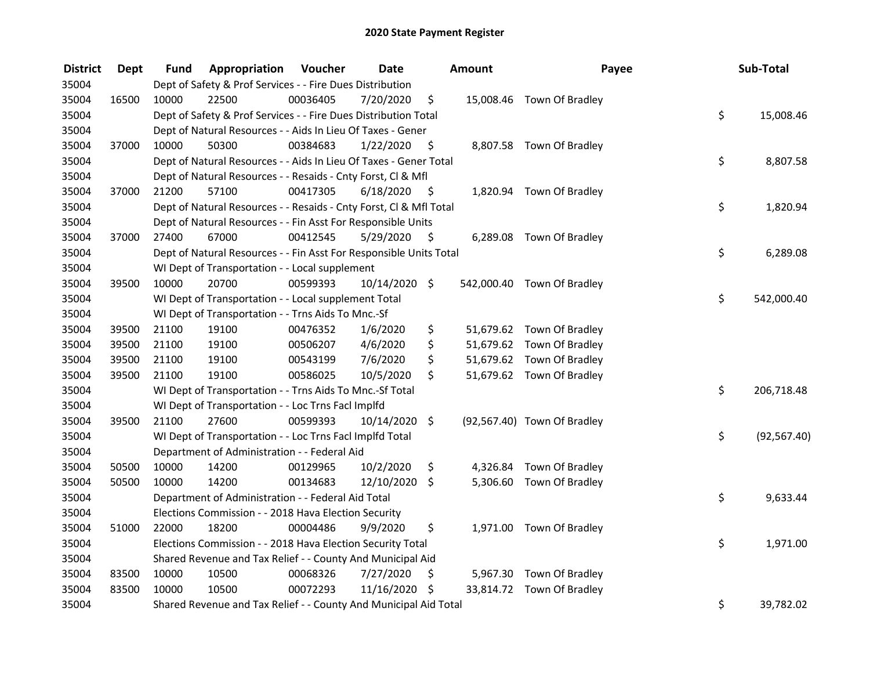| <b>District</b> | Dept  | Fund  | Appropriation                                                      | Voucher  | <b>Date</b>   |                    | <b>Amount</b> | Payee                       | Sub-Total          |
|-----------------|-------|-------|--------------------------------------------------------------------|----------|---------------|--------------------|---------------|-----------------------------|--------------------|
| 35004           |       |       | Dept of Safety & Prof Services - - Fire Dues Distribution          |          |               |                    |               |                             |                    |
| 35004           | 16500 | 10000 | 22500                                                              | 00036405 | 7/20/2020     | \$                 |               | 15,008.46 Town Of Bradley   |                    |
| 35004           |       |       | Dept of Safety & Prof Services - - Fire Dues Distribution Total    |          |               |                    |               |                             | \$<br>15,008.46    |
| 35004           |       |       | Dept of Natural Resources - - Aids In Lieu Of Taxes - Gener        |          |               |                    |               |                             |                    |
| 35004           | 37000 | 10000 | 50300                                                              | 00384683 | 1/22/2020     | $\ddot{\varsigma}$ |               | 8,807.58 Town Of Bradley    |                    |
| 35004           |       |       | Dept of Natural Resources - - Aids In Lieu Of Taxes - Gener Total  |          |               |                    |               |                             | \$<br>8,807.58     |
| 35004           |       |       | Dept of Natural Resources - - Resaids - Cnty Forst, Cl & Mfl       |          |               |                    |               |                             |                    |
| 35004           | 37000 | 21200 | 57100                                                              | 00417305 | 6/18/2020     | - \$               |               | 1,820.94 Town Of Bradley    |                    |
| 35004           |       |       | Dept of Natural Resources - - Resaids - Cnty Forst, Cl & Mfl Total |          |               |                    |               |                             | \$<br>1,820.94     |
| 35004           |       |       | Dept of Natural Resources - - Fin Asst For Responsible Units       |          |               |                    |               |                             |                    |
| 35004           | 37000 | 27400 | 67000                                                              | 00412545 | 5/29/2020     | - \$               |               | 6,289.08 Town Of Bradley    |                    |
| 35004           |       |       | Dept of Natural Resources - - Fin Asst For Responsible Units Total |          |               |                    |               |                             | \$<br>6,289.08     |
| 35004           |       |       | WI Dept of Transportation - - Local supplement                     |          |               |                    |               |                             |                    |
| 35004           | 39500 | 10000 | 20700                                                              | 00599393 | 10/14/2020 \$ |                    |               | 542,000.40 Town Of Bradley  |                    |
| 35004           |       |       | WI Dept of Transportation - - Local supplement Total               |          |               |                    |               |                             | \$<br>542,000.40   |
| 35004           |       |       | WI Dept of Transportation - - Trns Aids To Mnc.-Sf                 |          |               |                    |               |                             |                    |
| 35004           | 39500 | 21100 | 19100                                                              | 00476352 | 1/6/2020      | \$                 |               | 51,679.62 Town Of Bradley   |                    |
| 35004           | 39500 | 21100 | 19100                                                              | 00506207 | 4/6/2020      | \$                 |               | 51,679.62 Town Of Bradley   |                    |
| 35004           | 39500 | 21100 | 19100                                                              | 00543199 | 7/6/2020      | \$                 |               | 51,679.62 Town Of Bradley   |                    |
| 35004           | 39500 | 21100 | 19100                                                              | 00586025 | 10/5/2020     | \$                 |               | 51,679.62 Town Of Bradley   |                    |
| 35004           |       |       | WI Dept of Transportation - - Trns Aids To Mnc.-Sf Total           |          |               |                    |               |                             | \$<br>206,718.48   |
| 35004           |       |       | WI Dept of Transportation - - Loc Trns Facl Implfd                 |          |               |                    |               |                             |                    |
| 35004           | 39500 | 21100 | 27600                                                              | 00599393 | 10/14/2020 \$ |                    |               | (92,567.40) Town Of Bradley |                    |
| 35004           |       |       | WI Dept of Transportation - - Loc Trns Facl Implfd Total           |          |               |                    |               |                             | \$<br>(92, 567.40) |
| 35004           |       |       | Department of Administration - - Federal Aid                       |          |               |                    |               |                             |                    |
| 35004           | 50500 | 10000 | 14200                                                              | 00129965 | 10/2/2020     | \$                 |               | 4,326.84 Town Of Bradley    |                    |
| 35004           | 50500 | 10000 | 14200                                                              | 00134683 | 12/10/2020 \$ |                    |               | 5,306.60 Town Of Bradley    |                    |
| 35004           |       |       | Department of Administration - - Federal Aid Total                 |          |               |                    |               |                             | \$<br>9,633.44     |
| 35004           |       |       | Elections Commission - - 2018 Hava Election Security               |          |               |                    |               |                             |                    |
| 35004           | 51000 | 22000 | 18200                                                              | 00004486 | 9/9/2020      | \$                 |               | 1,971.00 Town Of Bradley    |                    |
| 35004           |       |       | Elections Commission - - 2018 Hava Election Security Total         |          |               |                    |               |                             | \$<br>1,971.00     |
| 35004           |       |       | Shared Revenue and Tax Relief - - County And Municipal Aid         |          |               |                    |               |                             |                    |
| 35004           | 83500 | 10000 | 10500                                                              | 00068326 | 7/27/2020     | \$                 |               | 5,967.30 Town Of Bradley    |                    |
| 35004           | 83500 | 10000 | 10500                                                              | 00072293 | 11/16/2020    | \$                 |               | 33,814.72 Town Of Bradley   |                    |
| 35004           |       |       | Shared Revenue and Tax Relief - - County And Municipal Aid Total   |          |               |                    |               |                             | \$<br>39,782.02    |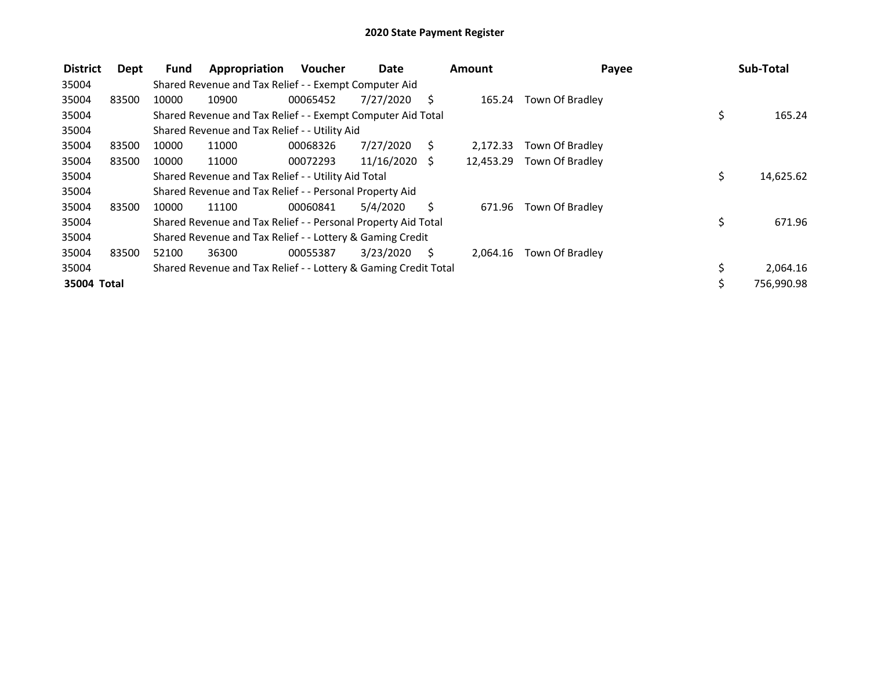| <b>District</b> | Dept  | <b>Fund</b> | Appropriation                                                   | <b>Voucher</b> | Date            |     | <b>Amount</b> | Payee           |     | Sub-Total  |
|-----------------|-------|-------------|-----------------------------------------------------------------|----------------|-----------------|-----|---------------|-----------------|-----|------------|
| 35004           |       |             | Shared Revenue and Tax Relief - - Exempt Computer Aid           |                |                 |     |               |                 |     |            |
| 35004           | 83500 | 10000       | 10900                                                           | 00065452       | 7/27/2020       | S   | 165.24        | Town Of Bradley |     |            |
| 35004           |       |             | Shared Revenue and Tax Relief - - Exempt Computer Aid Total     |                |                 |     |               |                 | \$  | 165.24     |
| 35004           |       |             | Shared Revenue and Tax Relief - - Utility Aid                   |                |                 |     |               |                 |     |            |
| 35004           | 83500 | 10000       | 11000                                                           | 00068326       | 7/27/2020       | S   | 2.172.33      | Town Of Bradley |     |            |
| 35004           | 83500 | 10000       | 11000                                                           | 00072293       | $11/16/2020$ \$ |     | 12,453.29     | Town Of Bradley |     |            |
| 35004           |       |             | Shared Revenue and Tax Relief - - Utility Aid Total             |                |                 |     |               |                 | \$. | 14,625.62  |
| 35004           |       |             | Shared Revenue and Tax Relief - - Personal Property Aid         |                |                 |     |               |                 |     |            |
| 35004           | 83500 | 10000       | 11100                                                           | 00060841       | 5/4/2020        | S.  | 671.96        | Town Of Bradley |     |            |
| 35004           |       |             | Shared Revenue and Tax Relief - - Personal Property Aid Total   |                |                 |     |               |                 | \$  | 671.96     |
| 35004           |       |             | Shared Revenue and Tax Relief - - Lottery & Gaming Credit       |                |                 |     |               |                 |     |            |
| 35004           | 83500 | 52100       | 36300                                                           | 00055387       | 3/23/2020       | - S | 2.064.16      | Town Of Bradley |     |            |
| 35004           |       |             | Shared Revenue and Tax Relief - - Lottery & Gaming Credit Total |                |                 |     |               |                 |     | 2,064.16   |
| 35004 Total     |       |             |                                                                 |                |                 |     |               |                 | \$  | 756,990.98 |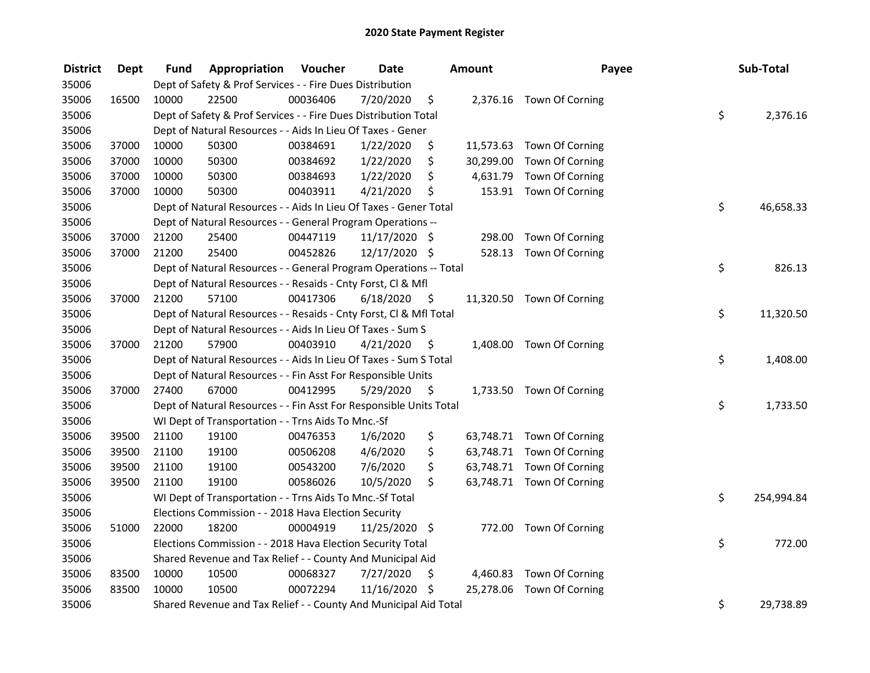| <b>District</b> | <b>Dept</b> | Fund  | Appropriation                                                      | Voucher  | <b>Date</b>     |         | Amount    | Payee                     | Sub-Total        |
|-----------------|-------------|-------|--------------------------------------------------------------------|----------|-----------------|---------|-----------|---------------------------|------------------|
| 35006           |             |       | Dept of Safety & Prof Services - - Fire Dues Distribution          |          |                 |         |           |                           |                  |
| 35006           | 16500       | 10000 | 22500                                                              | 00036406 | 7/20/2020       | \$      |           | 2,376.16 Town Of Corning  |                  |
| 35006           |             |       | Dept of Safety & Prof Services - - Fire Dues Distribution Total    |          |                 |         |           |                           | \$<br>2,376.16   |
| 35006           |             |       | Dept of Natural Resources - - Aids In Lieu Of Taxes - Gener        |          |                 |         |           |                           |                  |
| 35006           | 37000       | 10000 | 50300                                                              | 00384691 | 1/22/2020       | \$      |           | 11,573.63 Town Of Corning |                  |
| 35006           | 37000       | 10000 | 50300                                                              | 00384692 | 1/22/2020       | \$      | 30,299.00 | Town Of Corning           |                  |
| 35006           | 37000       | 10000 | 50300                                                              | 00384693 | 1/22/2020       | \$      |           | 4,631.79 Town Of Corning  |                  |
| 35006           | 37000       | 10000 | 50300                                                              | 00403911 | 4/21/2020       | \$      |           | 153.91 Town Of Corning    |                  |
| 35006           |             |       | Dept of Natural Resources - - Aids In Lieu Of Taxes - Gener Total  |          |                 |         |           |                           | \$<br>46,658.33  |
| 35006           |             |       | Dept of Natural Resources - - General Program Operations --        |          |                 |         |           |                           |                  |
| 35006           | 37000       | 21200 | 25400                                                              | 00447119 | $11/17/2020$ \$ |         | 298.00    | Town Of Corning           |                  |
| 35006           | 37000       | 21200 | 25400                                                              | 00452826 | 12/17/2020 \$   |         |           | 528.13 Town Of Corning    |                  |
| 35006           |             |       | Dept of Natural Resources - - General Program Operations -- Total  |          |                 |         |           |                           | \$<br>826.13     |
| 35006           |             |       | Dept of Natural Resources - - Resaids - Cnty Forst, CI & Mfl       |          |                 |         |           |                           |                  |
| 35006           | 37000       | 21200 | 57100                                                              | 00417306 | 6/18/2020       | - \$    |           | 11,320.50 Town Of Corning |                  |
| 35006           |             |       | Dept of Natural Resources - - Resaids - Cnty Forst, Cl & Mfl Total |          |                 |         |           |                           | \$<br>11,320.50  |
| 35006           |             |       | Dept of Natural Resources - - Aids In Lieu Of Taxes - Sum S        |          |                 |         |           |                           |                  |
| 35006           | 37000       | 21200 | 57900                                                              | 00403910 | 4/21/2020       | -\$     |           | 1,408.00 Town Of Corning  |                  |
| 35006           |             |       | Dept of Natural Resources - - Aids In Lieu Of Taxes - Sum S Total  |          |                 |         |           |                           | \$<br>1,408.00   |
| 35006           |             |       | Dept of Natural Resources - - Fin Asst For Responsible Units       |          |                 |         |           |                           |                  |
| 35006           | 37000       | 27400 | 67000                                                              | 00412995 | 5/29/2020       | - \$    |           | 1,733.50 Town Of Corning  |                  |
| 35006           |             |       | Dept of Natural Resources - - Fin Asst For Responsible Units Total |          |                 |         |           |                           | \$<br>1,733.50   |
| 35006           |             |       | WI Dept of Transportation - - Trns Aids To Mnc.-Sf                 |          |                 |         |           |                           |                  |
| 35006           | 39500       | 21100 | 19100                                                              | 00476353 | 1/6/2020        | \$      |           | 63,748.71 Town Of Corning |                  |
| 35006           | 39500       | 21100 | 19100                                                              | 00506208 | 4/6/2020        | \$      |           | 63,748.71 Town Of Corning |                  |
| 35006           | 39500       | 21100 | 19100                                                              | 00543200 | 7/6/2020        | \$      |           | 63,748.71 Town Of Corning |                  |
| 35006           | 39500       | 21100 | 19100                                                              | 00586026 | 10/5/2020       | $\zeta$ |           | 63,748.71 Town Of Corning |                  |
| 35006           |             |       | WI Dept of Transportation - - Trns Aids To Mnc.-Sf Total           |          |                 |         |           |                           | \$<br>254,994.84 |
| 35006           |             |       | Elections Commission - - 2018 Hava Election Security               |          |                 |         |           |                           |                  |
| 35006           | 51000       | 22000 | 18200                                                              | 00004919 | 11/25/2020 \$   |         |           | 772.00 Town Of Corning    |                  |
| 35006           |             |       | Elections Commission - - 2018 Hava Election Security Total         |          |                 |         |           |                           | \$<br>772.00     |
| 35006           |             |       | Shared Revenue and Tax Relief - - County And Municipal Aid         |          |                 |         |           |                           |                  |
| 35006           | 83500       | 10000 | 10500                                                              | 00068327 | 7/27/2020       | \$      |           | 4,460.83 Town Of Corning  |                  |
| 35006           | 83500       | 10000 | 10500                                                              | 00072294 | 11/16/2020      | \$      |           | 25,278.06 Town Of Corning |                  |
| 35006           |             |       | Shared Revenue and Tax Relief - - County And Municipal Aid Total   |          |                 |         |           |                           | \$<br>29,738.89  |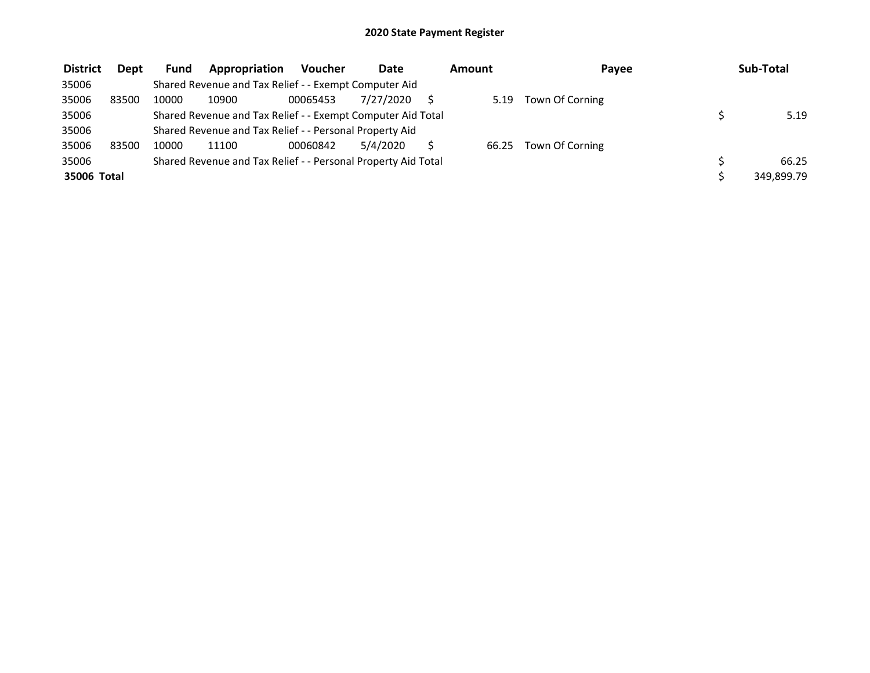| <b>District</b> | <b>Dept</b> | <b>Fund</b> | <b>Appropriation</b>                                          | <b>Voucher</b> | Date      | Amount | Payee           | Sub-Total  |
|-----------------|-------------|-------------|---------------------------------------------------------------|----------------|-----------|--------|-----------------|------------|
| 35006           |             |             | Shared Revenue and Tax Relief - - Exempt Computer Aid         |                |           |        |                 |            |
| 35006           | 83500       | 10000       | 10900                                                         | 00065453       | 7/27/2020 | 5.19   | Town Of Corning |            |
| 35006           |             |             | Shared Revenue and Tax Relief - - Exempt Computer Aid Total   |                |           |        |                 | 5.19       |
| 35006           |             |             | Shared Revenue and Tax Relief - - Personal Property Aid       |                |           |        |                 |            |
| 35006           | 83500       | 10000       | 11100                                                         | 00060842       | 5/4/2020  | 66.25  | Town Of Corning |            |
| 35006           |             |             | Shared Revenue and Tax Relief - - Personal Property Aid Total |                |           |        |                 | 66.25      |
| 35006 Total     |             |             |                                                               |                |           |        |                 | 349,899.79 |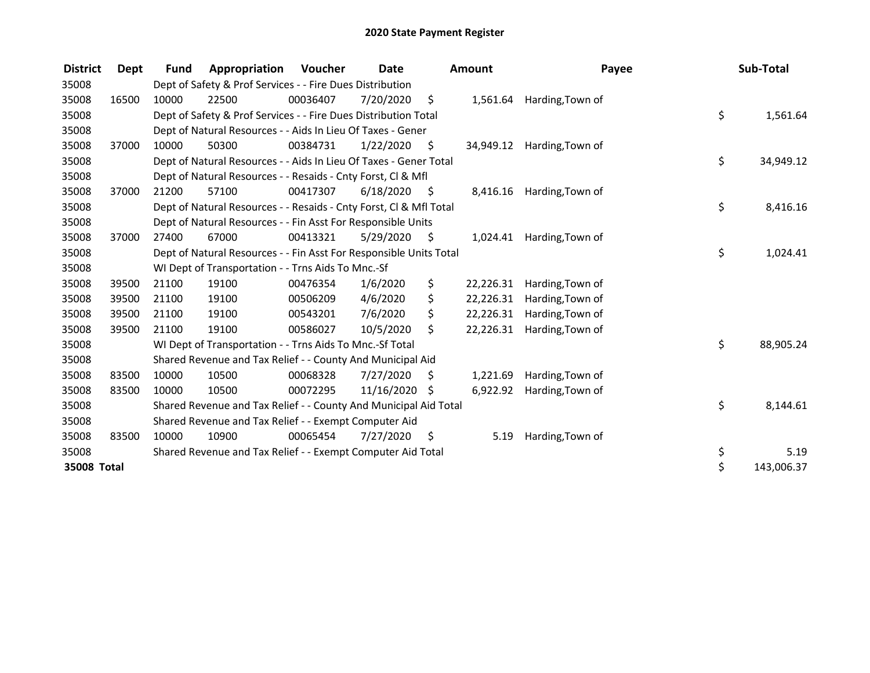| <b>District</b> | Dept  | <b>Fund</b> | Appropriation                                                      | Voucher  | <b>Date</b>   |      | <b>Amount</b> | Payee            | Sub-Total        |
|-----------------|-------|-------------|--------------------------------------------------------------------|----------|---------------|------|---------------|------------------|------------------|
| 35008           |       |             | Dept of Safety & Prof Services - - Fire Dues Distribution          |          |               |      |               |                  |                  |
| 35008           | 16500 | 10000       | 22500                                                              | 00036407 | 7/20/2020     | \$   | 1,561.64      | Harding, Town of |                  |
| 35008           |       |             | Dept of Safety & Prof Services - - Fire Dues Distribution Total    |          |               |      |               |                  | \$<br>1,561.64   |
| 35008           |       |             | Dept of Natural Resources - - Aids In Lieu Of Taxes - Gener        |          |               |      |               |                  |                  |
| 35008           | 37000 | 10000       | 50300                                                              | 00384731 | 1/22/2020     | \$   | 34,949.12     | Harding, Town of |                  |
| 35008           |       |             | Dept of Natural Resources - - Aids In Lieu Of Taxes - Gener Total  |          |               |      |               |                  | \$<br>34,949.12  |
| 35008           |       |             | Dept of Natural Resources - - Resaids - Cnty Forst, CI & Mfl       |          |               |      |               |                  |                  |
| 35008           | 37000 | 21200       | 57100                                                              | 00417307 | 6/18/2020     | - \$ | 8,416.16      | Harding, Town of |                  |
| 35008           |       |             | Dept of Natural Resources - - Resaids - Cnty Forst, CI & Mfl Total |          |               |      |               |                  | \$<br>8,416.16   |
| 35008           |       |             | Dept of Natural Resources - - Fin Asst For Responsible Units       |          |               |      |               |                  |                  |
| 35008           | 37000 | 27400       | 67000                                                              | 00413321 | 5/29/2020     | - \$ | 1,024.41      | Harding, Town of |                  |
| 35008           |       |             | Dept of Natural Resources - - Fin Asst For Responsible Units Total |          |               |      |               |                  | \$<br>1,024.41   |
| 35008           |       |             | WI Dept of Transportation - - Trns Aids To Mnc.-Sf                 |          |               |      |               |                  |                  |
| 35008           | 39500 | 21100       | 19100                                                              | 00476354 | 1/6/2020      | \$   | 22,226.31     | Harding, Town of |                  |
| 35008           | 39500 | 21100       | 19100                                                              | 00506209 | 4/6/2020      | \$   | 22,226.31     | Harding, Town of |                  |
| 35008           | 39500 | 21100       | 19100                                                              | 00543201 | 7/6/2020      | \$   | 22,226.31     | Harding, Town of |                  |
| 35008           | 39500 | 21100       | 19100                                                              | 00586027 | 10/5/2020     | \$   | 22,226.31     | Harding, Town of |                  |
| 35008           |       |             | WI Dept of Transportation - - Trns Aids To Mnc.-Sf Total           |          |               |      |               |                  | \$<br>88,905.24  |
| 35008           |       |             | Shared Revenue and Tax Relief - - County And Municipal Aid         |          |               |      |               |                  |                  |
| 35008           | 83500 | 10000       | 10500                                                              | 00068328 | 7/27/2020     | S    | 1,221.69      | Harding, Town of |                  |
| 35008           | 83500 | 10000       | 10500                                                              | 00072295 | 11/16/2020 \$ |      | 6,922.92      | Harding, Town of |                  |
| 35008           |       |             | Shared Revenue and Tax Relief - - County And Municipal Aid Total   |          |               |      |               |                  | \$<br>8,144.61   |
| 35008           |       |             | Shared Revenue and Tax Relief - - Exempt Computer Aid              |          |               |      |               |                  |                  |
| 35008           | 83500 | 10000       | 10900                                                              | 00065454 | 7/27/2020     | \$   | 5.19          | Harding, Town of |                  |
| 35008           |       |             | Shared Revenue and Tax Relief - - Exempt Computer Aid Total        |          |               |      |               |                  | \$<br>5.19       |
| 35008 Total     |       |             |                                                                    |          |               |      |               |                  | \$<br>143,006.37 |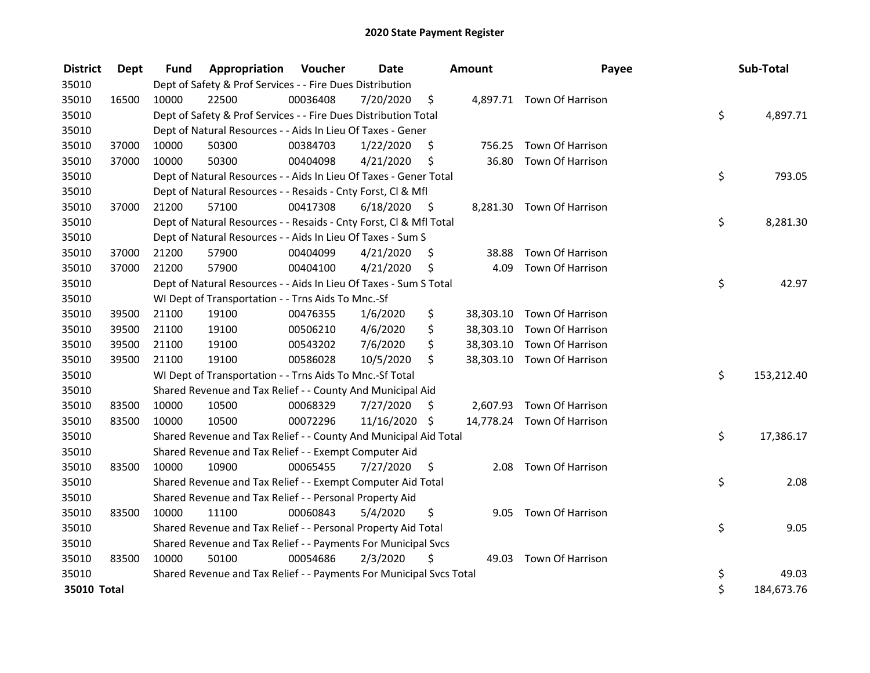| <b>District</b> | Dept  | <b>Fund</b> | Appropriation                                                       | Voucher  | <b>Date</b> |    | Amount    | Payee                      | Sub-Total        |
|-----------------|-------|-------------|---------------------------------------------------------------------|----------|-------------|----|-----------|----------------------------|------------------|
| 35010           |       |             | Dept of Safety & Prof Services - - Fire Dues Distribution           |          |             |    |           |                            |                  |
| 35010           | 16500 | 10000       | 22500                                                               | 00036408 | 7/20/2020   | \$ |           | 4,897.71 Town Of Harrison  |                  |
| 35010           |       |             | Dept of Safety & Prof Services - - Fire Dues Distribution Total     |          |             |    |           |                            | \$<br>4,897.71   |
| 35010           |       |             | Dept of Natural Resources - - Aids In Lieu Of Taxes - Gener         |          |             |    |           |                            |                  |
| 35010           | 37000 | 10000       | 50300                                                               | 00384703 | 1/22/2020   | \$ | 756.25    | Town Of Harrison           |                  |
| 35010           | 37000 | 10000       | 50300                                                               | 00404098 | 4/21/2020   | \$ | 36.80     | Town Of Harrison           |                  |
| 35010           |       |             | Dept of Natural Resources - - Aids In Lieu Of Taxes - Gener Total   |          |             |    |           |                            | \$<br>793.05     |
| 35010           |       |             | Dept of Natural Resources - - Resaids - Cnty Forst, Cl & Mfl        |          |             |    |           |                            |                  |
| 35010           | 37000 | 21200       | 57100                                                               | 00417308 | 6/18/2020   | \$ |           | 8,281.30 Town Of Harrison  |                  |
| 35010           |       |             | Dept of Natural Resources - - Resaids - Cnty Forst, Cl & Mfl Total  |          |             |    |           |                            | \$<br>8,281.30   |
| 35010           |       |             | Dept of Natural Resources - - Aids In Lieu Of Taxes - Sum S         |          |             |    |           |                            |                  |
| 35010           | 37000 | 21200       | 57900                                                               | 00404099 | 4/21/2020   | \$ | 38.88     | Town Of Harrison           |                  |
| 35010           | 37000 | 21200       | 57900                                                               | 00404100 | 4/21/2020   | \$ | 4.09      | Town Of Harrison           |                  |
| 35010           |       |             | Dept of Natural Resources - - Aids In Lieu Of Taxes - Sum S Total   |          |             |    |           |                            | \$<br>42.97      |
| 35010           |       |             | WI Dept of Transportation - - Trns Aids To Mnc.-Sf                  |          |             |    |           |                            |                  |
| 35010           | 39500 | 21100       | 19100                                                               | 00476355 | 1/6/2020    | \$ |           | 38,303.10 Town Of Harrison |                  |
| 35010           | 39500 | 21100       | 19100                                                               | 00506210 | 4/6/2020    | \$ | 38,303.10 | Town Of Harrison           |                  |
| 35010           | 39500 | 21100       | 19100                                                               | 00543202 | 7/6/2020    | \$ | 38,303.10 | Town Of Harrison           |                  |
| 35010           | 39500 | 21100       | 19100                                                               | 00586028 | 10/5/2020   | \$ | 38,303.10 | Town Of Harrison           |                  |
| 35010           |       |             | WI Dept of Transportation - - Trns Aids To Mnc.-Sf Total            |          |             |    |           |                            | \$<br>153,212.40 |
| 35010           |       |             | Shared Revenue and Tax Relief - - County And Municipal Aid          |          |             |    |           |                            |                  |
| 35010           | 83500 | 10000       | 10500                                                               | 00068329 | 7/27/2020   | S  |           | 2,607.93 Town Of Harrison  |                  |
| 35010           | 83500 | 10000       | 10500                                                               | 00072296 | 11/16/2020  | \$ |           | 14,778.24 Town Of Harrison |                  |
| 35010           |       |             | Shared Revenue and Tax Relief - - County And Municipal Aid Total    |          |             |    |           |                            | \$<br>17,386.17  |
| 35010           |       |             | Shared Revenue and Tax Relief - - Exempt Computer Aid               |          |             |    |           |                            |                  |
| 35010           | 83500 | 10000       | 10900                                                               | 00065455 | 7/27/2020   | \$ | 2.08      | Town Of Harrison           |                  |
| 35010           |       |             | Shared Revenue and Tax Relief - - Exempt Computer Aid Total         |          |             |    |           |                            | \$<br>2.08       |
| 35010           |       |             | Shared Revenue and Tax Relief - - Personal Property Aid             |          |             |    |           |                            |                  |
| 35010           | 83500 | 10000       | 11100                                                               | 00060843 | 5/4/2020    | \$ |           | 9.05 Town Of Harrison      |                  |
| 35010           |       |             | Shared Revenue and Tax Relief - - Personal Property Aid Total       |          |             |    |           |                            | \$<br>9.05       |
| 35010           |       |             | Shared Revenue and Tax Relief - - Payments For Municipal Svcs       |          |             |    |           |                            |                  |
| 35010           | 83500 | 10000       | 50100                                                               | 00054686 | 2/3/2020    | \$ | 49.03     | Town Of Harrison           |                  |
| 35010           |       |             | Shared Revenue and Tax Relief - - Payments For Municipal Svcs Total |          |             |    |           |                            | \$<br>49.03      |
| 35010 Total     |       |             |                                                                     |          |             |    |           |                            | \$<br>184,673.76 |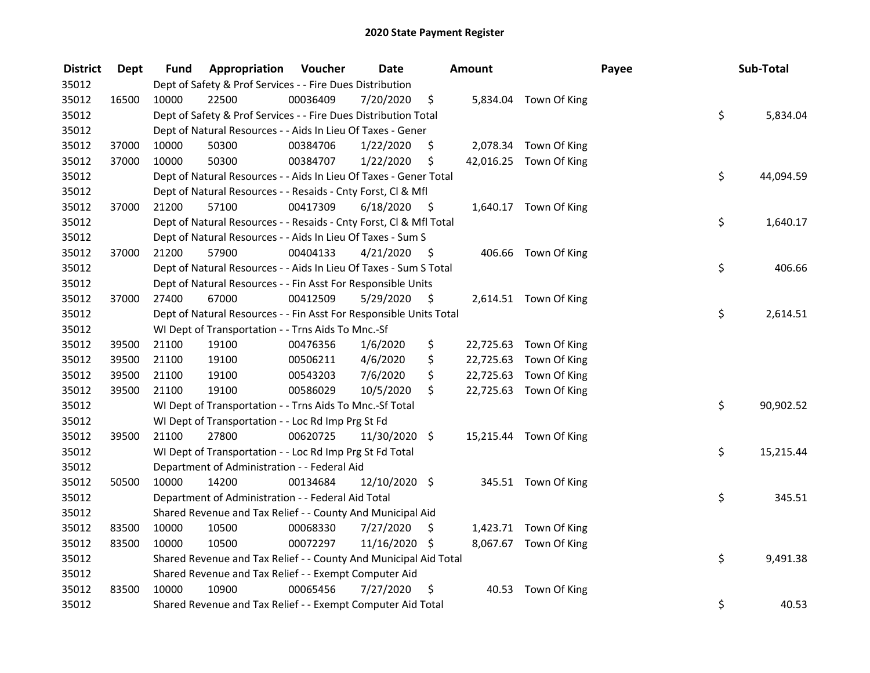| <b>District</b> | <b>Dept</b> | Fund  | Appropriation                                                      | Voucher  | <b>Date</b>   |      | Amount |                        | Payee | Sub-Total       |
|-----------------|-------------|-------|--------------------------------------------------------------------|----------|---------------|------|--------|------------------------|-------|-----------------|
| 35012           |             |       | Dept of Safety & Prof Services - - Fire Dues Distribution          |          |               |      |        |                        |       |                 |
| 35012           | 16500       | 10000 | 22500                                                              | 00036409 | 7/20/2020     | \$   |        | 5,834.04 Town Of King  |       |                 |
| 35012           |             |       | Dept of Safety & Prof Services - - Fire Dues Distribution Total    |          |               |      |        |                        |       | \$<br>5,834.04  |
| 35012           |             |       | Dept of Natural Resources - - Aids In Lieu Of Taxes - Gener        |          |               |      |        |                        |       |                 |
| 35012           | 37000       | 10000 | 50300                                                              | 00384706 | 1/22/2020     | \$   |        | 2,078.34 Town Of King  |       |                 |
| 35012           | 37000       | 10000 | 50300                                                              | 00384707 | 1/22/2020     | \$   |        | 42,016.25 Town Of King |       |                 |
| 35012           |             |       | Dept of Natural Resources - - Aids In Lieu Of Taxes - Gener Total  |          |               |      |        |                        |       | \$<br>44,094.59 |
| 35012           |             |       | Dept of Natural Resources - - Resaids - Cnty Forst, Cl & Mfl       |          |               |      |        |                        |       |                 |
| 35012           | 37000       | 21200 | 57100                                                              | 00417309 | 6/18/2020     | - \$ |        | 1,640.17 Town Of King  |       |                 |
| 35012           |             |       | Dept of Natural Resources - - Resaids - Cnty Forst, Cl & Mfl Total |          |               |      |        |                        |       | \$<br>1,640.17  |
| 35012           |             |       | Dept of Natural Resources - - Aids In Lieu Of Taxes - Sum S        |          |               |      |        |                        |       |                 |
| 35012           | 37000       | 21200 | 57900                                                              | 00404133 | 4/21/2020     | - \$ |        | 406.66 Town Of King    |       |                 |
| 35012           |             |       | Dept of Natural Resources - - Aids In Lieu Of Taxes - Sum S Total  |          |               |      |        |                        |       | \$<br>406.66    |
| 35012           |             |       | Dept of Natural Resources - - Fin Asst For Responsible Units       |          |               |      |        |                        |       |                 |
| 35012           | 37000       | 27400 | 67000                                                              | 00412509 | 5/29/2020     | \$   |        | 2,614.51 Town Of King  |       |                 |
| 35012           |             |       | Dept of Natural Resources - - Fin Asst For Responsible Units Total |          |               |      |        |                        |       | \$<br>2,614.51  |
| 35012           |             |       | WI Dept of Transportation - - Trns Aids To Mnc.-Sf                 |          |               |      |        |                        |       |                 |
| 35012           | 39500       | 21100 | 19100                                                              | 00476356 | 1/6/2020      | \$   |        | 22,725.63 Town Of King |       |                 |
| 35012           | 39500       | 21100 | 19100                                                              | 00506211 | 4/6/2020      | \$   |        | 22,725.63 Town Of King |       |                 |
| 35012           | 39500       | 21100 | 19100                                                              | 00543203 | 7/6/2020      | \$   |        | 22,725.63 Town Of King |       |                 |
| 35012           | 39500       | 21100 | 19100                                                              | 00586029 | 10/5/2020     | \$   |        | 22,725.63 Town Of King |       |                 |
| 35012           |             |       | WI Dept of Transportation - - Trns Aids To Mnc.-Sf Total           |          |               |      |        |                        |       | \$<br>90,902.52 |
| 35012           |             |       | WI Dept of Transportation - - Loc Rd Imp Prg St Fd                 |          |               |      |        |                        |       |                 |
| 35012           | 39500       | 21100 | 27800                                                              | 00620725 | 11/30/2020 \$ |      |        | 15,215.44 Town Of King |       |                 |
| 35012           |             |       | WI Dept of Transportation - - Loc Rd Imp Prg St Fd Total           |          |               |      |        |                        |       | \$<br>15,215.44 |
| 35012           |             |       | Department of Administration - - Federal Aid                       |          |               |      |        |                        |       |                 |
| 35012           | 50500       | 10000 | 14200                                                              | 00134684 | 12/10/2020 \$ |      |        | 345.51 Town Of King    |       |                 |
| 35012           |             |       | Department of Administration - - Federal Aid Total                 |          |               |      |        |                        |       | \$<br>345.51    |
| 35012           |             |       | Shared Revenue and Tax Relief - - County And Municipal Aid         |          |               |      |        |                        |       |                 |
| 35012           | 83500       | 10000 | 10500                                                              | 00068330 | 7/27/2020     | \$   |        | 1,423.71 Town Of King  |       |                 |
| 35012           | 83500       | 10000 | 10500                                                              | 00072297 | 11/16/2020 \$ |      |        | 8,067.67 Town Of King  |       |                 |
| 35012           |             |       | Shared Revenue and Tax Relief - - County And Municipal Aid Total   |          |               |      |        |                        |       | \$<br>9,491.38  |
| 35012           |             |       | Shared Revenue and Tax Relief - - Exempt Computer Aid              |          |               |      |        |                        |       |                 |
| 35012           | 83500       | 10000 | 10900                                                              | 00065456 | 7/27/2020     | \$   |        | 40.53 Town Of King     |       |                 |
| 35012           |             |       | Shared Revenue and Tax Relief - - Exempt Computer Aid Total        |          |               |      |        |                        |       | \$<br>40.53     |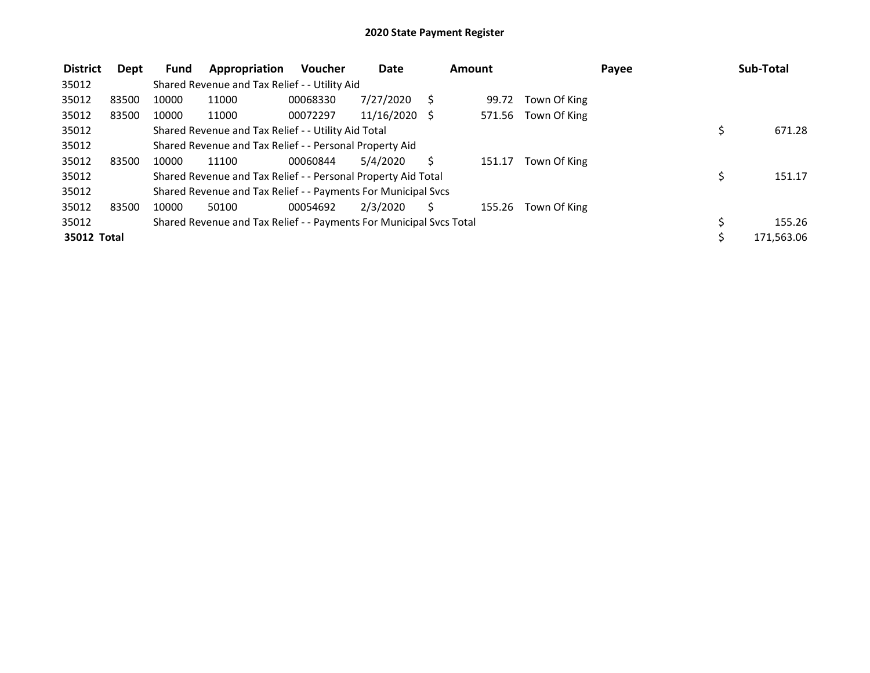| <b>District</b> | Dept  | Fund  | Appropriation                                                       | <b>Voucher</b> | <b>Date</b>     | Amount |        |              | Payee |    | Sub-Total  |
|-----------------|-------|-------|---------------------------------------------------------------------|----------------|-----------------|--------|--------|--------------|-------|----|------------|
| 35012           |       |       | Shared Revenue and Tax Relief - - Utility Aid                       |                |                 |        |        |              |       |    |            |
| 35012           | 83500 | 10000 | 11000                                                               | 00068330       | 7/27/2020       |        | 99.72  | Town Of King |       |    |            |
| 35012           | 83500 | 10000 | 11000                                                               | 00072297       | $11/16/2020$ \$ |        | 571.56 | Town Of King |       |    |            |
| 35012           |       |       | Shared Revenue and Tax Relief - - Utility Aid Total                 |                |                 |        |        |              |       | \$ | 671.28     |
| 35012           |       |       | Shared Revenue and Tax Relief - - Personal Property Aid             |                |                 |        |        |              |       |    |            |
| 35012           | 83500 | 10000 | 11100                                                               | 00060844       | 5/4/2020        |        | 151.17 | Town Of King |       |    |            |
| 35012           |       |       | Shared Revenue and Tax Relief - - Personal Property Aid Total       |                |                 |        |        |              |       |    | 151.17     |
| 35012           |       |       | Shared Revenue and Tax Relief - - Payments For Municipal Svcs       |                |                 |        |        |              |       |    |            |
| 35012           | 83500 | 10000 | 50100                                                               | 00054692       | 2/3/2020        |        | 155.26 | Town Of King |       |    |            |
| 35012           |       |       | Shared Revenue and Tax Relief - - Payments For Municipal Svcs Total |                |                 |        |        |              |       | \$ | 155.26     |
| 35012 Total     |       |       |                                                                     |                |                 |        |        |              |       | Ś  | 171,563.06 |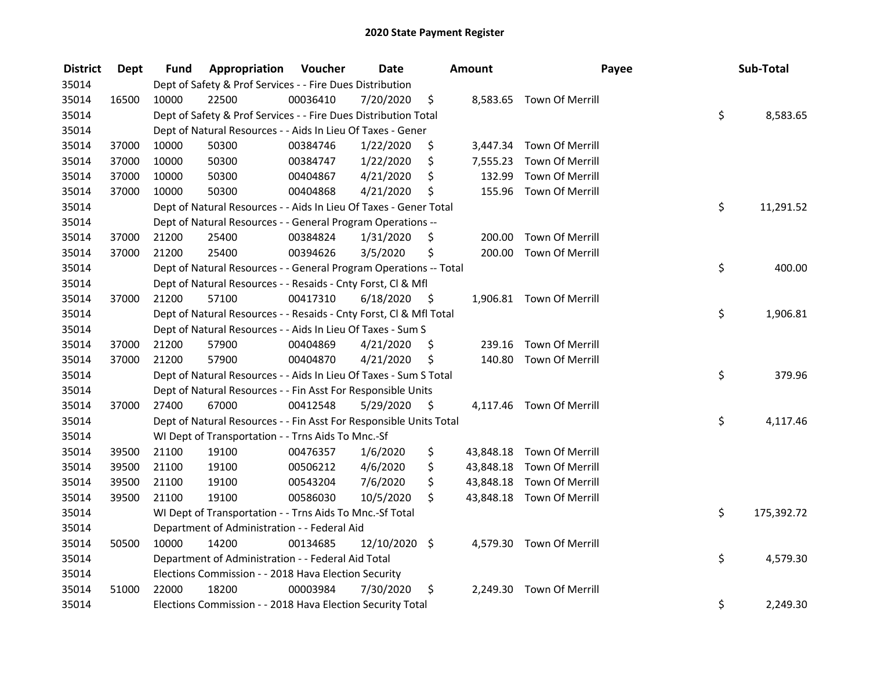| <b>District</b> | <b>Dept</b> | Fund  | Appropriation                                                      | Voucher  | <b>Date</b>   |      | Amount   |                           | Payee | Sub-Total  |
|-----------------|-------------|-------|--------------------------------------------------------------------|----------|---------------|------|----------|---------------------------|-------|------------|
| 35014           |             |       | Dept of Safety & Prof Services - - Fire Dues Distribution          |          |               |      |          |                           |       |            |
| 35014           | 16500       | 10000 | 22500                                                              | 00036410 | 7/20/2020     | \$   |          | 8,583.65 Town Of Merrill  |       |            |
| 35014           |             |       | Dept of Safety & Prof Services - - Fire Dues Distribution Total    |          |               |      |          |                           | \$    | 8,583.65   |
| 35014           |             |       | Dept of Natural Resources - - Aids In Lieu Of Taxes - Gener        |          |               |      |          |                           |       |            |
| 35014           | 37000       | 10000 | 50300                                                              | 00384746 | 1/22/2020     | \$   |          | 3,447.34 Town Of Merrill  |       |            |
| 35014           | 37000       | 10000 | 50300                                                              | 00384747 | 1/22/2020     | \$   | 7,555.23 | Town Of Merrill           |       |            |
| 35014           | 37000       | 10000 | 50300                                                              | 00404867 | 4/21/2020     | \$   | 132.99   | Town Of Merrill           |       |            |
| 35014           | 37000       | 10000 | 50300                                                              | 00404868 | 4/21/2020     | \$   |          | 155.96 Town Of Merrill    |       |            |
| 35014           |             |       | Dept of Natural Resources - - Aids In Lieu Of Taxes - Gener Total  |          |               |      |          |                           | \$    | 11,291.52  |
| 35014           |             |       | Dept of Natural Resources - - General Program Operations --        |          |               |      |          |                           |       |            |
| 35014           | 37000       | 21200 | 25400                                                              | 00384824 | 1/31/2020     | \$   | 200.00   | Town Of Merrill           |       |            |
| 35014           | 37000       | 21200 | 25400                                                              | 00394626 | 3/5/2020      | \$   |          | 200.00 Town Of Merrill    |       |            |
| 35014           |             |       | Dept of Natural Resources - - General Program Operations -- Total  |          |               |      |          |                           | \$    | 400.00     |
| 35014           |             |       | Dept of Natural Resources - - Resaids - Cnty Forst, CI & Mfl       |          |               |      |          |                           |       |            |
| 35014           | 37000       | 21200 | 57100                                                              | 00417310 | 6/18/2020     | - \$ |          | 1,906.81 Town Of Merrill  |       |            |
| 35014           |             |       | Dept of Natural Resources - - Resaids - Cnty Forst, Cl & Mfl Total |          |               |      |          |                           | \$    | 1,906.81   |
| 35014           |             |       | Dept of Natural Resources - - Aids In Lieu Of Taxes - Sum S        |          |               |      |          |                           |       |            |
| 35014           | 37000       | 21200 | 57900                                                              | 00404869 | 4/21/2020     | \$   | 239.16   | Town Of Merrill           |       |            |
| 35014           | 37000       | 21200 | 57900                                                              | 00404870 | 4/21/2020     | \$   |          | 140.80 Town Of Merrill    |       |            |
| 35014           |             |       | Dept of Natural Resources - - Aids In Lieu Of Taxes - Sum S Total  |          |               |      |          |                           | \$    | 379.96     |
| 35014           |             |       | Dept of Natural Resources - - Fin Asst For Responsible Units       |          |               |      |          |                           |       |            |
| 35014           | 37000       | 27400 | 67000                                                              | 00412548 | 5/29/2020     | - \$ |          | 4,117.46 Town Of Merrill  |       |            |
| 35014           |             |       | Dept of Natural Resources - - Fin Asst For Responsible Units Total |          |               |      |          |                           | \$    | 4,117.46   |
| 35014           |             |       | WI Dept of Transportation - - Trns Aids To Mnc.-Sf                 |          |               |      |          |                           |       |            |
| 35014           | 39500       | 21100 | 19100                                                              | 00476357 | 1/6/2020      | \$   |          | 43,848.18 Town Of Merrill |       |            |
| 35014           | 39500       | 21100 | 19100                                                              | 00506212 | 4/6/2020      | \$   |          | 43,848.18 Town Of Merrill |       |            |
| 35014           | 39500       | 21100 | 19100                                                              | 00543204 | 7/6/2020      | \$   |          | 43,848.18 Town Of Merrill |       |            |
| 35014           | 39500       | 21100 | 19100                                                              | 00586030 | 10/5/2020     | \$   |          | 43,848.18 Town Of Merrill |       |            |
| 35014           |             |       | WI Dept of Transportation - - Trns Aids To Mnc.-Sf Total           |          |               |      |          |                           | \$    | 175,392.72 |
| 35014           |             |       | Department of Administration - - Federal Aid                       |          |               |      |          |                           |       |            |
| 35014           | 50500       | 10000 | 14200                                                              | 00134685 | 12/10/2020 \$ |      |          | 4,579.30 Town Of Merrill  |       |            |
| 35014           |             |       | Department of Administration - - Federal Aid Total                 |          |               |      |          |                           | \$    | 4,579.30   |
| 35014           |             |       | Elections Commission - - 2018 Hava Election Security               |          |               |      |          |                           |       |            |
| 35014           | 51000       | 22000 | 18200                                                              | 00003984 | 7/30/2020     | \$   | 2,249.30 | Town Of Merrill           |       |            |
| 35014           |             |       | Elections Commission - - 2018 Hava Election Security Total         |          |               |      |          |                           | \$    | 2,249.30   |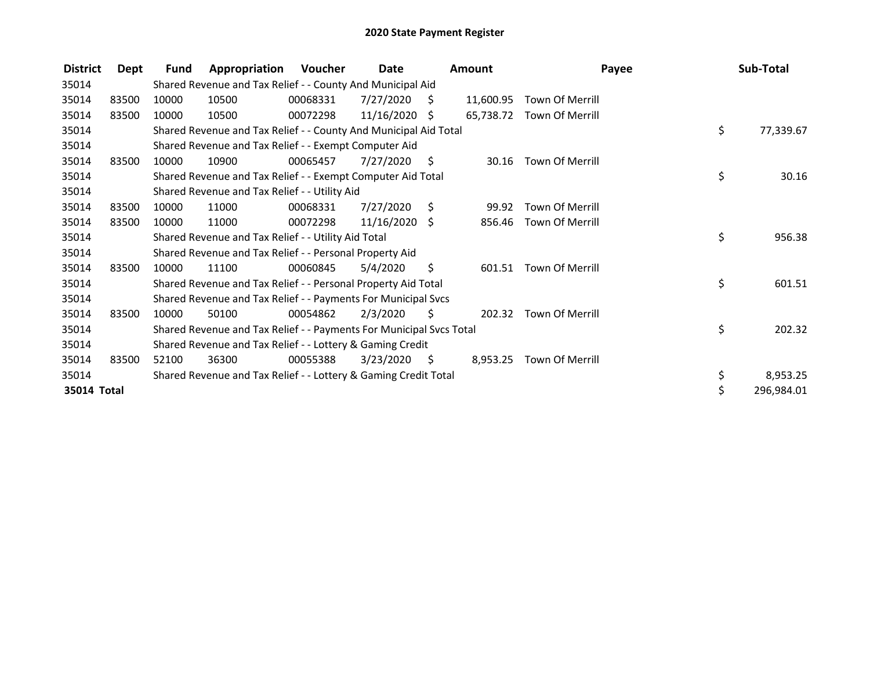| <b>District</b> | Dept  | Fund  | Appropriation                                                       | <b>Voucher</b> | Date            |    | Amount    |                 | Payee | Sub-Total  |
|-----------------|-------|-------|---------------------------------------------------------------------|----------------|-----------------|----|-----------|-----------------|-------|------------|
| 35014           |       |       | Shared Revenue and Tax Relief - - County And Municipal Aid          |                |                 |    |           |                 |       |            |
| 35014           | 83500 | 10000 | 10500                                                               | 00068331       | 7/27/2020       | S. | 11,600.95 | Town Of Merrill |       |            |
| 35014           | 83500 | 10000 | 10500                                                               | 00072298       | 11/16/2020      | S  | 65,738.72 | Town Of Merrill |       |            |
| 35014           |       |       | Shared Revenue and Tax Relief - - County And Municipal Aid Total    |                |                 |    |           |                 | \$    | 77,339.67  |
| 35014           |       |       | Shared Revenue and Tax Relief - - Exempt Computer Aid               |                |                 |    |           |                 |       |            |
| 35014           | 83500 | 10000 | 10900                                                               | 00065457       | 7/27/2020       | S. | 30.16     | Town Of Merrill |       |            |
| 35014           |       |       | Shared Revenue and Tax Relief - - Exempt Computer Aid Total         |                |                 |    |           |                 | \$    | 30.16      |
| 35014           |       |       | Shared Revenue and Tax Relief - - Utility Aid                       |                |                 |    |           |                 |       |            |
| 35014           | 83500 | 10000 | 11000                                                               | 00068331       | 7/27/2020       | S. | 99.92     | Town Of Merrill |       |            |
| 35014           | 83500 | 10000 | 11000                                                               | 00072298       | $11/16/2020$ \$ |    | 856.46    | Town Of Merrill |       |            |
| 35014           |       |       | Shared Revenue and Tax Relief - - Utility Aid Total                 |                |                 |    |           |                 | \$    | 956.38     |
| 35014           |       |       | Shared Revenue and Tax Relief - - Personal Property Aid             |                |                 |    |           |                 |       |            |
| 35014           | 83500 | 10000 | 11100                                                               | 00060845       | 5/4/2020        | \$ | 601.51    | Town Of Merrill |       |            |
| 35014           |       |       | Shared Revenue and Tax Relief - - Personal Property Aid Total       |                |                 |    |           |                 | \$    | 601.51     |
| 35014           |       |       | Shared Revenue and Tax Relief - - Payments For Municipal Svcs       |                |                 |    |           |                 |       |            |
| 35014           | 83500 | 10000 | 50100                                                               | 00054862       | 2/3/2020        | S  | 202.32    | Town Of Merrill |       |            |
| 35014           |       |       | Shared Revenue and Tax Relief - - Payments For Municipal Svcs Total |                |                 |    |           |                 | \$    | 202.32     |
| 35014           |       |       | Shared Revenue and Tax Relief - - Lottery & Gaming Credit           |                |                 |    |           |                 |       |            |
| 35014           | 83500 | 52100 | 36300                                                               | 00055388       | 3/23/2020       | S. | 8,953.25  | Town Of Merrill |       |            |
| 35014           |       |       | Shared Revenue and Tax Relief - - Lottery & Gaming Credit Total     |                |                 |    |           |                 | \$    | 8,953.25   |
| 35014 Total     |       |       |                                                                     |                |                 |    |           |                 |       | 296,984.01 |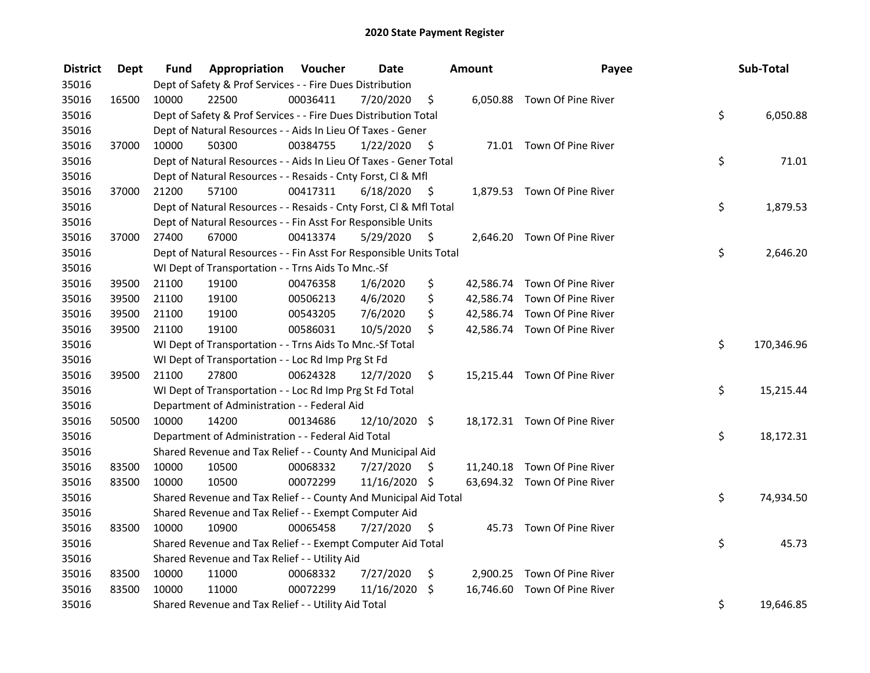| <b>District</b> | Dept  | Fund  | <b>Appropriation Voucher</b>                                       |          | <b>Date</b>   |      | Amount | Payee                        | Sub-Total        |
|-----------------|-------|-------|--------------------------------------------------------------------|----------|---------------|------|--------|------------------------------|------------------|
| 35016           |       |       | Dept of Safety & Prof Services - - Fire Dues Distribution          |          |               |      |        |                              |                  |
| 35016           | 16500 | 10000 | 22500                                                              | 00036411 | 7/20/2020     | \$   |        | 6,050.88 Town Of Pine River  |                  |
| 35016           |       |       | Dept of Safety & Prof Services - - Fire Dues Distribution Total    |          |               |      |        |                              | \$<br>6,050.88   |
| 35016           |       |       | Dept of Natural Resources - - Aids In Lieu Of Taxes - Gener        |          |               |      |        |                              |                  |
| 35016           | 37000 | 10000 | 50300                                                              | 00384755 | 1/22/2020     | -\$  |        | 71.01 Town Of Pine River     |                  |
| 35016           |       |       | Dept of Natural Resources - - Aids In Lieu Of Taxes - Gener Total  |          |               |      |        |                              | \$<br>71.01      |
| 35016           |       |       | Dept of Natural Resources - - Resaids - Cnty Forst, Cl & Mfl       |          |               |      |        |                              |                  |
| 35016           | 37000 | 21200 | 57100                                                              | 00417311 | 6/18/2020     | - \$ |        | 1,879.53 Town Of Pine River  |                  |
| 35016           |       |       | Dept of Natural Resources - - Resaids - Cnty Forst, Cl & Mfl Total |          |               |      |        |                              | \$<br>1,879.53   |
| 35016           |       |       | Dept of Natural Resources - - Fin Asst For Responsible Units       |          |               |      |        |                              |                  |
| 35016           | 37000 | 27400 | 67000                                                              | 00413374 | 5/29/2020     | \$   |        | 2,646.20 Town Of Pine River  |                  |
| 35016           |       |       | Dept of Natural Resources - - Fin Asst For Responsible Units Total |          |               |      |        |                              | \$<br>2,646.20   |
| 35016           |       |       | WI Dept of Transportation - - Trns Aids To Mnc.-Sf                 |          |               |      |        |                              |                  |
| 35016           | 39500 | 21100 | 19100                                                              | 00476358 | 1/6/2020      | \$   |        | 42,586.74 Town Of Pine River |                  |
| 35016           | 39500 | 21100 | 19100                                                              | 00506213 | 4/6/2020      | \$   |        | 42,586.74 Town Of Pine River |                  |
| 35016           | 39500 | 21100 | 19100                                                              | 00543205 | 7/6/2020      | \$   |        | 42,586.74 Town Of Pine River |                  |
| 35016           | 39500 | 21100 | 19100                                                              | 00586031 | 10/5/2020     | \$   |        | 42,586.74 Town Of Pine River |                  |
| 35016           |       |       | WI Dept of Transportation - - Trns Aids To Mnc.-Sf Total           |          |               |      |        |                              | \$<br>170,346.96 |
| 35016           |       |       | WI Dept of Transportation - - Loc Rd Imp Prg St Fd                 |          |               |      |        |                              |                  |
| 35016           | 39500 | 21100 | 27800                                                              | 00624328 | 12/7/2020     | \$   |        | 15,215.44 Town Of Pine River |                  |
| 35016           |       |       | WI Dept of Transportation - - Loc Rd Imp Prg St Fd Total           |          |               |      |        |                              | \$<br>15,215.44  |
| 35016           |       |       | Department of Administration - - Federal Aid                       |          |               |      |        |                              |                  |
| 35016           | 50500 | 10000 | 14200                                                              | 00134686 | 12/10/2020 \$ |      |        | 18,172.31 Town Of Pine River |                  |
| 35016           |       |       | Department of Administration - - Federal Aid Total                 |          |               |      |        |                              | \$<br>18,172.31  |
| 35016           |       |       | Shared Revenue and Tax Relief - - County And Municipal Aid         |          |               |      |        |                              |                  |
| 35016           | 83500 | 10000 | 10500                                                              | 00068332 | 7/27/2020     | S.   |        | 11,240.18 Town Of Pine River |                  |
| 35016           | 83500 | 10000 | 10500                                                              | 00072299 | 11/16/2020 \$ |      |        | 63,694.32 Town Of Pine River |                  |
| 35016           |       |       | Shared Revenue and Tax Relief - - County And Municipal Aid Total   |          |               |      |        |                              | \$<br>74,934.50  |
| 35016           |       |       | Shared Revenue and Tax Relief - - Exempt Computer Aid              |          |               |      |        |                              |                  |
| 35016           | 83500 | 10000 | 10900                                                              | 00065458 | 7/27/2020     | \$   |        | 45.73 Town Of Pine River     |                  |
| 35016           |       |       | Shared Revenue and Tax Relief - - Exempt Computer Aid Total        |          |               |      |        |                              | \$<br>45.73      |
| 35016           |       |       | Shared Revenue and Tax Relief - - Utility Aid                      |          |               |      |        |                              |                  |
| 35016           | 83500 | 10000 | 11000                                                              | 00068332 | 7/27/2020     | \$   |        | 2,900.25 Town Of Pine River  |                  |
| 35016           | 83500 | 10000 | 11000                                                              | 00072299 | 11/16/2020    | \$   |        | 16,746.60 Town Of Pine River |                  |
| 35016           |       |       | Shared Revenue and Tax Relief - - Utility Aid Total                |          |               |      |        |                              | \$<br>19,646.85  |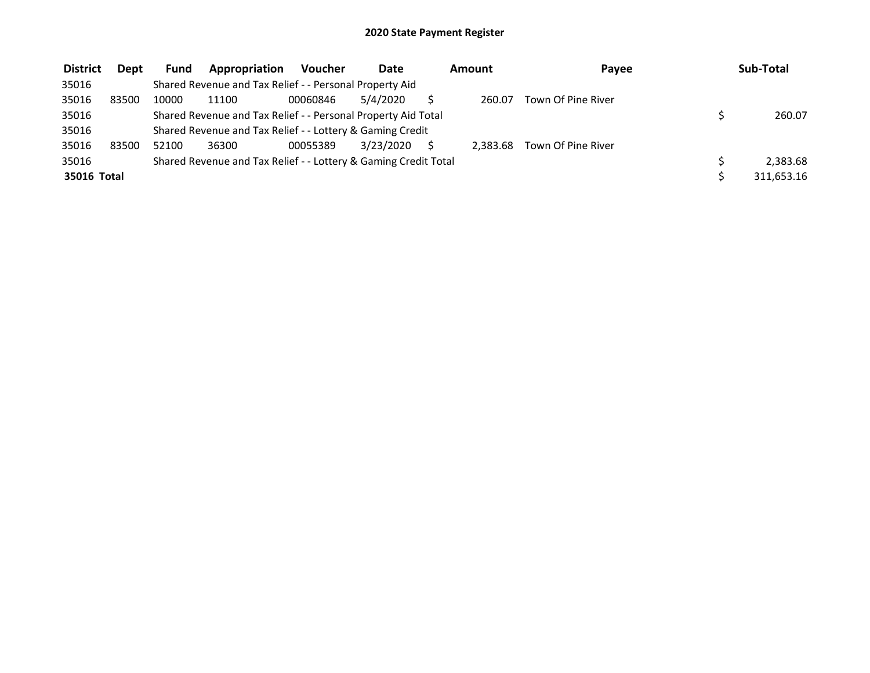| <b>District</b> | Dept  | <b>Fund</b> | Appropriation                                                   | <b>Voucher</b> | Date      | Amount   | Payee              | Sub-Total  |
|-----------------|-------|-------------|-----------------------------------------------------------------|----------------|-----------|----------|--------------------|------------|
| 35016           |       |             | Shared Revenue and Tax Relief - - Personal Property Aid         |                |           |          |                    |            |
| 35016           | 83500 | 10000       | 11100                                                           | 00060846       | 5/4/2020  | 260.07   | Town Of Pine River |            |
| 35016           |       |             | Shared Revenue and Tax Relief - - Personal Property Aid Total   |                |           |          |                    | 260.07     |
| 35016           |       |             | Shared Revenue and Tax Relief - - Lottery & Gaming Credit       |                |           |          |                    |            |
| 35016           | 83500 | 52100       | 36300                                                           | 00055389       | 3/23/2020 | 2.383.68 | Town Of Pine River |            |
| 35016           |       |             | Shared Revenue and Tax Relief - - Lottery & Gaming Credit Total |                |           |          |                    | 2,383.68   |
| 35016 Total     |       |             |                                                                 |                |           |          |                    | 311,653.16 |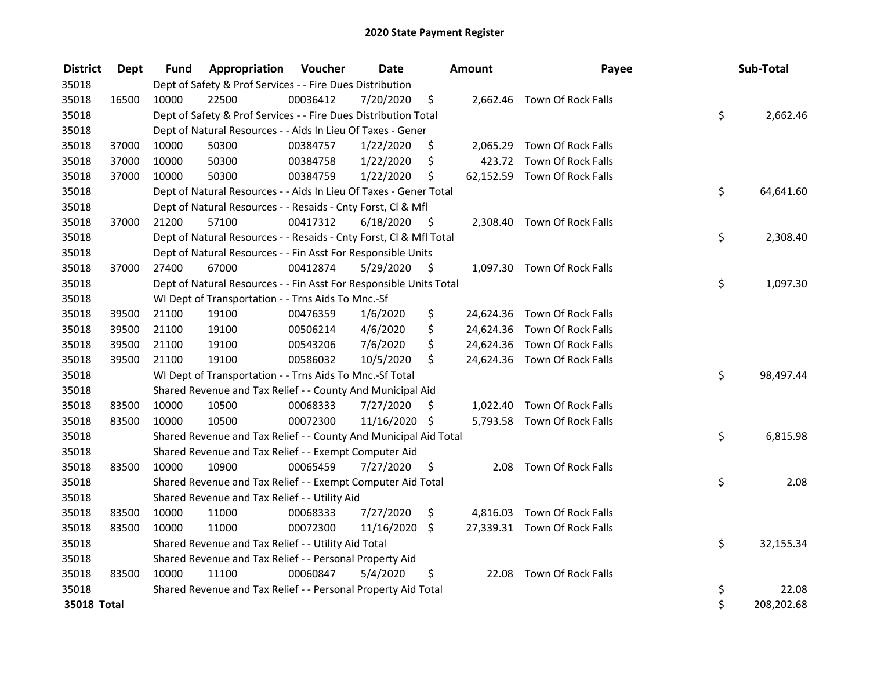| <b>District</b> | <b>Dept</b> | Fund  | Appropriation                                                      | Voucher  | <b>Date</b>   |      | <b>Amount</b> | Payee                        | Sub-Total        |
|-----------------|-------------|-------|--------------------------------------------------------------------|----------|---------------|------|---------------|------------------------------|------------------|
| 35018           |             |       | Dept of Safety & Prof Services - - Fire Dues Distribution          |          |               |      |               |                              |                  |
| 35018           | 16500       | 10000 | 22500                                                              | 00036412 | 7/20/2020     | \$   |               | 2,662.46 Town Of Rock Falls  |                  |
| 35018           |             |       | Dept of Safety & Prof Services - - Fire Dues Distribution Total    |          |               |      |               |                              | \$<br>2,662.46   |
| 35018           |             |       | Dept of Natural Resources - - Aids In Lieu Of Taxes - Gener        |          |               |      |               |                              |                  |
| 35018           | 37000       | 10000 | 50300                                                              | 00384757 | 1/22/2020     | \$   |               | 2,065.29 Town Of Rock Falls  |                  |
| 35018           | 37000       | 10000 | 50300                                                              | 00384758 | 1/22/2020     | \$   | 423.72        | Town Of Rock Falls           |                  |
| 35018           | 37000       | 10000 | 50300                                                              | 00384759 | 1/22/2020     | \$   |               | 62,152.59 Town Of Rock Falls |                  |
| 35018           |             |       | Dept of Natural Resources - - Aids In Lieu Of Taxes - Gener Total  |          |               |      |               |                              | \$<br>64,641.60  |
| 35018           |             |       | Dept of Natural Resources - - Resaids - Cnty Forst, Cl & Mfl       |          |               |      |               |                              |                  |
| 35018           | 37000       | 21200 | 57100                                                              | 00417312 | 6/18/2020     | - \$ |               | 2,308.40 Town Of Rock Falls  |                  |
| 35018           |             |       | Dept of Natural Resources - - Resaids - Cnty Forst, Cl & Mfl Total |          |               |      |               |                              | \$<br>2,308.40   |
| 35018           |             |       | Dept of Natural Resources - - Fin Asst For Responsible Units       |          |               |      |               |                              |                  |
| 35018           | 37000       | 27400 | 67000                                                              | 00412874 | 5/29/2020     | \$   |               | 1,097.30 Town Of Rock Falls  |                  |
| 35018           |             |       | Dept of Natural Resources - - Fin Asst For Responsible Units Total |          |               |      |               |                              | \$<br>1,097.30   |
| 35018           |             |       | WI Dept of Transportation - - Trns Aids To Mnc.-Sf                 |          |               |      |               |                              |                  |
| 35018           | 39500       | 21100 | 19100                                                              | 00476359 | 1/6/2020      | \$   |               | 24,624.36 Town Of Rock Falls |                  |
| 35018           | 39500       | 21100 | 19100                                                              | 00506214 | 4/6/2020      | \$   |               | 24,624.36 Town Of Rock Falls |                  |
| 35018           | 39500       | 21100 | 19100                                                              | 00543206 | 7/6/2020      | \$   |               | 24,624.36 Town Of Rock Falls |                  |
| 35018           | 39500       | 21100 | 19100                                                              | 00586032 | 10/5/2020     | \$   |               | 24,624.36 Town Of Rock Falls |                  |
| 35018           |             |       | WI Dept of Transportation - - Trns Aids To Mnc.-Sf Total           |          |               |      |               |                              | \$<br>98,497.44  |
| 35018           |             |       | Shared Revenue and Tax Relief - - County And Municipal Aid         |          |               |      |               |                              |                  |
| 35018           | 83500       | 10000 | 10500                                                              | 00068333 | 7/27/2020     | \$   |               | 1,022.40 Town Of Rock Falls  |                  |
| 35018           | 83500       | 10000 | 10500                                                              | 00072300 | 11/16/2020 \$ |      |               | 5,793.58 Town Of Rock Falls  |                  |
| 35018           |             |       | Shared Revenue and Tax Relief - - County And Municipal Aid Total   |          |               |      |               |                              | \$<br>6,815.98   |
| 35018           |             |       | Shared Revenue and Tax Relief - - Exempt Computer Aid              |          |               |      |               |                              |                  |
| 35018           | 83500       | 10000 | 10900                                                              | 00065459 | 7/27/2020     | \$   | 2.08          | Town Of Rock Falls           |                  |
| 35018           |             |       | Shared Revenue and Tax Relief - - Exempt Computer Aid Total        |          |               |      |               |                              | \$<br>2.08       |
| 35018           |             |       | Shared Revenue and Tax Relief - - Utility Aid                      |          |               |      |               |                              |                  |
| 35018           | 83500       | 10000 | 11000                                                              | 00068333 | 7/27/2020     | \$   |               | 4,816.03 Town Of Rock Falls  |                  |
| 35018           | 83500       | 10000 | 11000                                                              | 00072300 | 11/16/2020    | \$   |               | 27,339.31 Town Of Rock Falls |                  |
| 35018           |             |       | Shared Revenue and Tax Relief - - Utility Aid Total                |          |               |      |               |                              | \$<br>32,155.34  |
| 35018           |             |       | Shared Revenue and Tax Relief - - Personal Property Aid            |          |               |      |               |                              |                  |
| 35018           | 83500       | 10000 | 11100                                                              | 00060847 | 5/4/2020      | \$   | 22.08         | <b>Town Of Rock Falls</b>    |                  |
| 35018           |             |       | Shared Revenue and Tax Relief - - Personal Property Aid Total      |          |               |      |               |                              | \$<br>22.08      |
| 35018 Total     |             |       |                                                                    |          |               |      |               |                              | \$<br>208,202.68 |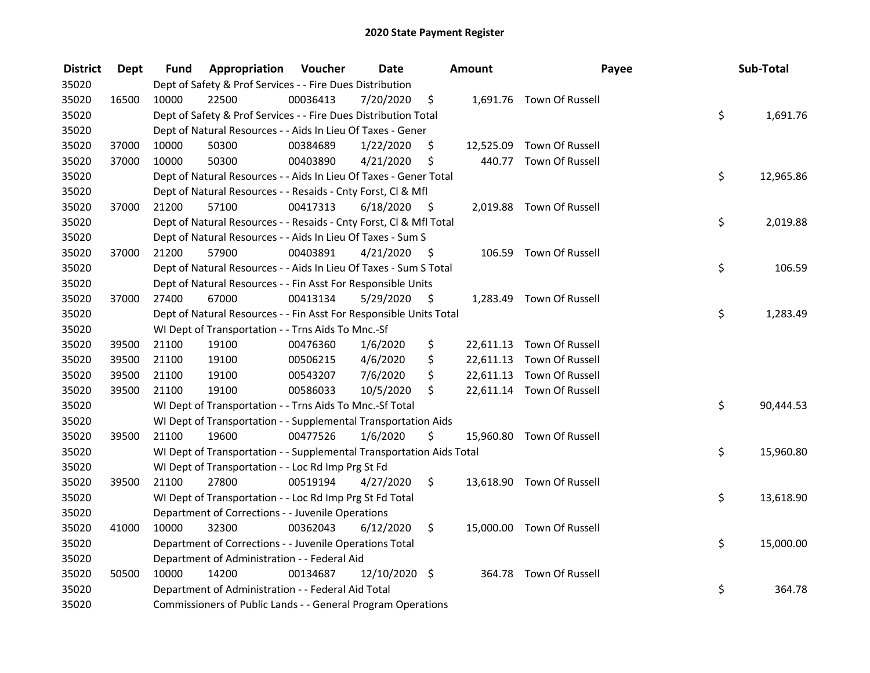| <b>District</b> | Dept  | Fund  | Appropriation                                                        | Voucher  | <b>Date</b>   |      | Amount | Payee                     | Sub-Total       |
|-----------------|-------|-------|----------------------------------------------------------------------|----------|---------------|------|--------|---------------------------|-----------------|
| 35020           |       |       | Dept of Safety & Prof Services - - Fire Dues Distribution            |          |               |      |        |                           |                 |
| 35020           | 16500 | 10000 | 22500                                                                | 00036413 | 7/20/2020     | \$   |        | 1,691.76 Town Of Russell  |                 |
| 35020           |       |       | Dept of Safety & Prof Services - - Fire Dues Distribution Total      |          |               |      |        |                           | \$<br>1,691.76  |
| 35020           |       |       | Dept of Natural Resources - - Aids In Lieu Of Taxes - Gener          |          |               |      |        |                           |                 |
| 35020           | 37000 | 10000 | 50300                                                                | 00384689 | 1/22/2020     | \$   |        | 12,525.09 Town Of Russell |                 |
| 35020           | 37000 | 10000 | 50300                                                                | 00403890 | 4/21/2020     | \$   |        | 440.77 Town Of Russell    |                 |
| 35020           |       |       | Dept of Natural Resources - - Aids In Lieu Of Taxes - Gener Total    |          |               |      |        |                           | \$<br>12,965.86 |
| 35020           |       |       | Dept of Natural Resources - - Resaids - Cnty Forst, Cl & Mfl         |          |               |      |        |                           |                 |
| 35020           | 37000 | 21200 | 57100                                                                | 00417313 | 6/18/2020     | - \$ |        | 2,019.88 Town Of Russell  |                 |
| 35020           |       |       | Dept of Natural Resources - - Resaids - Cnty Forst, CI & Mfl Total   |          |               |      |        |                           | \$<br>2,019.88  |
| 35020           |       |       | Dept of Natural Resources - - Aids In Lieu Of Taxes - Sum S          |          |               |      |        |                           |                 |
| 35020           | 37000 | 21200 | 57900                                                                | 00403891 | 4/21/2020     | \$   |        | 106.59 Town Of Russell    |                 |
| 35020           |       |       | Dept of Natural Resources - - Aids In Lieu Of Taxes - Sum S Total    |          |               |      |        |                           | \$<br>106.59    |
| 35020           |       |       | Dept of Natural Resources - - Fin Asst For Responsible Units         |          |               |      |        |                           |                 |
| 35020           | 37000 | 27400 | 67000                                                                | 00413134 | 5/29/2020     | \$   |        | 1,283.49 Town Of Russell  |                 |
| 35020           |       |       | Dept of Natural Resources - - Fin Asst For Responsible Units Total   |          |               |      |        |                           | \$<br>1,283.49  |
| 35020           |       |       | WI Dept of Transportation - - Trns Aids To Mnc.-Sf                   |          |               |      |        |                           |                 |
| 35020           | 39500 | 21100 | 19100                                                                | 00476360 | 1/6/2020      | \$   |        | 22,611.13 Town Of Russell |                 |
| 35020           | 39500 | 21100 | 19100                                                                | 00506215 | 4/6/2020      | \$   |        | 22,611.13 Town Of Russell |                 |
| 35020           | 39500 | 21100 | 19100                                                                | 00543207 | 7/6/2020      | \$   |        | 22,611.13 Town Of Russell |                 |
| 35020           | 39500 | 21100 | 19100                                                                | 00586033 | 10/5/2020     | \$   |        | 22,611.14 Town Of Russell |                 |
| 35020           |       |       | WI Dept of Transportation - - Trns Aids To Mnc.-Sf Total             |          |               |      |        |                           | \$<br>90,444.53 |
| 35020           |       |       | WI Dept of Transportation - - Supplemental Transportation Aids       |          |               |      |        |                           |                 |
| 35020           | 39500 | 21100 | 19600                                                                | 00477526 | 1/6/2020      | \$   |        | 15,960.80 Town Of Russell |                 |
| 35020           |       |       | WI Dept of Transportation - - Supplemental Transportation Aids Total |          |               |      |        |                           | \$<br>15,960.80 |
| 35020           |       |       | WI Dept of Transportation - - Loc Rd Imp Prg St Fd                   |          |               |      |        |                           |                 |
| 35020           | 39500 | 21100 | 27800                                                                | 00519194 | 4/27/2020     | \$   |        | 13,618.90 Town Of Russell |                 |
| 35020           |       |       | WI Dept of Transportation - - Loc Rd Imp Prg St Fd Total             |          |               |      |        |                           | \$<br>13,618.90 |
| 35020           |       |       | Department of Corrections - - Juvenile Operations                    |          |               |      |        |                           |                 |
| 35020           | 41000 | 10000 | 32300                                                                | 00362043 | 6/12/2020     | \$.  |        | 15,000.00 Town Of Russell |                 |
| 35020           |       |       | Department of Corrections - - Juvenile Operations Total              |          |               |      |        |                           | \$<br>15,000.00 |
| 35020           |       |       | Department of Administration - - Federal Aid                         |          |               |      |        |                           |                 |
| 35020           | 50500 | 10000 | 14200                                                                | 00134687 | 12/10/2020 \$ |      |        | 364.78 Town Of Russell    |                 |
| 35020           |       |       | Department of Administration - - Federal Aid Total                   |          |               |      |        |                           | \$<br>364.78    |
| 35020           |       |       | Commissioners of Public Lands - - General Program Operations         |          |               |      |        |                           |                 |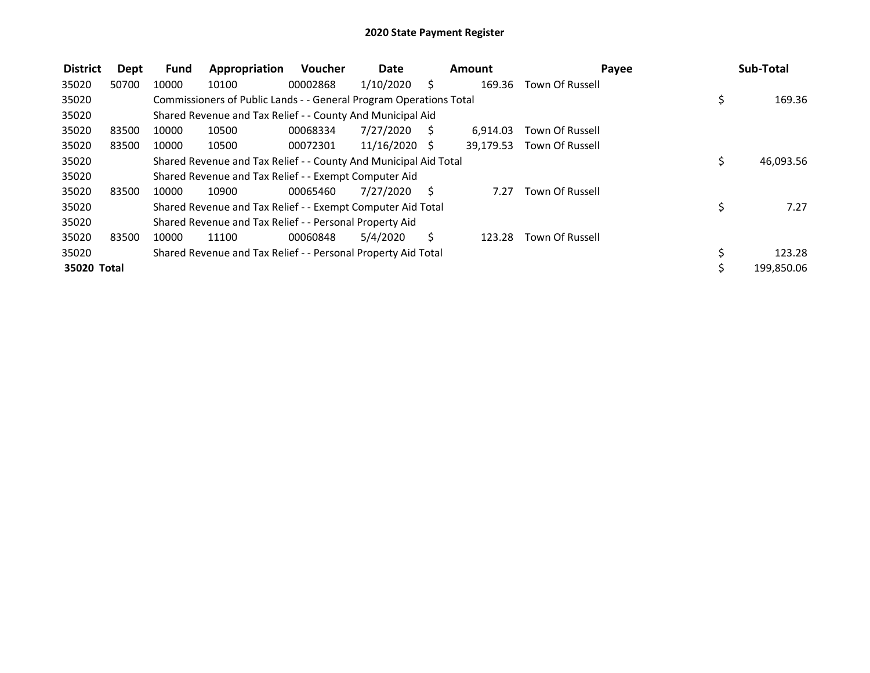| <b>District</b> | Dept  | <b>Fund</b> | Appropriation                                                      | Voucher  | Date          |     | <b>Amount</b> | Payee                  |     | Sub-Total  |
|-----------------|-------|-------------|--------------------------------------------------------------------|----------|---------------|-----|---------------|------------------------|-----|------------|
| 35020           | 50700 | 10000       | 10100                                                              | 00002868 | 1/10/2020     | S.  | 169.36        | Town Of Russell        |     |            |
| 35020           |       |             | Commissioners of Public Lands - - General Program Operations Total |          |               |     |               |                        | \$  | 169.36     |
| 35020           |       |             | Shared Revenue and Tax Relief - - County And Municipal Aid         |          |               |     |               |                        |     |            |
| 35020           | 83500 | 10000       | 10500                                                              | 00068334 | 7/27/2020     | - S | 6.914.03      | Town Of Russell        |     |            |
| 35020           | 83500 | 10000       | 10500                                                              | 00072301 | 11/16/2020 \$ |     | 39,179.53     | Town Of Russell        |     |            |
| 35020           |       |             | Shared Revenue and Tax Relief - - County And Municipal Aid Total   |          |               |     |               |                        | \$. | 46,093.56  |
| 35020           |       |             | Shared Revenue and Tax Relief - - Exempt Computer Aid              |          |               |     |               |                        |     |            |
| 35020           | 83500 | 10000       | 10900                                                              | 00065460 | 7/27/2020     | - S | 7.27          | <b>Town Of Russell</b> |     |            |
| 35020           |       |             | Shared Revenue and Tax Relief - - Exempt Computer Aid Total        |          |               |     |               |                        | \$  | 7.27       |
| 35020           |       |             | Shared Revenue and Tax Relief - - Personal Property Aid            |          |               |     |               |                        |     |            |
| 35020           | 83500 | 10000       | 11100                                                              | 00060848 | 5/4/2020      | Ś.  | 123.28        | <b>Town Of Russell</b> |     |            |
| 35020           |       |             | Shared Revenue and Tax Relief - - Personal Property Aid Total      |          |               |     |               |                        |     | 123.28     |
| 35020 Total     |       |             |                                                                    |          |               |     |               |                        | Ś.  | 199,850.06 |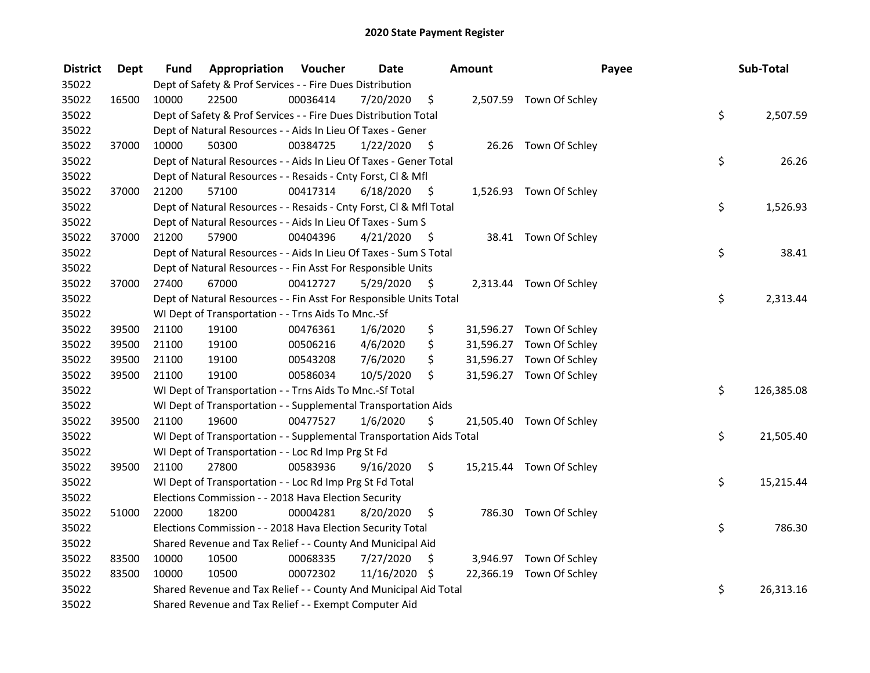| <b>District</b> | <b>Dept</b> | Fund  | <b>Appropriation Voucher</b>                                         |          | <b>Date</b>   |      | Amount | Payee                    | Sub-Total        |
|-----------------|-------------|-------|----------------------------------------------------------------------|----------|---------------|------|--------|--------------------------|------------------|
| 35022           |             |       | Dept of Safety & Prof Services - - Fire Dues Distribution            |          |               |      |        |                          |                  |
| 35022           | 16500       | 10000 | 22500                                                                | 00036414 | 7/20/2020     | \$   |        | 2,507.59 Town Of Schley  |                  |
| 35022           |             |       | Dept of Safety & Prof Services - - Fire Dues Distribution Total      |          |               |      |        |                          | \$<br>2,507.59   |
| 35022           |             |       | Dept of Natural Resources - - Aids In Lieu Of Taxes - Gener          |          |               |      |        |                          |                  |
| 35022           | 37000       | 10000 | 50300                                                                | 00384725 | 1/22/2020     | - \$ |        | 26.26 Town Of Schley     |                  |
| 35022           |             |       | Dept of Natural Resources - - Aids In Lieu Of Taxes - Gener Total    |          |               |      |        |                          | \$<br>26.26      |
| 35022           |             |       | Dept of Natural Resources - - Resaids - Cnty Forst, Cl & Mfl         |          |               |      |        |                          |                  |
| 35022           | 37000       | 21200 | 57100                                                                | 00417314 | 6/18/2020     | - \$ |        | 1,526.93 Town Of Schley  |                  |
| 35022           |             |       | Dept of Natural Resources - - Resaids - Cnty Forst, Cl & Mfl Total   |          |               |      |        |                          | \$<br>1,526.93   |
| 35022           |             |       | Dept of Natural Resources - - Aids In Lieu Of Taxes - Sum S          |          |               |      |        |                          |                  |
| 35022           | 37000       | 21200 | 57900                                                                | 00404396 | 4/21/2020     | - \$ |        | 38.41 Town Of Schley     |                  |
| 35022           |             |       | Dept of Natural Resources - - Aids In Lieu Of Taxes - Sum S Total    |          |               |      |        |                          | \$<br>38.41      |
| 35022           |             |       | Dept of Natural Resources - - Fin Asst For Responsible Units         |          |               |      |        |                          |                  |
| 35022           | 37000       | 27400 | 67000                                                                | 00412727 | 5/29/2020     | -\$  |        | 2,313.44 Town Of Schley  |                  |
| 35022           |             |       | Dept of Natural Resources - - Fin Asst For Responsible Units Total   |          |               |      |        |                          | \$<br>2,313.44   |
| 35022           |             |       | WI Dept of Transportation - - Trns Aids To Mnc.-Sf                   |          |               |      |        |                          |                  |
| 35022           | 39500       | 21100 | 19100                                                                | 00476361 | 1/6/2020      | \$   |        | 31,596.27 Town Of Schley |                  |
| 35022           | 39500       | 21100 | 19100                                                                | 00506216 | 4/6/2020      | \$   |        | 31,596.27 Town Of Schley |                  |
| 35022           | 39500       | 21100 | 19100                                                                | 00543208 | 7/6/2020      | \$   |        | 31,596.27 Town Of Schley |                  |
| 35022           | 39500       | 21100 | 19100                                                                | 00586034 | 10/5/2020     | \$   |        | 31,596.27 Town Of Schley |                  |
| 35022           |             |       | WI Dept of Transportation - - Trns Aids To Mnc.-Sf Total             |          |               |      |        |                          | \$<br>126,385.08 |
| 35022           |             |       | WI Dept of Transportation - - Supplemental Transportation Aids       |          |               |      |        |                          |                  |
| 35022           | 39500       | 21100 | 19600                                                                | 00477527 | 1/6/2020      | \$   |        | 21,505.40 Town Of Schley |                  |
| 35022           |             |       | WI Dept of Transportation - - Supplemental Transportation Aids Total |          |               |      |        |                          | \$<br>21,505.40  |
| 35022           |             |       | WI Dept of Transportation - - Loc Rd Imp Prg St Fd                   |          |               |      |        |                          |                  |
| 35022           | 39500       | 21100 | 27800                                                                | 00583936 | 9/16/2020     | \$   |        | 15,215.44 Town Of Schley |                  |
| 35022           |             |       | WI Dept of Transportation - - Loc Rd Imp Prg St Fd Total             |          |               |      |        |                          | \$<br>15,215.44  |
| 35022           |             |       | Elections Commission - - 2018 Hava Election Security                 |          |               |      |        |                          |                  |
| 35022           | 51000       | 22000 | 18200                                                                | 00004281 | 8/20/2020     | \$   |        | 786.30 Town Of Schley    |                  |
| 35022           |             |       | Elections Commission - - 2018 Hava Election Security Total           |          |               |      |        |                          | \$<br>786.30     |
| 35022           |             |       | Shared Revenue and Tax Relief - - County And Municipal Aid           |          |               |      |        |                          |                  |
| 35022           | 83500       | 10000 | 10500                                                                | 00068335 | 7/27/2020     | \$   |        | 3,946.97 Town Of Schley  |                  |
| 35022           | 83500       | 10000 | 10500                                                                | 00072302 | 11/16/2020 \$ |      |        | 22,366.19 Town Of Schley |                  |
| 35022           |             |       | Shared Revenue and Tax Relief - - County And Municipal Aid Total     |          |               |      |        |                          | \$<br>26,313.16  |
| 35022           |             |       | Shared Revenue and Tax Relief - - Exempt Computer Aid                |          |               |      |        |                          |                  |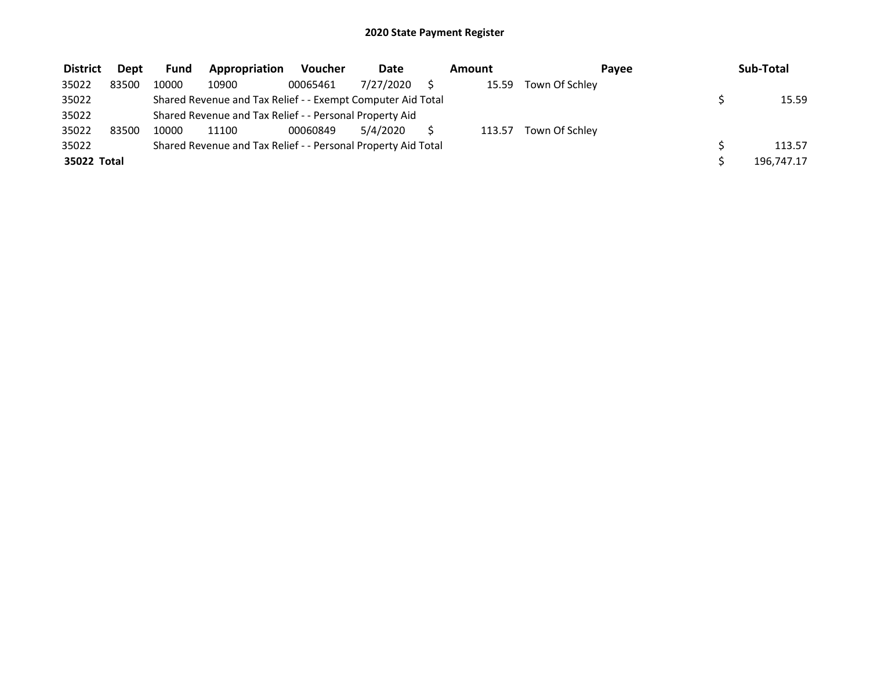| <b>District</b> | <b>Dept</b> | <b>Fund</b> | Appropriation                                                 | <b>Voucher</b> | <b>Date</b> | Amount | Pavee          | Sub-Total  |
|-----------------|-------------|-------------|---------------------------------------------------------------|----------------|-------------|--------|----------------|------------|
| 35022           | 83500       | 10000       | 10900                                                         | 00065461       | 7/27/2020   | 15.59  | Town Of Schley |            |
| 35022           |             |             | Shared Revenue and Tax Relief - - Exempt Computer Aid Total   |                |             |        |                | 15.59      |
| 35022           |             |             | Shared Revenue and Tax Relief - - Personal Property Aid       |                |             |        |                |            |
| 35022           | 83500       | 10000       | 11100                                                         | 00060849       | 5/4/2020    | 113.57 | Town Of Schley |            |
| 35022           |             |             | Shared Revenue and Tax Relief - - Personal Property Aid Total |                |             |        |                | 113.57     |
| 35022 Total     |             |             |                                                               |                |             |        |                | 196,747.17 |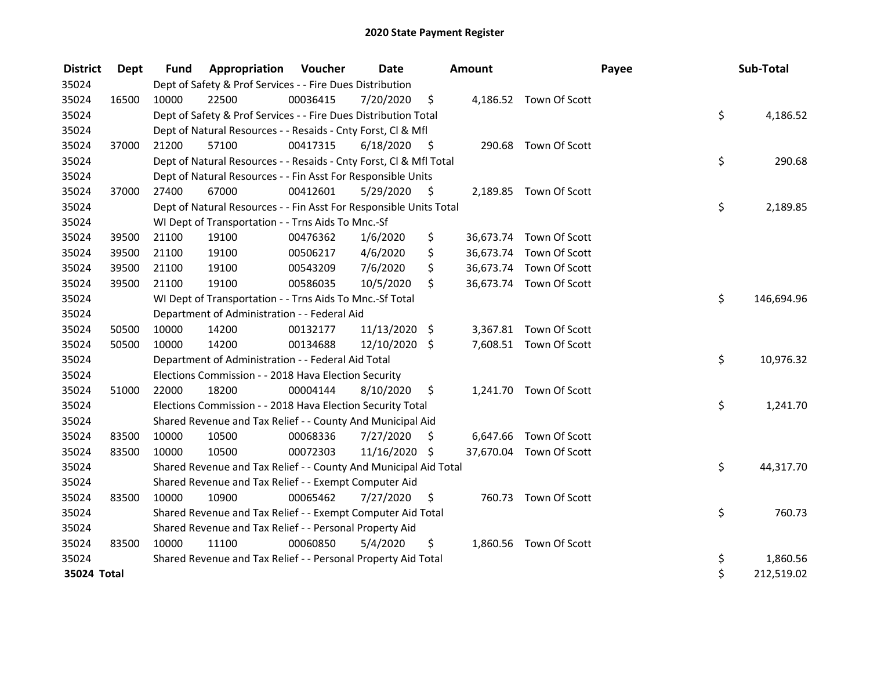| <b>District</b> | Dept  | <b>Fund</b> | <b>Appropriation Voucher</b>                                       |          | Date          |      | Amount   |                         | Payee | Sub-Total        |
|-----------------|-------|-------------|--------------------------------------------------------------------|----------|---------------|------|----------|-------------------------|-------|------------------|
| 35024           |       |             | Dept of Safety & Prof Services - - Fire Dues Distribution          |          |               |      |          |                         |       |                  |
| 35024           | 16500 | 10000       | 22500                                                              | 00036415 | 7/20/2020     | \$   |          | 4,186.52 Town Of Scott  |       |                  |
| 35024           |       |             | Dept of Safety & Prof Services - - Fire Dues Distribution Total    |          |               |      |          |                         |       | \$<br>4,186.52   |
| 35024           |       |             | Dept of Natural Resources - - Resaids - Cnty Forst, Cl & Mfl       |          |               |      |          |                         |       |                  |
| 35024           | 37000 | 21200       | 57100                                                              | 00417315 | 6/18/2020     | - \$ |          | 290.68 Town Of Scott    |       |                  |
| 35024           |       |             | Dept of Natural Resources - - Resaids - Cnty Forst, Cl & Mfl Total |          |               |      |          |                         |       | \$<br>290.68     |
| 35024           |       |             | Dept of Natural Resources - - Fin Asst For Responsible Units       |          |               |      |          |                         |       |                  |
| 35024           | 37000 | 27400       | 67000                                                              | 00412601 | 5/29/2020     | - \$ |          | 2,189.85 Town Of Scott  |       |                  |
| 35024           |       |             | Dept of Natural Resources - - Fin Asst For Responsible Units Total |          |               |      |          |                         |       | \$<br>2,189.85   |
| 35024           |       |             | WI Dept of Transportation - - Trns Aids To Mnc.-Sf                 |          |               |      |          |                         |       |                  |
| 35024           | 39500 | 21100       | 19100                                                              | 00476362 | 1/6/2020      | \$   |          | 36,673.74 Town Of Scott |       |                  |
| 35024           | 39500 | 21100       | 19100                                                              | 00506217 | 4/6/2020      | \$   |          | 36,673.74 Town Of Scott |       |                  |
| 35024           | 39500 | 21100       | 19100                                                              | 00543209 | 7/6/2020      | \$   |          | 36,673.74 Town Of Scott |       |                  |
| 35024           | 39500 | 21100       | 19100                                                              | 00586035 | 10/5/2020     | \$   |          | 36,673.74 Town Of Scott |       |                  |
| 35024           |       |             | WI Dept of Transportation - - Trns Aids To Mnc.-Sf Total           |          |               |      |          |                         |       | \$<br>146,694.96 |
| 35024           |       |             | Department of Administration - - Federal Aid                       |          |               |      |          |                         |       |                  |
| 35024           | 50500 | 10000       | 14200                                                              | 00132177 | 11/13/2020 \$ |      | 3,367.81 | Town Of Scott           |       |                  |
| 35024           | 50500 | 10000       | 14200                                                              | 00134688 | 12/10/2020 \$ |      |          | 7,608.51 Town Of Scott  |       |                  |
| 35024           |       |             | Department of Administration - - Federal Aid Total                 |          |               |      |          |                         |       | \$<br>10,976.32  |
| 35024           |       |             | Elections Commission - - 2018 Hava Election Security               |          |               |      |          |                         |       |                  |
| 35024           | 51000 | 22000       | 18200                                                              | 00004144 | 8/10/2020     | \$   |          | 1,241.70 Town Of Scott  |       |                  |
| 35024           |       |             | Elections Commission - - 2018 Hava Election Security Total         |          |               |      |          |                         |       | \$<br>1,241.70   |
| 35024           |       |             | Shared Revenue and Tax Relief - - County And Municipal Aid         |          |               |      |          |                         |       |                  |
| 35024           | 83500 | 10000       | 10500                                                              | 00068336 | 7/27/2020     | \$   |          | 6,647.66 Town Of Scott  |       |                  |
| 35024           | 83500 | 10000       | 10500                                                              | 00072303 | 11/16/2020    | \$   |          | 37,670.04 Town Of Scott |       |                  |
| 35024           |       |             | Shared Revenue and Tax Relief - - County And Municipal Aid Total   |          |               |      |          |                         |       | \$<br>44,317.70  |
| 35024           |       |             | Shared Revenue and Tax Relief - - Exempt Computer Aid              |          |               |      |          |                         |       |                  |
| 35024           | 83500 | 10000       | 10900                                                              | 00065462 | 7/27/2020     | \$   |          | 760.73 Town Of Scott    |       |                  |
| 35024           |       |             | Shared Revenue and Tax Relief - - Exempt Computer Aid Total        |          |               |      |          |                         |       | \$<br>760.73     |
| 35024           |       |             | Shared Revenue and Tax Relief - - Personal Property Aid            |          |               |      |          |                         |       |                  |
| 35024           | 83500 | 10000       | 11100                                                              | 00060850 | 5/4/2020      | \$   |          | 1,860.56 Town Of Scott  |       |                  |
| 35024           |       |             | Shared Revenue and Tax Relief - - Personal Property Aid Total      |          |               |      |          |                         | \$    | 1,860.56         |
| 35024 Total     |       |             |                                                                    |          |               |      |          |                         | \$    | 212,519.02       |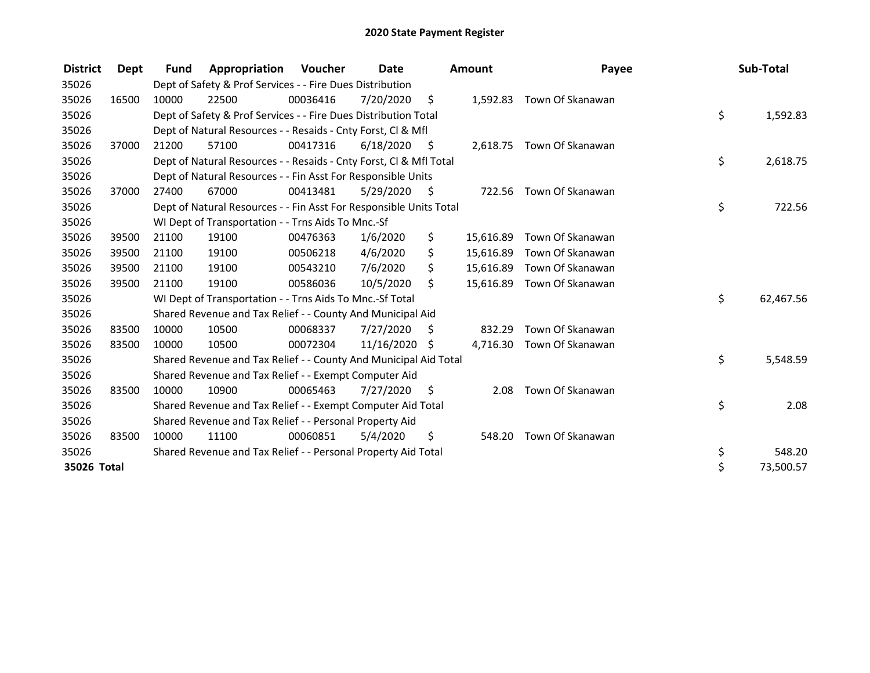| <b>District</b> | Dept  | <b>Fund</b> | Appropriation                                                      | Voucher  | <b>Date</b>   |      | <b>Amount</b> | Payee                     | Sub-Total       |
|-----------------|-------|-------------|--------------------------------------------------------------------|----------|---------------|------|---------------|---------------------------|-----------------|
| 35026           |       |             | Dept of Safety & Prof Services - - Fire Dues Distribution          |          |               |      |               |                           |                 |
| 35026           | 16500 | 10000       | 22500                                                              | 00036416 | 7/20/2020     | \$   |               | 1,592.83 Town Of Skanawan |                 |
| 35026           |       |             | Dept of Safety & Prof Services - - Fire Dues Distribution Total    |          |               |      |               |                           | \$<br>1,592.83  |
| 35026           |       |             | Dept of Natural Resources - - Resaids - Cnty Forst, CI & Mfl       |          |               |      |               |                           |                 |
| 35026           | 37000 | 21200       | 57100                                                              | 00417316 | 6/18/2020     | - \$ |               | 2,618.75 Town Of Skanawan |                 |
| 35026           |       |             | Dept of Natural Resources - - Resaids - Cnty Forst, Cl & Mfl Total |          |               |      |               |                           | \$<br>2,618.75  |
| 35026           |       |             | Dept of Natural Resources - - Fin Asst For Responsible Units       |          |               |      |               |                           |                 |
| 35026           | 37000 | 27400       | 67000                                                              | 00413481 | 5/29/2020     | - \$ |               | 722.56 Town Of Skanawan   |                 |
| 35026           |       |             | Dept of Natural Resources - - Fin Asst For Responsible Units Total |          |               |      |               |                           | \$<br>722.56    |
| 35026           |       |             | WI Dept of Transportation - - Trns Aids To Mnc.-Sf                 |          |               |      |               |                           |                 |
| 35026           | 39500 | 21100       | 19100                                                              | 00476363 | 1/6/2020      | \$   | 15,616.89     | Town Of Skanawan          |                 |
| 35026           | 39500 | 21100       | 19100                                                              | 00506218 | 4/6/2020      | \$   | 15,616.89     | Town Of Skanawan          |                 |
| 35026           | 39500 | 21100       | 19100                                                              | 00543210 | 7/6/2020      | \$   | 15,616.89     | Town Of Skanawan          |                 |
| 35026           | 39500 | 21100       | 19100                                                              | 00586036 | 10/5/2020     | \$   | 15,616.89     | Town Of Skanawan          |                 |
| 35026           |       |             | WI Dept of Transportation - - Trns Aids To Mnc.-Sf Total           |          |               |      |               |                           | \$<br>62,467.56 |
| 35026           |       |             | Shared Revenue and Tax Relief - - County And Municipal Aid         |          |               |      |               |                           |                 |
| 35026           | 83500 | 10000       | 10500                                                              | 00068337 | 7/27/2020     | \$   | 832.29        | Town Of Skanawan          |                 |
| 35026           | 83500 | 10000       | 10500                                                              | 00072304 | 11/16/2020 \$ |      | 4,716.30      | Town Of Skanawan          |                 |
| 35026           |       |             | Shared Revenue and Tax Relief - - County And Municipal Aid Total   |          |               |      |               |                           | \$<br>5,548.59  |
| 35026           |       |             | Shared Revenue and Tax Relief - - Exempt Computer Aid              |          |               |      |               |                           |                 |
| 35026           | 83500 | 10000       | 10900                                                              | 00065463 | 7/27/2020     | \$   | 2.08          | Town Of Skanawan          |                 |
| 35026           |       |             | Shared Revenue and Tax Relief - - Exempt Computer Aid Total        |          |               |      |               |                           | \$<br>2.08      |
| 35026           |       |             | Shared Revenue and Tax Relief - - Personal Property Aid            |          |               |      |               |                           |                 |
| 35026           | 83500 | 10000       | 11100                                                              | 00060851 | 5/4/2020      | \$   | 548.20        | Town Of Skanawan          |                 |
| 35026           |       |             | Shared Revenue and Tax Relief - - Personal Property Aid Total      |          |               |      |               |                           | \$<br>548.20    |
| 35026 Total     |       |             |                                                                    |          |               |      |               |                           | \$<br>73,500.57 |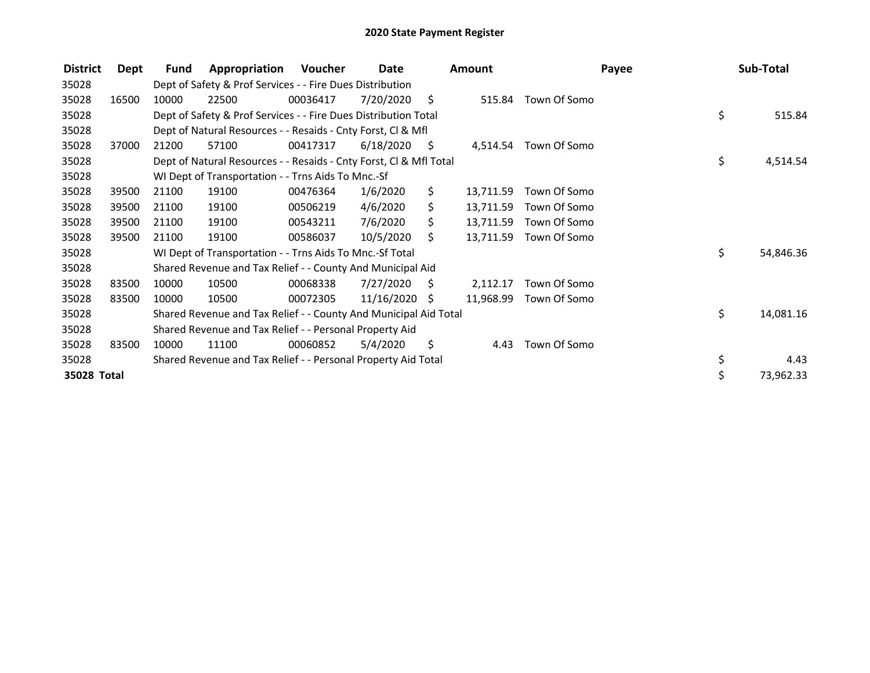| <b>District</b> | Dept  | <b>Fund</b> | Appropriation                                                      | Voucher  | Date            |      | Amount    |              | Payee | Sub-Total |
|-----------------|-------|-------------|--------------------------------------------------------------------|----------|-----------------|------|-----------|--------------|-------|-----------|
| 35028           |       |             | Dept of Safety & Prof Services - - Fire Dues Distribution          |          |                 |      |           |              |       |           |
| 35028           | 16500 | 10000       | 22500                                                              | 00036417 | 7/20/2020       | - \$ | 515.84    | Town Of Somo |       |           |
| 35028           |       |             | Dept of Safety & Prof Services - - Fire Dues Distribution Total    |          |                 |      |           |              | \$    | 515.84    |
| 35028           |       |             | Dept of Natural Resources - - Resaids - Cnty Forst, Cl & Mfl       |          |                 |      |           |              |       |           |
| 35028           | 37000 | 21200       | 57100                                                              | 00417317 | 6/18/2020       | - \$ | 4,514.54  | Town Of Somo |       |           |
| 35028           |       |             | Dept of Natural Resources - - Resaids - Cnty Forst, CI & Mfl Total |          |                 |      |           |              | \$    | 4,514.54  |
| 35028           |       |             | WI Dept of Transportation - - Trns Aids To Mnc.-Sf                 |          |                 |      |           |              |       |           |
| 35028           | 39500 | 21100       | 19100                                                              | 00476364 | 1/6/2020        | \$   | 13,711.59 | Town Of Somo |       |           |
| 35028           | 39500 | 21100       | 19100                                                              | 00506219 | 4/6/2020        | \$.  | 13,711.59 | Town Of Somo |       |           |
| 35028           | 39500 | 21100       | 19100                                                              | 00543211 | 7/6/2020        | S.   | 13,711.59 | Town Of Somo |       |           |
| 35028           | 39500 | 21100       | 19100                                                              | 00586037 | 10/5/2020       | Ŝ.   | 13,711.59 | Town Of Somo |       |           |
| 35028           |       |             | WI Dept of Transportation - - Trns Aids To Mnc.-Sf Total           |          |                 |      |           |              | \$    | 54,846.36 |
| 35028           |       |             | Shared Revenue and Tax Relief - - County And Municipal Aid         |          |                 |      |           |              |       |           |
| 35028           | 83500 | 10000       | 10500                                                              | 00068338 | 7/27/2020       | S    | 2,112.17  | Town Of Somo |       |           |
| 35028           | 83500 | 10000       | 10500                                                              | 00072305 | $11/16/2020$ \$ |      | 11,968.99 | Town Of Somo |       |           |
| 35028           |       |             | Shared Revenue and Tax Relief - - County And Municipal Aid Total   |          |                 |      |           |              | \$    | 14,081.16 |
| 35028           |       |             | Shared Revenue and Tax Relief - - Personal Property Aid            |          |                 |      |           |              |       |           |
| 35028           | 83500 | 10000       | 11100                                                              | 00060852 | 5/4/2020        | \$   | 4.43      | Town Of Somo |       |           |
| 35028           |       |             | Shared Revenue and Tax Relief - - Personal Property Aid Total      |          |                 |      |           |              | \$    | 4.43      |
| 35028 Total     |       |             |                                                                    |          |                 |      |           |              | \$    | 73,962.33 |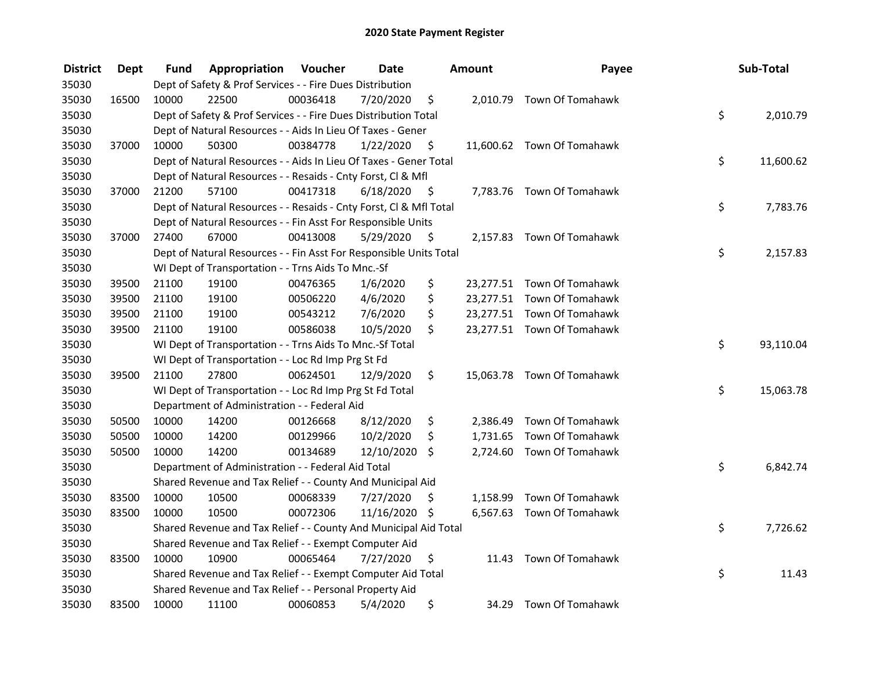| <b>District</b> | <b>Dept</b> | Fund  | Appropriation                                                      | Voucher  | <b>Date</b>   |      | Amount   | Payee                      | Sub-Total       |
|-----------------|-------------|-------|--------------------------------------------------------------------|----------|---------------|------|----------|----------------------------|-----------------|
| 35030           |             |       | Dept of Safety & Prof Services - - Fire Dues Distribution          |          |               |      |          |                            |                 |
| 35030           | 16500       | 10000 | 22500                                                              | 00036418 | 7/20/2020     | \$   |          | 2,010.79 Town Of Tomahawk  |                 |
| 35030           |             |       | Dept of Safety & Prof Services - - Fire Dues Distribution Total    |          |               |      |          |                            | \$<br>2,010.79  |
| 35030           |             |       | Dept of Natural Resources - - Aids In Lieu Of Taxes - Gener        |          |               |      |          |                            |                 |
| 35030           | 37000       | 10000 | 50300                                                              | 00384778 | 1/22/2020     | \$   |          | 11,600.62 Town Of Tomahawk |                 |
| 35030           |             |       | Dept of Natural Resources - - Aids In Lieu Of Taxes - Gener Total  |          |               |      |          |                            | \$<br>11,600.62 |
| 35030           |             |       | Dept of Natural Resources - - Resaids - Cnty Forst, Cl & Mfl       |          |               |      |          |                            |                 |
| 35030           | 37000       | 21200 | 57100                                                              | 00417318 | 6/18/2020     | - \$ |          | 7,783.76 Town Of Tomahawk  |                 |
| 35030           |             |       | Dept of Natural Resources - - Resaids - Cnty Forst, Cl & Mfl Total |          |               |      |          |                            | \$<br>7,783.76  |
| 35030           |             |       | Dept of Natural Resources - - Fin Asst For Responsible Units       |          |               |      |          |                            |                 |
| 35030           | 37000       | 27400 | 67000                                                              | 00413008 | 5/29/2020     | \$   |          | 2,157.83 Town Of Tomahawk  |                 |
| 35030           |             |       | Dept of Natural Resources - - Fin Asst For Responsible Units Total |          |               |      |          |                            | \$<br>2,157.83  |
| 35030           |             |       | WI Dept of Transportation - - Trns Aids To Mnc.-Sf                 |          |               |      |          |                            |                 |
| 35030           | 39500       | 21100 | 19100                                                              | 00476365 | 1/6/2020      | \$   |          | 23,277.51 Town Of Tomahawk |                 |
| 35030           | 39500       | 21100 | 19100                                                              | 00506220 | 4/6/2020      | \$   |          | 23,277.51 Town Of Tomahawk |                 |
| 35030           | 39500       | 21100 | 19100                                                              | 00543212 | 7/6/2020      | \$   |          | 23,277.51 Town Of Tomahawk |                 |
| 35030           | 39500       | 21100 | 19100                                                              | 00586038 | 10/5/2020     | \$   |          | 23,277.51 Town Of Tomahawk |                 |
| 35030           |             |       | WI Dept of Transportation - - Trns Aids To Mnc.-Sf Total           |          |               |      |          |                            | \$<br>93,110.04 |
| 35030           |             |       | WI Dept of Transportation - - Loc Rd Imp Prg St Fd                 |          |               |      |          |                            |                 |
| 35030           | 39500       | 21100 | 27800                                                              | 00624501 | 12/9/2020     | \$   |          | 15,063.78 Town Of Tomahawk |                 |
| 35030           |             |       | WI Dept of Transportation - - Loc Rd Imp Prg St Fd Total           |          |               |      |          |                            | \$<br>15,063.78 |
| 35030           |             |       | Department of Administration - - Federal Aid                       |          |               |      |          |                            |                 |
| 35030           | 50500       | 10000 | 14200                                                              | 00126668 | 8/12/2020     | \$   | 2,386.49 | Town Of Tomahawk           |                 |
| 35030           | 50500       | 10000 | 14200                                                              | 00129966 | 10/2/2020     | \$   | 1,731.65 | Town Of Tomahawk           |                 |
| 35030           | 50500       | 10000 | 14200                                                              | 00134689 | 12/10/2020    | \$   |          | 2,724.60 Town Of Tomahawk  |                 |
| 35030           |             |       | Department of Administration - - Federal Aid Total                 |          |               |      |          |                            | \$<br>6,842.74  |
| 35030           |             |       | Shared Revenue and Tax Relief - - County And Municipal Aid         |          |               |      |          |                            |                 |
| 35030           | 83500       | 10000 | 10500                                                              | 00068339 | 7/27/2020     | \$   |          | 1,158.99 Town Of Tomahawk  |                 |
| 35030           | 83500       | 10000 | 10500                                                              | 00072306 | 11/16/2020 \$ |      |          | 6,567.63 Town Of Tomahawk  |                 |
| 35030           |             |       | Shared Revenue and Tax Relief - - County And Municipal Aid Total   |          |               |      |          |                            | \$<br>7,726.62  |
| 35030           |             |       | Shared Revenue and Tax Relief - - Exempt Computer Aid              |          |               |      |          |                            |                 |
| 35030           | 83500       | 10000 | 10900                                                              | 00065464 | 7/27/2020     | \$   |          | 11.43 Town Of Tomahawk     |                 |
| 35030           |             |       | Shared Revenue and Tax Relief - - Exempt Computer Aid Total        |          |               |      |          |                            | \$<br>11.43     |
| 35030           |             |       | Shared Revenue and Tax Relief - - Personal Property Aid            |          |               |      |          |                            |                 |
| 35030           | 83500       | 10000 | 11100                                                              | 00060853 | 5/4/2020      | \$   | 34.29    | Town Of Tomahawk           |                 |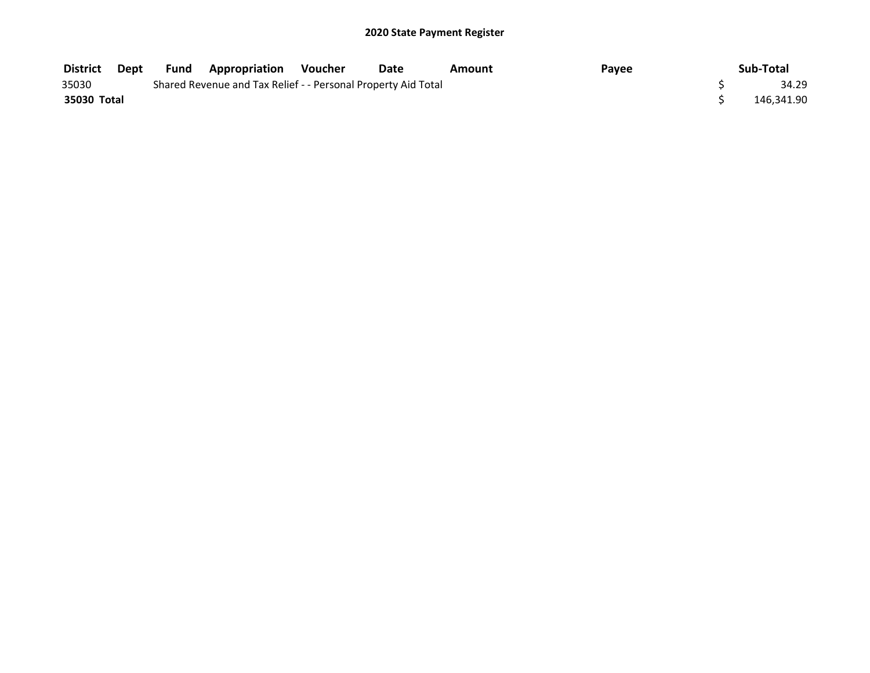| District    | Dept | Fund | <b>Appropriation Voucher</b>                                  | Date | Amount | Payee | Sub-Total  |
|-------------|------|------|---------------------------------------------------------------|------|--------|-------|------------|
| 35030       |      |      | Shared Revenue and Tax Relief - - Personal Property Aid Total |      |        |       | 34.29      |
| 35030 Total |      |      |                                                               |      |        |       | 146.341.90 |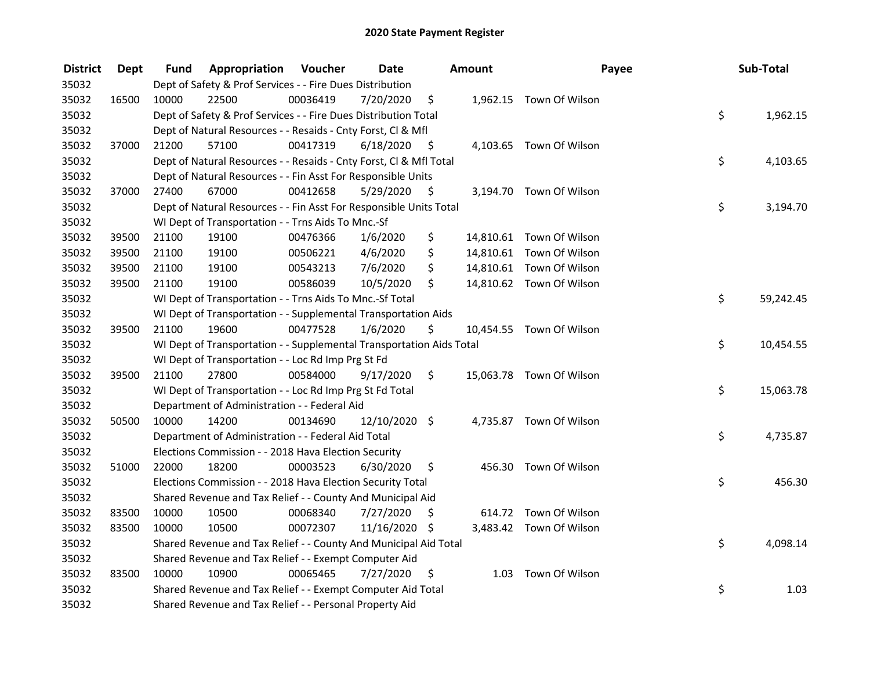| <b>District</b> | Dept  | Fund  | <b>Appropriation Voucher</b>                                         |          | <b>Date</b>     |      | Amount | Payee                    | Sub-Total       |
|-----------------|-------|-------|----------------------------------------------------------------------|----------|-----------------|------|--------|--------------------------|-----------------|
| 35032           |       |       | Dept of Safety & Prof Services - - Fire Dues Distribution            |          |                 |      |        |                          |                 |
| 35032           | 16500 | 10000 | 22500                                                                | 00036419 | 7/20/2020       | \$   |        | 1,962.15 Town Of Wilson  |                 |
| 35032           |       |       | Dept of Safety & Prof Services - - Fire Dues Distribution Total      |          |                 |      |        |                          | \$<br>1,962.15  |
| 35032           |       |       | Dept of Natural Resources - - Resaids - Cnty Forst, Cl & Mfl         |          |                 |      |        |                          |                 |
| 35032           | 37000 | 21200 | 57100                                                                | 00417319 | 6/18/2020       | - \$ |        | 4,103.65 Town Of Wilson  |                 |
| 35032           |       |       | Dept of Natural Resources - - Resaids - Cnty Forst, Cl & Mfl Total   |          |                 |      |        |                          | \$<br>4,103.65  |
| 35032           |       |       | Dept of Natural Resources - - Fin Asst For Responsible Units         |          |                 |      |        |                          |                 |
| 35032           | 37000 | 27400 | 67000                                                                | 00412658 | 5/29/2020       | - \$ |        | 3,194.70 Town Of Wilson  |                 |
| 35032           |       |       | Dept of Natural Resources - - Fin Asst For Responsible Units Total   |          |                 |      |        |                          | \$<br>3,194.70  |
| 35032           |       |       | WI Dept of Transportation - - Trns Aids To Mnc.-Sf                   |          |                 |      |        |                          |                 |
| 35032           | 39500 | 21100 | 19100                                                                | 00476366 | 1/6/2020        | \$   |        | 14,810.61 Town Of Wilson |                 |
| 35032           | 39500 | 21100 | 19100                                                                | 00506221 | 4/6/2020        | \$   |        | 14,810.61 Town Of Wilson |                 |
| 35032           | 39500 | 21100 | 19100                                                                | 00543213 | 7/6/2020        | \$   |        | 14,810.61 Town Of Wilson |                 |
| 35032           | 39500 | 21100 | 19100                                                                | 00586039 | 10/5/2020       | \$   |        | 14,810.62 Town Of Wilson |                 |
| 35032           |       |       | WI Dept of Transportation - - Trns Aids To Mnc.-Sf Total             |          |                 |      |        |                          | \$<br>59,242.45 |
| 35032           |       |       | WI Dept of Transportation - - Supplemental Transportation Aids       |          |                 |      |        |                          |                 |
| 35032           | 39500 | 21100 | 19600                                                                | 00477528 | 1/6/2020        | \$   |        | 10,454.55 Town Of Wilson |                 |
| 35032           |       |       | WI Dept of Transportation - - Supplemental Transportation Aids Total |          |                 |      |        |                          | \$<br>10,454.55 |
| 35032           |       |       | WI Dept of Transportation - - Loc Rd Imp Prg St Fd                   |          |                 |      |        |                          |                 |
| 35032           | 39500 | 21100 | 27800                                                                | 00584000 | 9/17/2020       | \$   |        | 15,063.78 Town Of Wilson |                 |
| 35032           |       |       | WI Dept of Transportation - - Loc Rd Imp Prg St Fd Total             |          |                 |      |        |                          | \$<br>15,063.78 |
| 35032           |       |       | Department of Administration - - Federal Aid                         |          |                 |      |        |                          |                 |
| 35032           | 50500 | 10000 | 14200                                                                | 00134690 | $12/10/2020$ \$ |      |        | 4,735.87 Town Of Wilson  |                 |
| 35032           |       |       | Department of Administration - - Federal Aid Total                   |          |                 |      |        |                          | \$<br>4,735.87  |
| 35032           |       |       | Elections Commission - - 2018 Hava Election Security                 |          |                 |      |        |                          |                 |
| 35032           | 51000 | 22000 | 18200                                                                | 00003523 | 6/30/2020       | \$   |        | 456.30 Town Of Wilson    |                 |
| 35032           |       |       | Elections Commission - - 2018 Hava Election Security Total           |          |                 |      |        |                          | \$<br>456.30    |
| 35032           |       |       | Shared Revenue and Tax Relief - - County And Municipal Aid           |          |                 |      |        |                          |                 |
| 35032           | 83500 | 10000 | 10500                                                                | 00068340 | 7/27/2020       | \$   |        | 614.72 Town Of Wilson    |                 |
| 35032           | 83500 | 10000 | 10500                                                                | 00072307 | 11/16/2020 \$   |      |        | 3,483.42 Town Of Wilson  |                 |
| 35032           |       |       | Shared Revenue and Tax Relief - - County And Municipal Aid Total     |          |                 |      |        |                          | \$<br>4,098.14  |
| 35032           |       |       | Shared Revenue and Tax Relief - - Exempt Computer Aid                |          |                 |      |        |                          |                 |
| 35032           | 83500 | 10000 | 10900                                                                | 00065465 | 7/27/2020       | \$   |        | 1.03 Town Of Wilson      |                 |
| 35032           |       |       | Shared Revenue and Tax Relief - - Exempt Computer Aid Total          |          |                 |      |        |                          | \$<br>1.03      |
| 35032           |       |       | Shared Revenue and Tax Relief - - Personal Property Aid              |          |                 |      |        |                          |                 |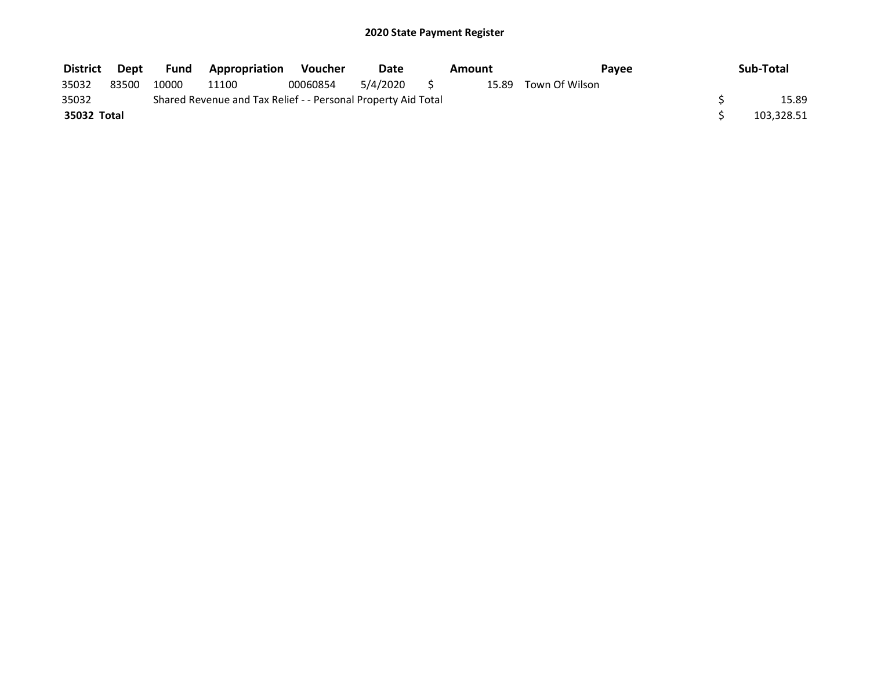| <b>District</b> | Dept  | <b>Fund</b> | <b>Appropriation</b>                                          | Voucher  | Date     | Amount |                | Pavee | Sub-Total  |
|-----------------|-------|-------------|---------------------------------------------------------------|----------|----------|--------|----------------|-------|------------|
| 35032           | 83500 | 10000       | 11100                                                         | 00060854 | 5/4/2020 | 15.89  | Town Of Wilson |       |            |
| 35032           |       |             | Shared Revenue and Tax Relief - - Personal Property Aid Total |          |          |        |                |       | 15.89      |
| 35032 Total     |       |             |                                                               |          |          |        |                |       | 103,328.51 |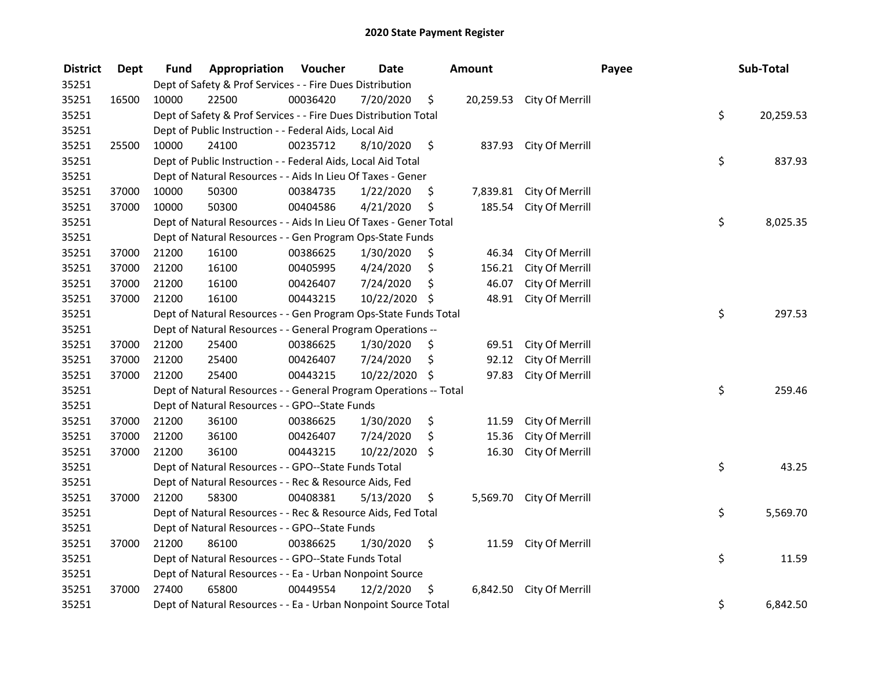| <b>District</b> | <b>Dept</b> | Fund  | Appropriation                                                     | Voucher  | <b>Date</b>   |      | <b>Amount</b> |                           | Payee | Sub-Total |
|-----------------|-------------|-------|-------------------------------------------------------------------|----------|---------------|------|---------------|---------------------------|-------|-----------|
| 35251           |             |       | Dept of Safety & Prof Services - - Fire Dues Distribution         |          |               |      |               |                           |       |           |
| 35251           | 16500       | 10000 | 22500                                                             | 00036420 | 7/20/2020     | \$   |               | 20,259.53 City Of Merrill |       |           |
| 35251           |             |       | Dept of Safety & Prof Services - - Fire Dues Distribution Total   |          |               |      |               |                           | \$    | 20,259.53 |
| 35251           |             |       | Dept of Public Instruction - - Federal Aids, Local Aid            |          |               |      |               |                           |       |           |
| 35251           | 25500       | 10000 | 24100                                                             | 00235712 | 8/10/2020     | \$   | 837.93        | City Of Merrill           |       |           |
| 35251           |             |       | Dept of Public Instruction - - Federal Aids, Local Aid Total      |          |               |      |               |                           | \$    | 837.93    |
| 35251           |             |       | Dept of Natural Resources - - Aids In Lieu Of Taxes - Gener       |          |               |      |               |                           |       |           |
| 35251           | 37000       | 10000 | 50300                                                             | 00384735 | 1/22/2020     | \$   |               | 7,839.81 City Of Merrill  |       |           |
| 35251           | 37000       | 10000 | 50300                                                             | 00404586 | 4/21/2020     | \$   | 185.54        | City Of Merrill           |       |           |
| 35251           |             |       | Dept of Natural Resources - - Aids In Lieu Of Taxes - Gener Total |          |               |      |               |                           | \$    | 8,025.35  |
| 35251           |             |       | Dept of Natural Resources - - Gen Program Ops-State Funds         |          |               |      |               |                           |       |           |
| 35251           | 37000       | 21200 | 16100                                                             | 00386625 | 1/30/2020     | \$.  | 46.34         | City Of Merrill           |       |           |
| 35251           | 37000       | 21200 | 16100                                                             | 00405995 | 4/24/2020     | \$   | 156.21        | City Of Merrill           |       |           |
| 35251           | 37000       | 21200 | 16100                                                             | 00426407 | 7/24/2020     | \$   | 46.07         | City Of Merrill           |       |           |
| 35251           | 37000       | 21200 | 16100                                                             | 00443215 | 10/22/2020 \$ |      | 48.91         | City Of Merrill           |       |           |
| 35251           |             |       | Dept of Natural Resources - - Gen Program Ops-State Funds Total   |          |               |      |               |                           | \$    | 297.53    |
| 35251           |             |       | Dept of Natural Resources - - General Program Operations --       |          |               |      |               |                           |       |           |
| 35251           | 37000       | 21200 | 25400                                                             | 00386625 | 1/30/2020     | \$.  | 69.51         | City Of Merrill           |       |           |
| 35251           | 37000       | 21200 | 25400                                                             | 00426407 | 7/24/2020     | \$   | 92.12         | City Of Merrill           |       |           |
| 35251           | 37000       | 21200 | 25400                                                             | 00443215 | 10/22/2020    | - \$ | 97.83         | City Of Merrill           |       |           |
| 35251           |             |       | Dept of Natural Resources - - General Program Operations -- Total |          |               |      |               |                           | \$    | 259.46    |
| 35251           |             |       | Dept of Natural Resources - - GPO--State Funds                    |          |               |      |               |                           |       |           |
| 35251           | 37000       | 21200 | 36100                                                             | 00386625 | 1/30/2020     | \$   | 11.59         | City Of Merrill           |       |           |
| 35251           | 37000       | 21200 | 36100                                                             | 00426407 | 7/24/2020     | \$   | 15.36         | City Of Merrill           |       |           |
| 35251           | 37000       | 21200 | 36100                                                             | 00443215 | 10/22/2020 \$ |      | 16.30         | City Of Merrill           |       |           |
| 35251           |             |       | Dept of Natural Resources - - GPO--State Funds Total              |          |               |      |               |                           | \$    | 43.25     |
| 35251           |             |       | Dept of Natural Resources - - Rec & Resource Aids, Fed            |          |               |      |               |                           |       |           |
| 35251           | 37000       | 21200 | 58300                                                             | 00408381 | 5/13/2020     | \$   |               | 5,569.70 City Of Merrill  |       |           |
| 35251           |             |       | Dept of Natural Resources - - Rec & Resource Aids, Fed Total      |          |               |      |               |                           | \$    | 5,569.70  |
| 35251           |             |       | Dept of Natural Resources - - GPO--State Funds                    |          |               |      |               |                           |       |           |
| 35251           | 37000       | 21200 | 86100                                                             | 00386625 | 1/30/2020     | \$   | 11.59         | City Of Merrill           |       |           |
| 35251           |             |       | Dept of Natural Resources - - GPO--State Funds Total              |          |               |      |               |                           | \$    | 11.59     |
| 35251           |             |       | Dept of Natural Resources - - Ea - Urban Nonpoint Source          |          |               |      |               |                           |       |           |
| 35251           | 37000       | 27400 | 65800                                                             | 00449554 | 12/2/2020     | \$   | 6,842.50      | City Of Merrill           |       |           |
| 35251           |             |       | Dept of Natural Resources - - Ea - Urban Nonpoint Source Total    |          |               |      |               |                           | \$    | 6,842.50  |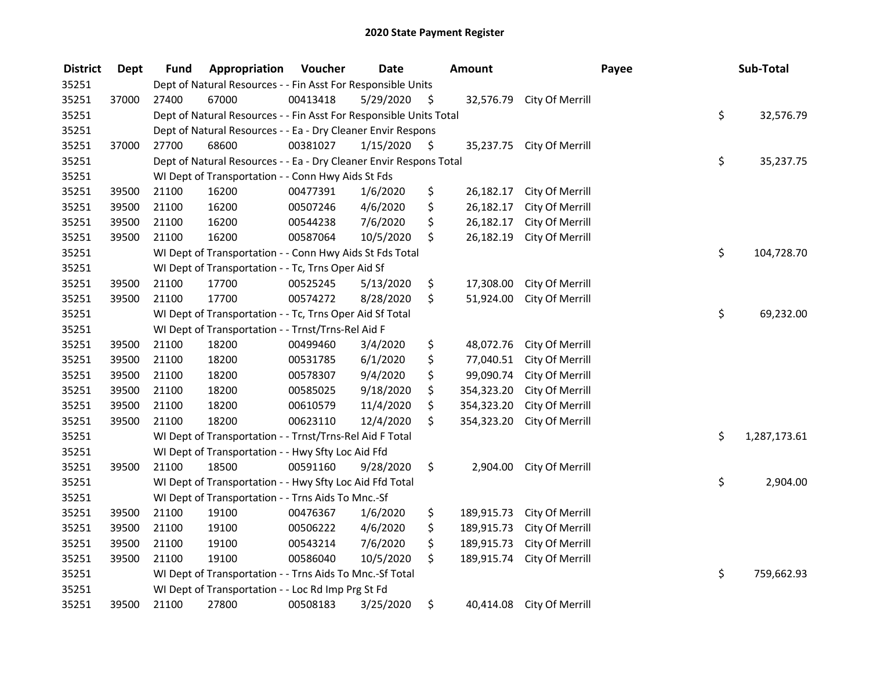| <b>District</b> | <b>Dept</b> | Fund  | Appropriation                                                      | Voucher  | <b>Date</b> |     | <b>Amount</b> |                           | Payee | Sub-Total    |
|-----------------|-------------|-------|--------------------------------------------------------------------|----------|-------------|-----|---------------|---------------------------|-------|--------------|
| 35251           |             |       | Dept of Natural Resources - - Fin Asst For Responsible Units       |          |             |     |               |                           |       |              |
| 35251           | 37000       | 27400 | 67000                                                              | 00413418 | 5/29/2020   | -\$ |               | 32,576.79 City Of Merrill |       |              |
| 35251           |             |       | Dept of Natural Resources - - Fin Asst For Responsible Units Total |          |             |     |               |                           | \$    | 32,576.79    |
| 35251           |             |       | Dept of Natural Resources - - Ea - Dry Cleaner Envir Respons       |          |             |     |               |                           |       |              |
| 35251           | 37000       | 27700 | 68600                                                              | 00381027 | 1/15/2020   | \$  | 35,237.75     | City Of Merrill           |       |              |
| 35251           |             |       | Dept of Natural Resources - - Ea - Dry Cleaner Envir Respons Total |          |             |     |               |                           | \$    | 35,237.75    |
| 35251           |             |       | WI Dept of Transportation - - Conn Hwy Aids St Fds                 |          |             |     |               |                           |       |              |
| 35251           | 39500       | 21100 | 16200                                                              | 00477391 | 1/6/2020    | \$  | 26,182.17     | City Of Merrill           |       |              |
| 35251           | 39500       | 21100 | 16200                                                              | 00507246 | 4/6/2020    | \$  | 26,182.17     | City Of Merrill           |       |              |
| 35251           | 39500       | 21100 | 16200                                                              | 00544238 | 7/6/2020    | \$  | 26,182.17     | City Of Merrill           |       |              |
| 35251           | 39500       | 21100 | 16200                                                              | 00587064 | 10/5/2020   | \$  | 26,182.19     | City Of Merrill           |       |              |
| 35251           |             |       | WI Dept of Transportation - - Conn Hwy Aids St Fds Total           |          |             |     |               |                           | \$    | 104,728.70   |
| 35251           |             |       | WI Dept of Transportation - - Tc, Trns Oper Aid Sf                 |          |             |     |               |                           |       |              |
| 35251           | 39500       | 21100 | 17700                                                              | 00525245 | 5/13/2020   | \$  | 17,308.00     | City Of Merrill           |       |              |
| 35251           | 39500       | 21100 | 17700                                                              | 00574272 | 8/28/2020   | \$  | 51,924.00     | City Of Merrill           |       |              |
| 35251           |             |       | WI Dept of Transportation - - Tc, Trns Oper Aid Sf Total           |          |             |     |               |                           | \$    | 69,232.00    |
| 35251           |             |       | WI Dept of Transportation - - Trnst/Trns-Rel Aid F                 |          |             |     |               |                           |       |              |
| 35251           | 39500       | 21100 | 18200                                                              | 00499460 | 3/4/2020    | \$  | 48,072.76     | City Of Merrill           |       |              |
| 35251           | 39500       | 21100 | 18200                                                              | 00531785 | 6/1/2020    | \$  | 77,040.51     | City Of Merrill           |       |              |
| 35251           | 39500       | 21100 | 18200                                                              | 00578307 | 9/4/2020    | \$  | 99,090.74     | City Of Merrill           |       |              |
| 35251           | 39500       | 21100 | 18200                                                              | 00585025 | 9/18/2020   | \$  | 354,323.20    | City Of Merrill           |       |              |
| 35251           | 39500       | 21100 | 18200                                                              | 00610579 | 11/4/2020   | \$  | 354,323.20    | City Of Merrill           |       |              |
| 35251           | 39500       | 21100 | 18200                                                              | 00623110 | 12/4/2020   | \$  | 354,323.20    | City Of Merrill           |       |              |
| 35251           |             |       | WI Dept of Transportation - - Trnst/Trns-Rel Aid F Total           |          |             |     |               |                           | \$    | 1,287,173.61 |
| 35251           |             |       | WI Dept of Transportation - - Hwy Sfty Loc Aid Ffd                 |          |             |     |               |                           |       |              |
| 35251           | 39500       | 21100 | 18500                                                              | 00591160 | 9/28/2020   | \$  | 2,904.00      | City Of Merrill           |       |              |
| 35251           |             |       | WI Dept of Transportation - - Hwy Sfty Loc Aid Ffd Total           |          |             |     |               |                           | \$    | 2,904.00     |
| 35251           |             |       | WI Dept of Transportation - - Trns Aids To Mnc.-Sf                 |          |             |     |               |                           |       |              |
| 35251           | 39500       | 21100 | 19100                                                              | 00476367 | 1/6/2020    | \$  | 189,915.73    | City Of Merrill           |       |              |
| 35251           | 39500       | 21100 | 19100                                                              | 00506222 | 4/6/2020    | \$  | 189,915.73    | City Of Merrill           |       |              |
| 35251           | 39500       | 21100 | 19100                                                              | 00543214 | 7/6/2020    | \$  | 189,915.73    | City Of Merrill           |       |              |
| 35251           | 39500       | 21100 | 19100                                                              | 00586040 | 10/5/2020   | \$  | 189,915.74    | City Of Merrill           |       |              |
| 35251           |             |       | WI Dept of Transportation - - Trns Aids To Mnc.-Sf Total           |          |             |     |               |                           | \$    | 759,662.93   |
| 35251           |             |       | WI Dept of Transportation - - Loc Rd Imp Prg St Fd                 |          |             |     |               |                           |       |              |
| 35251           | 39500       | 21100 | 27800                                                              | 00508183 | 3/25/2020   | \$  | 40,414.08     | City Of Merrill           |       |              |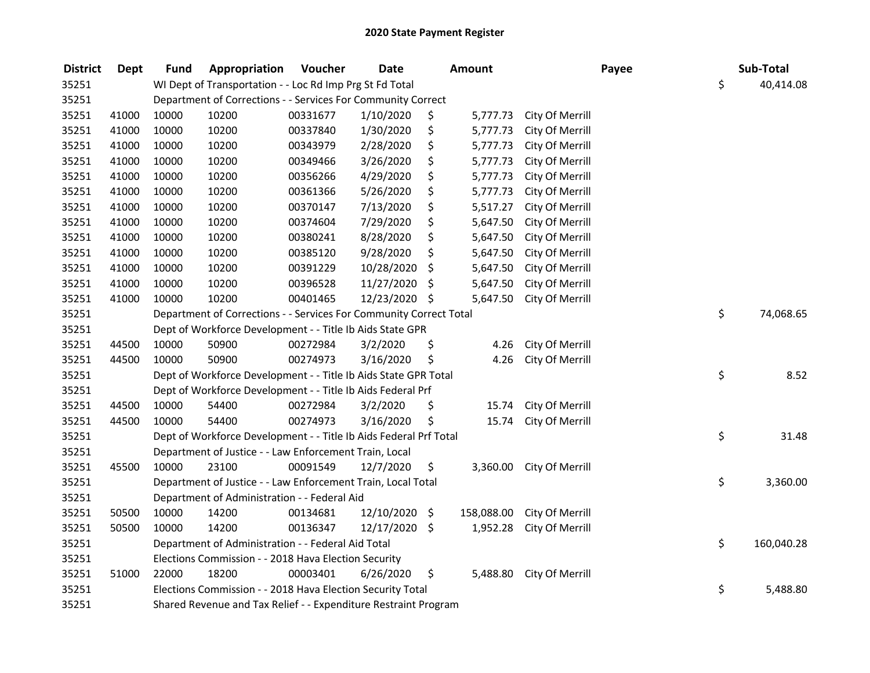| <b>District</b> | <b>Dept</b> | <b>Fund</b> | Appropriation                                                      | Voucher  | <b>Date</b>   | <b>Amount</b>  |                 | Payee | Sub-Total        |
|-----------------|-------------|-------------|--------------------------------------------------------------------|----------|---------------|----------------|-----------------|-------|------------------|
| 35251           |             |             | WI Dept of Transportation - - Loc Rd Imp Prg St Fd Total           |          |               |                |                 |       | \$<br>40,414.08  |
| 35251           |             |             | Department of Corrections - - Services For Community Correct       |          |               |                |                 |       |                  |
| 35251           | 41000       | 10000       | 10200                                                              | 00331677 | 1/10/2020     | \$<br>5,777.73 | City Of Merrill |       |                  |
| 35251           | 41000       | 10000       | 10200                                                              | 00337840 | 1/30/2020     | \$<br>5,777.73 | City Of Merrill |       |                  |
| 35251           | 41000       | 10000       | 10200                                                              | 00343979 | 2/28/2020     | \$<br>5,777.73 | City Of Merrill |       |                  |
| 35251           | 41000       | 10000       | 10200                                                              | 00349466 | 3/26/2020     | \$<br>5,777.73 | City Of Merrill |       |                  |
| 35251           | 41000       | 10000       | 10200                                                              | 00356266 | 4/29/2020     | \$<br>5,777.73 | City Of Merrill |       |                  |
| 35251           | 41000       | 10000       | 10200                                                              | 00361366 | 5/26/2020     | \$<br>5,777.73 | City Of Merrill |       |                  |
| 35251           | 41000       | 10000       | 10200                                                              | 00370147 | 7/13/2020     | \$<br>5,517.27 | City Of Merrill |       |                  |
| 35251           | 41000       | 10000       | 10200                                                              | 00374604 | 7/29/2020     | \$<br>5,647.50 | City Of Merrill |       |                  |
| 35251           | 41000       | 10000       | 10200                                                              | 00380241 | 8/28/2020     | \$<br>5,647.50 | City Of Merrill |       |                  |
| 35251           | 41000       | 10000       | 10200                                                              | 00385120 | 9/28/2020     | \$<br>5,647.50 | City Of Merrill |       |                  |
| 35251           | 41000       | 10000       | 10200                                                              | 00391229 | 10/28/2020    | \$<br>5,647.50 | City Of Merrill |       |                  |
| 35251           | 41000       | 10000       | 10200                                                              | 00396528 | 11/27/2020    | \$<br>5,647.50 | City Of Merrill |       |                  |
| 35251           | 41000       | 10000       | 10200                                                              | 00401465 | 12/23/2020 \$ | 5,647.50       | City Of Merrill |       |                  |
| 35251           |             |             | Department of Corrections - - Services For Community Correct Total |          |               |                |                 |       | \$<br>74,068.65  |
| 35251           |             |             | Dept of Workforce Development - - Title Ib Aids State GPR          |          |               |                |                 |       |                  |
| 35251           | 44500       | 10000       | 50900                                                              | 00272984 | 3/2/2020      | \$<br>4.26     | City Of Merrill |       |                  |
| 35251           | 44500       | 10000       | 50900                                                              | 00274973 | 3/16/2020     | \$<br>4.26     | City Of Merrill |       |                  |
| 35251           |             |             | Dept of Workforce Development - - Title Ib Aids State GPR Total    |          |               |                |                 |       | \$<br>8.52       |
| 35251           |             |             | Dept of Workforce Development - - Title Ib Aids Federal Prf        |          |               |                |                 |       |                  |
| 35251           | 44500       | 10000       | 54400                                                              | 00272984 | 3/2/2020      | \$<br>15.74    | City Of Merrill |       |                  |
| 35251           | 44500       | 10000       | 54400                                                              | 00274973 | 3/16/2020     | \$<br>15.74    | City Of Merrill |       |                  |
| 35251           |             |             | Dept of Workforce Development - - Title Ib Aids Federal Prf Total  |          |               |                |                 |       | \$<br>31.48      |
| 35251           |             |             | Department of Justice - - Law Enforcement Train, Local             |          |               |                |                 |       |                  |
| 35251           | 45500       | 10000       | 23100                                                              | 00091549 | 12/7/2020     | \$<br>3,360.00 | City Of Merrill |       |                  |
| 35251           |             |             | Department of Justice - - Law Enforcement Train, Local Total       |          |               |                |                 |       | \$<br>3,360.00   |
| 35251           |             |             | Department of Administration - - Federal Aid                       |          |               |                |                 |       |                  |
| 35251           | 50500       | 10000       | 14200                                                              | 00134681 | 12/10/2020 \$ | 158,088.00     | City Of Merrill |       |                  |
| 35251           | 50500       | 10000       | 14200                                                              | 00136347 | 12/17/2020 \$ | 1,952.28       | City Of Merrill |       |                  |
| 35251           |             |             | Department of Administration - - Federal Aid Total                 |          |               |                |                 |       | \$<br>160,040.28 |
| 35251           |             |             | Elections Commission - - 2018 Hava Election Security               |          |               |                |                 |       |                  |
| 35251           | 51000       | 22000       | 18200                                                              | 00003401 | 6/26/2020     | \$<br>5,488.80 | City Of Merrill |       |                  |
| 35251           |             |             | Elections Commission - - 2018 Hava Election Security Total         |          |               |                |                 |       | \$<br>5,488.80   |
| 35251           |             |             | Shared Revenue and Tax Relief - - Expenditure Restraint Program    |          |               |                |                 |       |                  |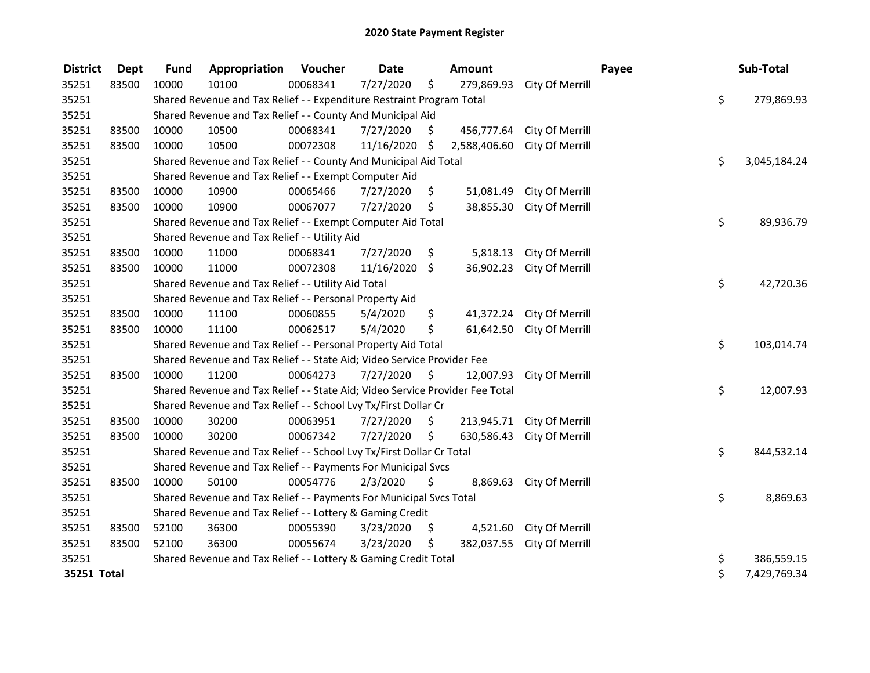| <b>District</b> | <b>Dept</b> | <b>Fund</b> | Appropriation                                                                 | <b>Voucher</b> | <b>Date</b> |     | Amount       |                            | Payee | Sub-Total          |
|-----------------|-------------|-------------|-------------------------------------------------------------------------------|----------------|-------------|-----|--------------|----------------------------|-------|--------------------|
| 35251           | 83500       | 10000       | 10100                                                                         | 00068341       | 7/27/2020   | \$  | 279,869.93   | City Of Merrill            |       |                    |
| 35251           |             |             | Shared Revenue and Tax Relief - - Expenditure Restraint Program Total         |                |             |     |              |                            |       | \$<br>279,869.93   |
| 35251           |             |             | Shared Revenue and Tax Relief - - County And Municipal Aid                    |                |             |     |              |                            |       |                    |
| 35251           | 83500       | 10000       | 10500                                                                         | 00068341       | 7/27/2020   | \$. | 456,777.64   | City Of Merrill            |       |                    |
| 35251           | 83500       | 10000       | 10500                                                                         | 00072308       | 11/16/2020  | \$  | 2,588,406.60 | City Of Merrill            |       |                    |
| 35251           |             |             | Shared Revenue and Tax Relief - - County And Municipal Aid Total              |                |             |     |              |                            |       | \$<br>3,045,184.24 |
| 35251           |             |             | Shared Revenue and Tax Relief - - Exempt Computer Aid                         |                |             |     |              |                            |       |                    |
| 35251           | 83500       | 10000       | 10900                                                                         | 00065466       | 7/27/2020   | \$  | 51,081.49    | City Of Merrill            |       |                    |
| 35251           | 83500       | 10000       | 10900                                                                         | 00067077       | 7/27/2020   | \$  | 38,855.30    | City Of Merrill            |       |                    |
| 35251           |             |             | Shared Revenue and Tax Relief - - Exempt Computer Aid Total                   |                |             |     |              |                            |       | \$<br>89,936.79    |
| 35251           |             |             | Shared Revenue and Tax Relief - - Utility Aid                                 |                |             |     |              |                            |       |                    |
| 35251           | 83500       | 10000       | 11000                                                                         | 00068341       | 7/27/2020   | \$  | 5,818.13     | City Of Merrill            |       |                    |
| 35251           | 83500       | 10000       | 11000                                                                         | 00072308       | 11/16/2020  | \$  | 36,902.23    | City Of Merrill            |       |                    |
| 35251           |             |             | Shared Revenue and Tax Relief - - Utility Aid Total                           |                |             |     |              |                            |       | \$<br>42,720.36    |
| 35251           |             |             | Shared Revenue and Tax Relief - - Personal Property Aid                       |                |             |     |              |                            |       |                    |
| 35251           | 83500       | 10000       | 11100                                                                         | 00060855       | 5/4/2020    | \$  | 41,372.24    | City Of Merrill            |       |                    |
| 35251           | 83500       | 10000       | 11100                                                                         | 00062517       | 5/4/2020    | \$  | 61,642.50    | City Of Merrill            |       |                    |
| 35251           |             |             | Shared Revenue and Tax Relief - - Personal Property Aid Total                 |                |             |     |              |                            |       | \$<br>103,014.74   |
| 35251           |             |             | Shared Revenue and Tax Relief - - State Aid; Video Service Provider Fee       |                |             |     |              |                            |       |                    |
| 35251           | 83500       | 10000       | 11200                                                                         | 00064273       | 7/27/2020   | \$  | 12,007.93    | City Of Merrill            |       |                    |
| 35251           |             |             | Shared Revenue and Tax Relief - - State Aid; Video Service Provider Fee Total |                |             |     |              |                            |       | \$<br>12,007.93    |
| 35251           |             |             | Shared Revenue and Tax Relief - - School Lvy Tx/First Dollar Cr               |                |             |     |              |                            |       |                    |
| 35251           | 83500       | 10000       | 30200                                                                         | 00063951       | 7/27/2020   | \$  |              | 213,945.71 City Of Merrill |       |                    |
| 35251           | 83500       | 10000       | 30200                                                                         | 00067342       | 7/27/2020   | \$  | 630,586.43   | City Of Merrill            |       |                    |
| 35251           |             |             | Shared Revenue and Tax Relief - - School Lvy Tx/First Dollar Cr Total         |                |             |     |              |                            |       | \$<br>844,532.14   |
| 35251           |             |             | Shared Revenue and Tax Relief - - Payments For Municipal Svcs                 |                |             |     |              |                            |       |                    |
| 35251           | 83500       | 10000       | 50100                                                                         | 00054776       | 2/3/2020    | \$  | 8,869.63     | City Of Merrill            |       |                    |
| 35251           |             |             | Shared Revenue and Tax Relief - - Payments For Municipal Svcs Total           |                |             |     |              |                            |       | \$<br>8,869.63     |
| 35251           |             |             | Shared Revenue and Tax Relief - - Lottery & Gaming Credit                     |                |             |     |              |                            |       |                    |
| 35251           | 83500       | 52100       | 36300                                                                         | 00055390       | 3/23/2020   | \$  | 4,521.60     | City Of Merrill            |       |                    |
| 35251           | 83500       | 52100       | 36300                                                                         | 00055674       | 3/23/2020   | \$  | 382,037.55   | City Of Merrill            |       |                    |
| 35251           |             |             | Shared Revenue and Tax Relief - - Lottery & Gaming Credit Total               |                |             |     |              |                            |       | \$<br>386,559.15   |
| 35251 Total     |             |             |                                                                               |                |             |     |              |                            |       | \$<br>7,429,769.34 |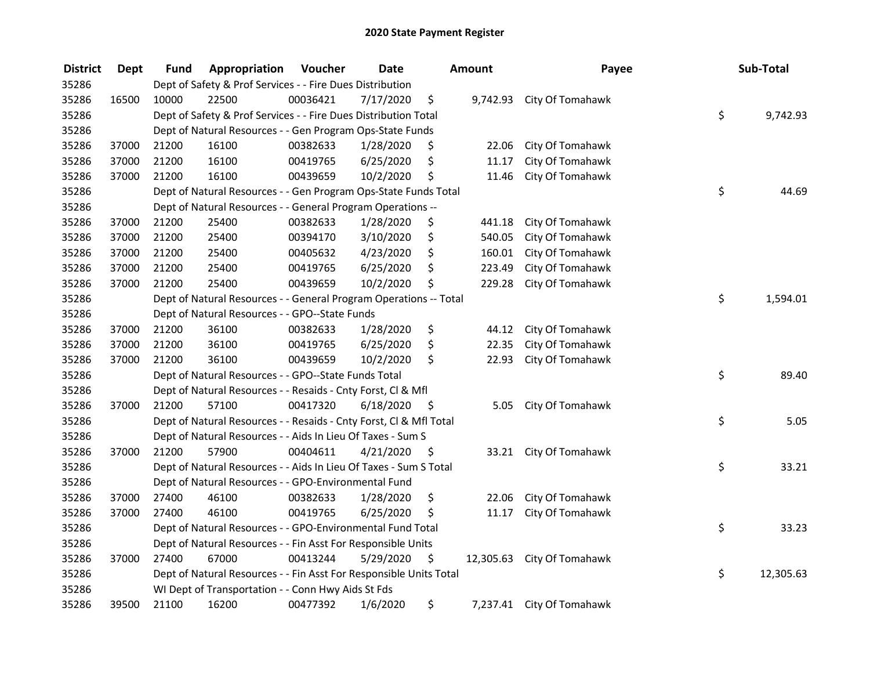| <b>District</b> | <b>Dept</b> | Fund  | Appropriation                                                      | Voucher  | <b>Date</b> |      | <b>Amount</b> | Payee                      | Sub-Total       |
|-----------------|-------------|-------|--------------------------------------------------------------------|----------|-------------|------|---------------|----------------------------|-----------------|
| 35286           |             |       | Dept of Safety & Prof Services - - Fire Dues Distribution          |          |             |      |               |                            |                 |
| 35286           | 16500       | 10000 | 22500                                                              | 00036421 | 7/17/2020   | \$   | 9,742.93      | City Of Tomahawk           |                 |
| 35286           |             |       | Dept of Safety & Prof Services - - Fire Dues Distribution Total    |          |             |      |               |                            | \$<br>9,742.93  |
| 35286           |             |       | Dept of Natural Resources - - Gen Program Ops-State Funds          |          |             |      |               |                            |                 |
| 35286           | 37000       | 21200 | 16100                                                              | 00382633 | 1/28/2020   | \$   | 22.06         | City Of Tomahawk           |                 |
| 35286           | 37000       | 21200 | 16100                                                              | 00419765 | 6/25/2020   | \$   | 11.17         | City Of Tomahawk           |                 |
| 35286           | 37000       | 21200 | 16100                                                              | 00439659 | 10/2/2020   | \$   | 11.46         | City Of Tomahawk           |                 |
| 35286           |             |       | Dept of Natural Resources - - Gen Program Ops-State Funds Total    |          |             |      |               |                            | \$<br>44.69     |
| 35286           |             |       | Dept of Natural Resources - - General Program Operations --        |          |             |      |               |                            |                 |
| 35286           | 37000       | 21200 | 25400                                                              | 00382633 | 1/28/2020   | \$   | 441.18        | City Of Tomahawk           |                 |
| 35286           | 37000       | 21200 | 25400                                                              | 00394170 | 3/10/2020   | \$   | 540.05        | City Of Tomahawk           |                 |
| 35286           | 37000       | 21200 | 25400                                                              | 00405632 | 4/23/2020   | \$   | 160.01        | City Of Tomahawk           |                 |
| 35286           | 37000       | 21200 | 25400                                                              | 00419765 | 6/25/2020   | \$   | 223.49        | City Of Tomahawk           |                 |
| 35286           | 37000       | 21200 | 25400                                                              | 00439659 | 10/2/2020   | \$   | 229.28        | City Of Tomahawk           |                 |
| 35286           |             |       | Dept of Natural Resources - - General Program Operations -- Total  |          |             |      |               |                            | \$<br>1,594.01  |
| 35286           |             |       | Dept of Natural Resources - - GPO--State Funds                     |          |             |      |               |                            |                 |
| 35286           | 37000       | 21200 | 36100                                                              | 00382633 | 1/28/2020   | \$   | 44.12         | City Of Tomahawk           |                 |
| 35286           | 37000       | 21200 | 36100                                                              | 00419765 | 6/25/2020   | \$   | 22.35         | City Of Tomahawk           |                 |
| 35286           | 37000       | 21200 | 36100                                                              | 00439659 | 10/2/2020   | \$   | 22.93         | City Of Tomahawk           |                 |
| 35286           |             |       | Dept of Natural Resources - - GPO--State Funds Total               |          |             |      |               |                            | \$<br>89.40     |
| 35286           |             |       | Dept of Natural Resources - - Resaids - Cnty Forst, Cl & Mfl       |          |             |      |               |                            |                 |
| 35286           | 37000       | 21200 | 57100                                                              | 00417320 | 6/18/2020   | - \$ | 5.05          | City Of Tomahawk           |                 |
| 35286           |             |       | Dept of Natural Resources - - Resaids - Cnty Forst, Cl & Mfl Total |          |             |      |               |                            | \$<br>5.05      |
| 35286           |             |       | Dept of Natural Resources - - Aids In Lieu Of Taxes - Sum S        |          |             |      |               |                            |                 |
| 35286           | 37000       | 21200 | 57900                                                              | 00404611 | 4/21/2020   | - \$ | 33.21         | City Of Tomahawk           |                 |
| 35286           |             |       | Dept of Natural Resources - - Aids In Lieu Of Taxes - Sum S Total  |          |             |      |               |                            | \$<br>33.21     |
| 35286           |             |       | Dept of Natural Resources - - GPO-Environmental Fund               |          |             |      |               |                            |                 |
| 35286           | 37000       | 27400 | 46100                                                              | 00382633 | 1/28/2020   | \$   | 22.06         | City Of Tomahawk           |                 |
| 35286           | 37000       | 27400 | 46100                                                              | 00419765 | 6/25/2020   | \$   | 11.17         | City Of Tomahawk           |                 |
| 35286           |             |       | Dept of Natural Resources - - GPO-Environmental Fund Total         |          |             |      |               |                            | \$<br>33.23     |
| 35286           |             |       | Dept of Natural Resources - - Fin Asst For Responsible Units       |          |             |      |               |                            |                 |
| 35286           | 37000       | 27400 | 67000                                                              | 00413244 | 5/29/2020   | \$   |               | 12,305.63 City Of Tomahawk |                 |
| 35286           |             |       | Dept of Natural Resources - - Fin Asst For Responsible Units Total |          |             |      |               |                            | \$<br>12,305.63 |
| 35286           |             |       | WI Dept of Transportation - - Conn Hwy Aids St Fds                 |          |             |      |               |                            |                 |
| 35286           | 39500       | 21100 | 16200                                                              | 00477392 | 1/6/2020    | \$   |               | 7,237.41 City Of Tomahawk  |                 |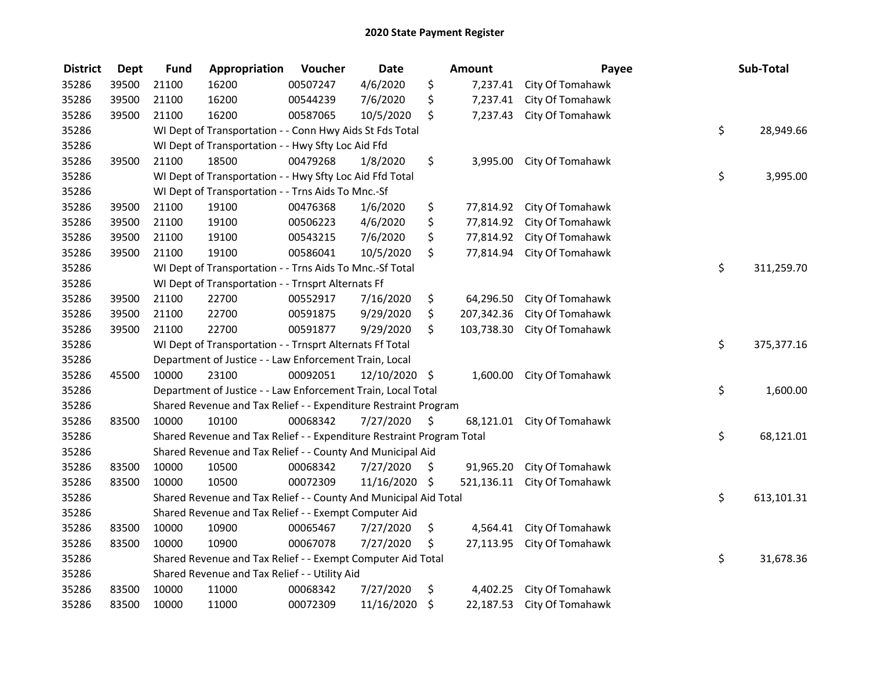| <b>District</b> | <b>Dept</b> | <b>Fund</b> | Appropriation                                                         | Voucher  | <b>Date</b>   | Amount           |                            | Payee | Sub-Total  |
|-----------------|-------------|-------------|-----------------------------------------------------------------------|----------|---------------|------------------|----------------------------|-------|------------|
| 35286           | 39500       | 21100       | 16200                                                                 | 00507247 | 4/6/2020      | \$<br>7,237.41   | City Of Tomahawk           |       |            |
| 35286           | 39500       | 21100       | 16200                                                                 | 00544239 | 7/6/2020      | \$<br>7,237.41   | City Of Tomahawk           |       |            |
| 35286           | 39500       | 21100       | 16200                                                                 | 00587065 | 10/5/2020     | \$<br>7,237.43   | City Of Tomahawk           |       |            |
| 35286           |             |             | WI Dept of Transportation - - Conn Hwy Aids St Fds Total              |          |               |                  |                            | \$    | 28,949.66  |
| 35286           |             |             | WI Dept of Transportation - - Hwy Sfty Loc Aid Ffd                    |          |               |                  |                            |       |            |
| 35286           | 39500       | 21100       | 18500                                                                 | 00479268 | 1/8/2020      | \$<br>3,995.00   | City Of Tomahawk           |       |            |
| 35286           |             |             | WI Dept of Transportation - - Hwy Sfty Loc Aid Ffd Total              |          |               |                  |                            | \$    | 3,995.00   |
| 35286           |             |             | WI Dept of Transportation - - Trns Aids To Mnc.-Sf                    |          |               |                  |                            |       |            |
| 35286           | 39500       | 21100       | 19100                                                                 | 00476368 | 1/6/2020      | \$               | 77,814.92 City Of Tomahawk |       |            |
| 35286           | 39500       | 21100       | 19100                                                                 | 00506223 | 4/6/2020      | \$<br>77,814.92  | City Of Tomahawk           |       |            |
| 35286           | 39500       | 21100       | 19100                                                                 | 00543215 | 7/6/2020      | \$<br>77,814.92  | City Of Tomahawk           |       |            |
| 35286           | 39500       | 21100       | 19100                                                                 | 00586041 | 10/5/2020     | \$<br>77,814.94  | City Of Tomahawk           |       |            |
| 35286           |             |             | WI Dept of Transportation - - Trns Aids To Mnc.-Sf Total              |          |               |                  |                            | \$    | 311,259.70 |
| 35286           |             |             | WI Dept of Transportation - - Trnsprt Alternats Ff                    |          |               |                  |                            |       |            |
| 35286           | 39500       | 21100       | 22700                                                                 | 00552917 | 7/16/2020     | \$<br>64,296.50  | City Of Tomahawk           |       |            |
| 35286           | 39500       | 21100       | 22700                                                                 | 00591875 | 9/29/2020     | \$<br>207,342.36 | City Of Tomahawk           |       |            |
| 35286           | 39500       | 21100       | 22700                                                                 | 00591877 | 9/29/2020     | \$<br>103,738.30 | City Of Tomahawk           |       |            |
| 35286           |             |             | WI Dept of Transportation - - Trnsprt Alternats Ff Total              |          |               |                  |                            | \$    | 375,377.16 |
| 35286           |             |             | Department of Justice - - Law Enforcement Train, Local                |          |               |                  |                            |       |            |
| 35286           | 45500       | 10000       | 23100                                                                 | 00092051 | 12/10/2020 \$ | 1,600.00         | City Of Tomahawk           |       |            |
| 35286           |             |             | Department of Justice - - Law Enforcement Train, Local Total          |          |               |                  |                            | \$    | 1,600.00   |
| 35286           |             |             | Shared Revenue and Tax Relief - - Expenditure Restraint Program       |          |               |                  |                            |       |            |
| 35286           | 83500       | 10000       | 10100                                                                 | 00068342 | 7/27/2020     | \$<br>68,121.01  | City Of Tomahawk           |       |            |
| 35286           |             |             | Shared Revenue and Tax Relief - - Expenditure Restraint Program Total |          |               |                  |                            | \$    | 68,121.01  |
| 35286           |             |             | Shared Revenue and Tax Relief - - County And Municipal Aid            |          |               |                  |                            |       |            |
| 35286           | 83500       | 10000       | 10500                                                                 | 00068342 | 7/27/2020     | \$<br>91,965.20  | City Of Tomahawk           |       |            |
| 35286           | 83500       | 10000       | 10500                                                                 | 00072309 | 11/16/2020    | \$<br>521,136.11 | City Of Tomahawk           |       |            |
| 35286           |             |             | Shared Revenue and Tax Relief - - County And Municipal Aid Total      |          |               |                  |                            | \$    | 613,101.31 |
| 35286           |             |             | Shared Revenue and Tax Relief - - Exempt Computer Aid                 |          |               |                  |                            |       |            |
| 35286           | 83500       | 10000       | 10900                                                                 | 00065467 | 7/27/2020     | \$<br>4,564.41   | City Of Tomahawk           |       |            |
| 35286           | 83500       | 10000       | 10900                                                                 | 00067078 | 7/27/2020     | \$<br>27,113.95  | City Of Tomahawk           |       |            |
| 35286           |             |             | Shared Revenue and Tax Relief - - Exempt Computer Aid Total           |          |               |                  |                            | \$    | 31,678.36  |
| 35286           |             |             | Shared Revenue and Tax Relief - - Utility Aid                         |          |               |                  |                            |       |            |
| 35286           | 83500       | 10000       | 11000                                                                 | 00068342 | 7/27/2020     | \$<br>4,402.25   | City Of Tomahawk           |       |            |
| 35286           | 83500       | 10000       | 11000                                                                 | 00072309 | 11/16/2020    | \$<br>22,187.53  | City Of Tomahawk           |       |            |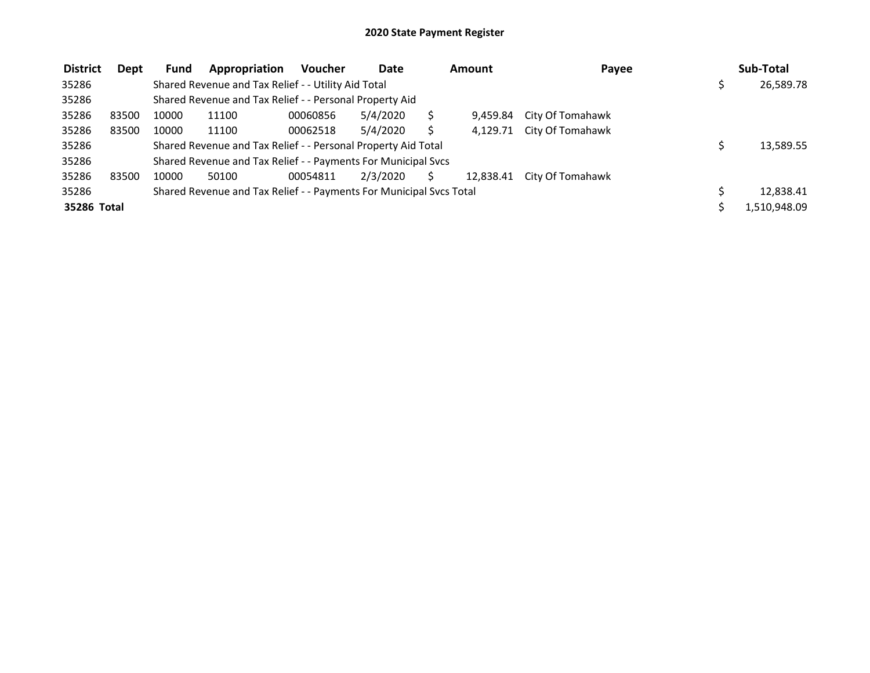| <b>District</b> | Dept  | <b>Fund</b> | Appropriation                                                       | <b>Voucher</b> | Date     | <b>Amount</b> | Payee                     | Sub-Total    |
|-----------------|-------|-------------|---------------------------------------------------------------------|----------------|----------|---------------|---------------------------|--------------|
| 35286           |       |             | Shared Revenue and Tax Relief - - Utility Aid Total                 |                |          |               |                           | 26,589.78    |
| 35286           |       |             | Shared Revenue and Tax Relief - - Personal Property Aid             |                |          |               |                           |              |
| 35286           | 83500 | 10000       | 11100                                                               | 00060856       | 5/4/2020 | 9.459.84      | City Of Tomahawk          |              |
| 35286           | 83500 | 10000       | 11100                                                               | 00062518       | 5/4/2020 |               | 4,129.71 City Of Tomahawk |              |
| 35286           |       |             | Shared Revenue and Tax Relief - - Personal Property Aid Total       |                |          |               |                           | 13,589.55    |
| 35286           |       |             | Shared Revenue and Tax Relief - - Payments For Municipal Svcs       |                |          |               |                           |              |
| 35286           | 83500 | 10000       | 50100                                                               | 00054811       | 2/3/2020 | 12.838.41     | City Of Tomahawk          |              |
| 35286           |       |             | Shared Revenue and Tax Relief - - Payments For Municipal Svcs Total |                |          |               |                           | 12,838.41    |
| 35286 Total     |       |             |                                                                     |                |          |               |                           | 1,510,948.09 |